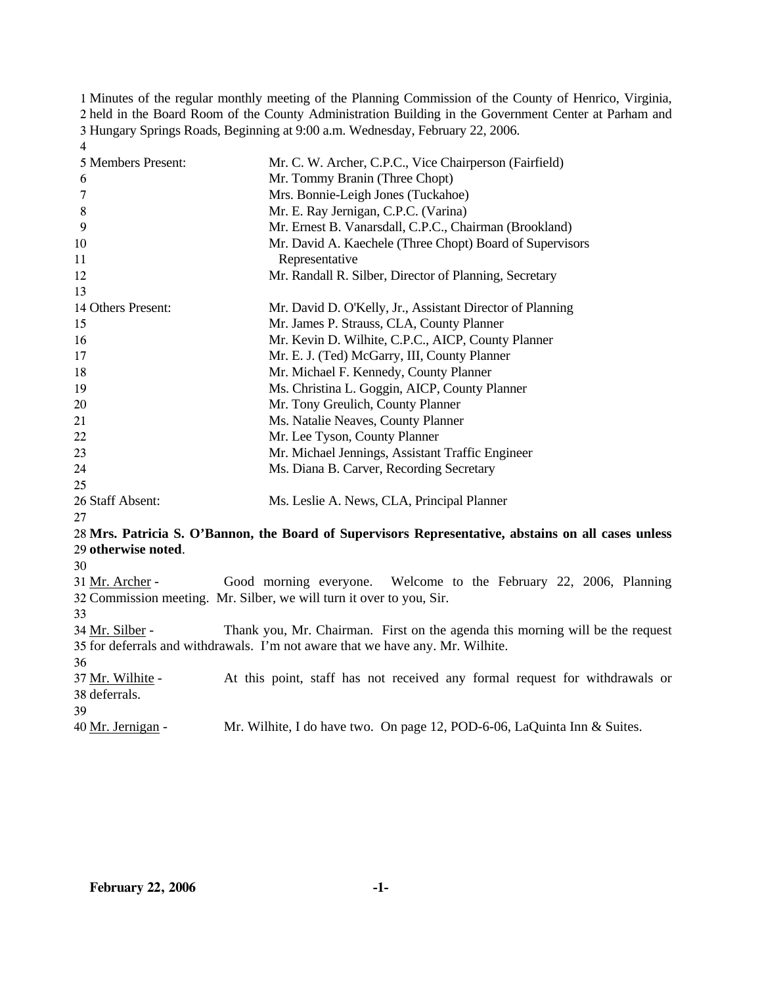Minutes of the regular monthly meeting of the Planning Commission of the County of Henrico, Virginia, held in the Board Room of the County Administration Building in the Government Center at Parham and Hungary Springs Roads, Beginning at 9:00 a.m. Wednesday, February 22, 2006. 4

| 5 Members Present:  | Mr. C. W. Archer, C.P.C., Vice Chairperson (Fairfield)                                              |
|---------------------|-----------------------------------------------------------------------------------------------------|
| 6                   | Mr. Tommy Branin (Three Chopt)                                                                      |
| $\overline{7}$      | Mrs. Bonnie-Leigh Jones (Tuckahoe)                                                                  |
| 8                   | Mr. E. Ray Jernigan, C.P.C. (Varina)                                                                |
| 9                   | Mr. Ernest B. Vanarsdall, C.P.C., Chairman (Brookland)                                              |
| 10                  | Mr. David A. Kaechele (Three Chopt) Board of Supervisors                                            |
| 11                  | Representative                                                                                      |
| 12                  | Mr. Randall R. Silber, Director of Planning, Secretary                                              |
| 13                  |                                                                                                     |
| 14 Others Present:  | Mr. David D. O'Kelly, Jr., Assistant Director of Planning                                           |
| 15                  | Mr. James P. Strauss, CLA, County Planner                                                           |
| 16                  | Mr. Kevin D. Wilhite, C.P.C., AICP, County Planner                                                  |
| 17                  | Mr. E. J. (Ted) McGarry, III, County Planner                                                        |
| 18                  | Mr. Michael F. Kennedy, County Planner                                                              |
| 19                  | Ms. Christina L. Goggin, AICP, County Planner                                                       |
| 20                  | Mr. Tony Greulich, County Planner                                                                   |
| 21                  | Ms. Natalie Neaves, County Planner                                                                  |
| 22                  | Mr. Lee Tyson, County Planner                                                                       |
| 23                  | Mr. Michael Jennings, Assistant Traffic Engineer                                                    |
| 24                  | Ms. Diana B. Carver, Recording Secretary                                                            |
| 25                  |                                                                                                     |
| 26 Staff Absent:    | Ms. Leslie A. News, CLA, Principal Planner                                                          |
| 27                  |                                                                                                     |
|                     | 28 Mrs. Patricia S. O'Bannon, the Board of Supervisors Representative, abstains on all cases unless |
| 29 otherwise noted. |                                                                                                     |
| 30                  |                                                                                                     |
| 31 Mr. Archer -     | Good morning everyone. Welcome to the February 22, 2006, Planning                                   |
|                     | 32 Commission meeting. Mr. Silber, we will turn it over to you, Sir.                                |
| 33                  |                                                                                                     |
| 34 Mr. Silber -     | Thank you, Mr. Chairman. First on the agenda this morning will be the request                       |
|                     | 35 for deferrals and withdrawals. I'm not aware that we have any. Mr. Wilhite.                      |
| 36                  |                                                                                                     |
| 37 Mr. Wilhite -    | At this point, staff has not received any formal request for withdrawals or                         |
| 38 deferrals.       |                                                                                                     |
| 39                  |                                                                                                     |
| 40 Mr. Jernigan -   | Mr. Wilhite, I do have two. On page 12, POD-6-06, LaQuinta Inn & Suites.                            |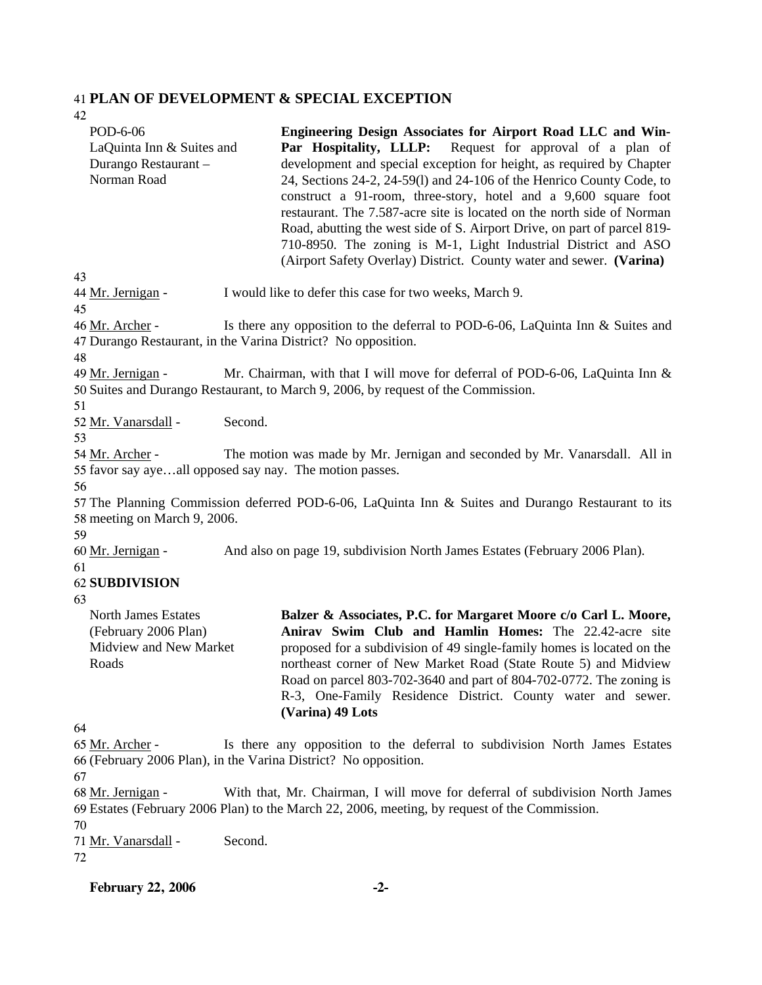### 41 **PLAN OF DEVELOPMENT & SPECIAL EXCEPTION**

42 43 POD-6-06 LaQuinta Inn & Suites and Durango Restaurant – Norman Road **Engineering Design Associates for Airport Road LLC and Win-**Par Hospitality, LLLP: Request for approval of a plan of development and special exception for height, as required by Chapter 24, Sections 24-2, 24-59(l) and 24-106 of the Henrico County Code, to construct a 91-room, three-story, hotel and a 9,600 square foot restaurant. The 7.587-acre site is located on the north side of Norman Road, abutting the west side of S. Airport Drive, on part of parcel 819- 710-8950. The zoning is M-1, Light Industrial District and ASO (Airport Safety Overlay) District. County water and sewer. **(Varina)** 44 Mr. Jernigan - I would like to defer this case for two weeks, March 9. 45 Is there any opposition to the deferral to POD-6-06, LaQuinta Inn  $&$  Suites and 47 Durango Restaurant, in the Varina District? No opposition. 46 Mr. Archer -48 Mr. Chairman, with that I will move for deferral of POD-6-06, LaQuinta Inn  $&$ 50 Suites and Durango Restaurant, to March 9, 2006, by request of the Commission. 49 Mr. Jernigan -51 52 Mr. Vanarsdall - Second. 53 The motion was made by Mr. Jernigan and seconded by Mr. Vanarsdall. All in 55 favor say aye...all opposed say nay. The motion passes. 54 Mr. Archer -56 57 The Planning Commission deferred POD-6-06, LaQuinta Inn & Suites and Durango Restaurant to its 58 meeting on March 9, 2006. 59 60 Mr. Jernigan - And also on page 19, subdivision North James Estates (February 2006 Plan). 61 62 **SUBDIVISION**  63 64 North James Estates (February 2006 Plan) Midview and New Market Roads **Balzer & Associates, P.C. for Margaret Moore c/o Carl L. Moore, Anirav Swim Club and Hamlin Homes:** The 22.42-acre site proposed for a subdivision of 49 single-family homes is located on the northeast corner of New Market Road (State Route 5) and Midview Road on parcel 803-702-3640 and part of 804-702-0772. The zoning is R-3, One-Family Residence District. County water and sewer. **(Varina) 49 Lots**  Is there any opposition to the deferral to subdivision North James Estates (February 2006 Plan), in the Varina District? No opposition. 66 65 Mr. Archer -67 With that, Mr. Chairman, I will move for deferral of subdivision North James Estates (February 2006 Plan) to the March 22, 2006, meeting, by request of the Commission. 69 68 Mr. Jernigan -

70

71 Mr. Vanarsdall - Second.

72

**February 22, 2006 -2-**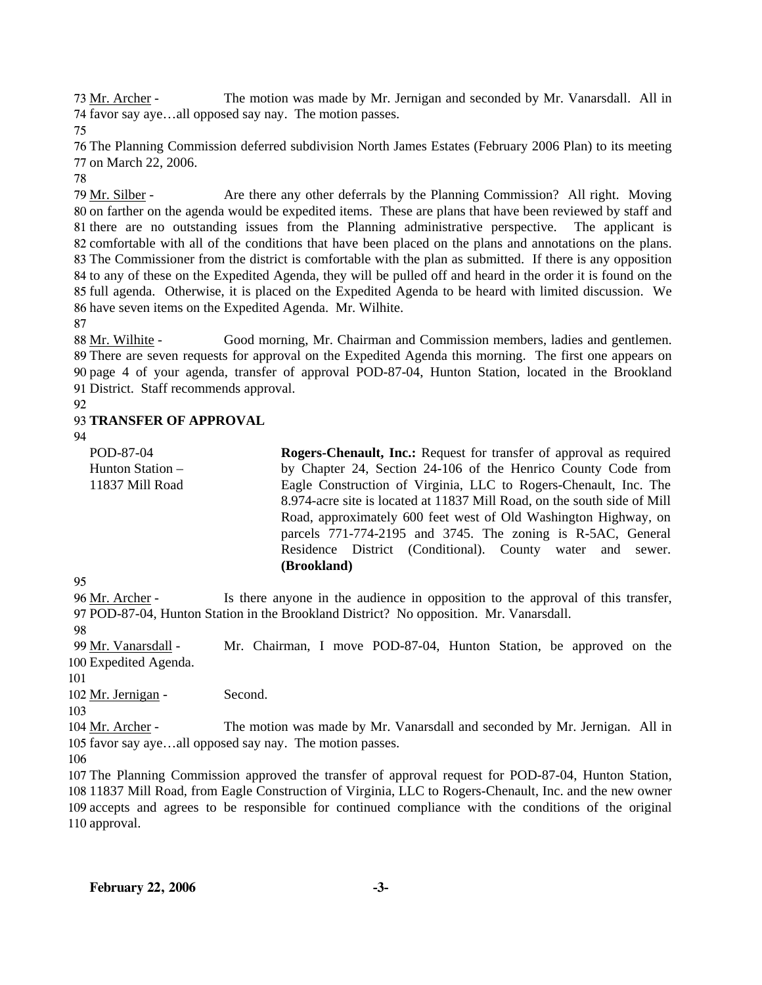The motion was made by Mr. Jernigan and seconded by Mr. Vanarsdall. All in 74 favor say aye...all opposed say nay. The motion passes. 73 Mr. Archer -

75

76 The Planning Commission deferred subdivision North James Estates (February 2006 Plan) to its meeting 77 on March 22, 2006.

78

Are there any other deferrals by the Planning Commission? All right. Moving 80 on farther on the agenda would be expedited items. These are plans that have been reviewed by staff and 81 there are no outstanding issues from the Planning administrative perspective. The applicant is 82 comfortable with all of the conditions that have been placed on the plans and annotations on the plans. 83 The Commissioner from the district is comfortable with the plan as submitted. If there is any opposition 84 to any of these on the Expedited Agenda, they will be pulled off and heard in the order it is found on the 85 full agenda. Otherwise, it is placed on the Expedited Agenda to be heard with limited discussion. We 86 have seven items on the Expedited Agenda. Mr. Wilhite. 79 Mr. Silber -

87

Good morning, Mr. Chairman and Commission members, ladies and gentlemen. 89 There are seven requests for approval on the Expedited Agenda this morning. The first one appears on 90 page 4 of your agenda, transfer of approval POD-87-04, Hunton Station, located in the Brookland 91 District. Staff recommends approval. 88 Mr. Wilhite -

92

# 93 **TRANSFER OF APPROVAL**

94

POD-87-04 Hunton Station – 11837 Mill Road **Rogers-Chenault, Inc.:** Request for transfer of approval as required by Chapter 24, Section 24-106 of the Henrico County Code from Eagle Construction of Virginia, LLC to Rogers-Chenault, Inc. The 8.974-acre site is located at 11837 Mill Road, on the south side of Mill Road, approximately 600 feet west of Old Washington Highway, on parcels 771-774-2195 and 3745. The zoning is R-5AC, General Residence District (Conditional). County water and sewer. **(Brookland)** 

95

Is there anyone in the audience in opposition to the approval of this transfer, 97 POD-87-04, Hunton Station in the Brookland District? No opposition. Mr. Vanarsdall. 96 Mr. Archer -

98

Mr. Chairman, I move POD-87-04, Hunton Station, be approved on the 100 Expedited Agenda. 99 Mr. Vanarsdall -

101

102 Mr. Jernigan - Second.

103

The motion was made by Mr. Vanarsdall and seconded by Mr. Jernigan. All in 105 favor say aye...all opposed say nay. The motion passes. 104 Mr. Archer -

106

 The Planning Commission approved the transfer of approval request for POD-87-04, Hunton Station, 11837 Mill Road, from Eagle Construction of Virginia, LLC to Rogers-Chenault, Inc. and the new owner accepts and agrees to be responsible for continued compliance with the conditions of the original approval.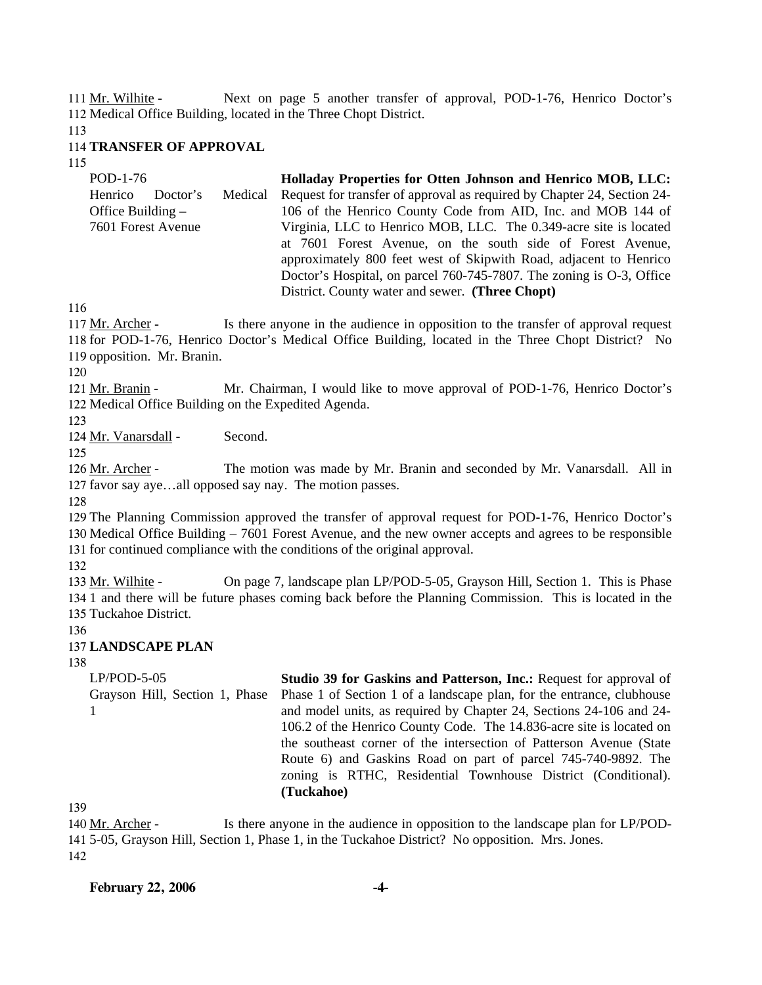Next on page 5 another transfer of approval, POD-1-76, Henrico Doctor's 112 Medical Office Building, located in the Three Chopt District. 111 Mr. Wilhite -

113

#### 114 **TRANSFER OF APPROVAL**

115

| POD-1-76            |          |         | Holladay Properties for Otten Johnson and Henrico MOB, LLC:             |
|---------------------|----------|---------|-------------------------------------------------------------------------|
| Henrico             | Doctor's | Medical | Request for transfer of approval as required by Chapter 24, Section 24- |
| Office Building $-$ |          |         | 106 of the Henrico County Code from AID, Inc. and MOB 144 of            |
| 7601 Forest Avenue  |          |         | Virginia, LLC to Henrico MOB, LLC. The 0.349-acre site is located       |
|                     |          |         | at 7601 Forest Avenue, on the south side of Forest Avenue,              |
|                     |          |         | approximately 800 feet west of Skipwith Road, adjacent to Henrico       |
|                     |          |         | Doctor's Hospital, on parcel 760-745-7807. The zoning is O-3, Office    |
|                     |          |         | District. County water and sewer. (Three Chopt)                         |

116

Is there anyone in the audience in opposition to the transfer of approval request 118 for POD-1-76, Henrico Doctor's Medical Office Building, located in the Three Chopt District? No 119 opposition. Mr. Branin. 117 Mr. Archer -

120

Mr. Chairman, I would like to move approval of POD-1-76, Henrico Doctor's 122 Medical Office Building on the Expedited Agenda. 121 Mr. Branin -

123

124 Mr. Vanarsdall - Second.

125

The motion was made by Mr. Branin and seconded by Mr. Vanarsdall. All in 127 favor say aye...all opposed say nay. The motion passes. 126 Mr. Archer -

128

129 The Planning Commission approved the transfer of approval request for POD-1-76, Henrico Doctor's 130 Medical Office Building – 7601 Forest Avenue, and the new owner accepts and agrees to be responsible 131 for continued compliance with the conditions of the original approval.

132

On page 7, landscape plan LP/POD-5-05, Grayson Hill, Section 1. This is Phase 134 1 and there will be future phases coming back before the Planning Commission. This is located in the 135 Tuckahoe District. 133 Mr. Wilhite -

136

### 137 **LANDSCAPE PLAN**

138

LP/POD-5-05 Grayson Hill, Section 1, Phase 1 **Studio 39 for Gaskins and Patterson, Inc.:** Request for approval of Phase 1 of Section 1 of a landscape plan, for the entrance, clubhouse and model units, as required by Chapter 24, Sections 24-106 and 24- 106.2 of the Henrico County Code. The 14.836-acre site is located on the southeast corner of the intersection of Patterson Avenue (State Route 6) and Gaskins Road on part of parcel 745-740-9892. The zoning is RTHC, Residential Townhouse District (Conditional). **(Tuckahoe)** 

139

Is there anyone in the audience in opposition to the landscape plan for LP/POD-5-05, Grayson Hill, Section 1, Phase 1, in the Tuckahoe District? No opposition. Mrs. Jones. 141 140 Mr. Archer -142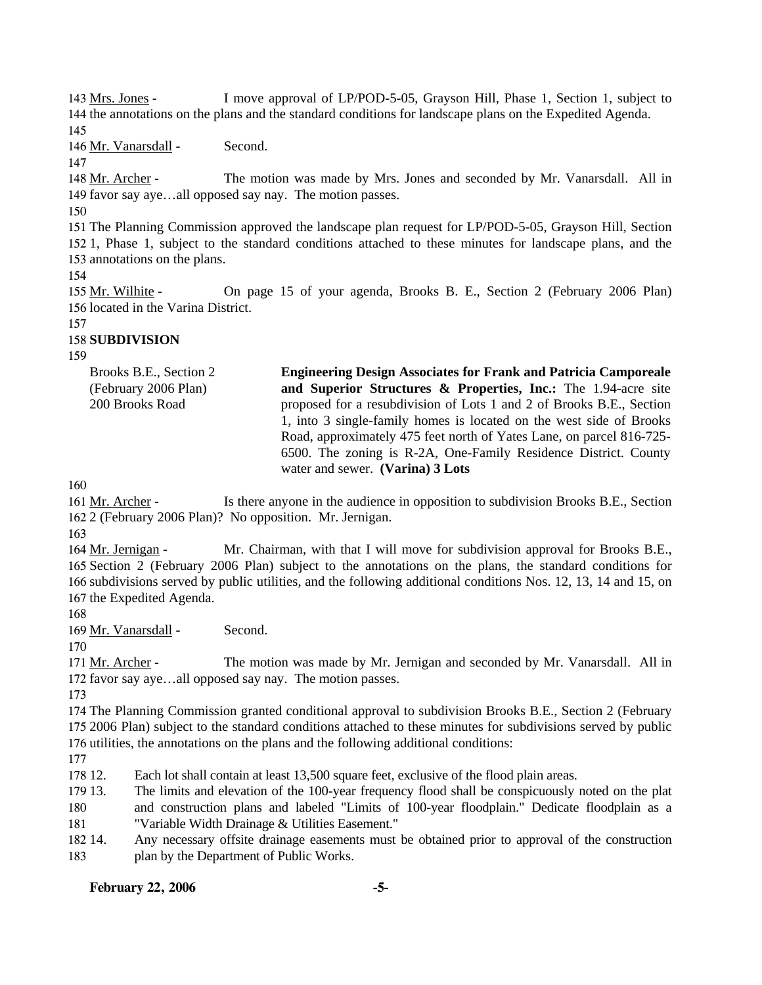I move approval of LP/POD-5-05, Grayson Hill, Phase 1, Section 1, subject to 144 the annotations on the plans and the standard conditions for landscape plans on the Expedited Agenda. 143 Mrs. Jones -

145

146 Mr. Vanarsdall - Second.

147

The motion was made by Mrs. Jones and seconded by Mr. Vanarsdall. All in 149 favor say aye...all opposed say nay. The motion passes. 148 Mr. Archer -

150

151 The Planning Commission approved the landscape plan request for LP/POD-5-05, Grayson Hill, Section 152 1, Phase 1, subject to the standard conditions attached to these minutes for landscape plans, and the 153 annotations on the plans.

154

On page 15 of your agenda, Brooks B. E., Section 2 (February 2006 Plan) 156 located in the Varina District. 155 Mr. Wilhite -

157

# 158 **SUBDIVISION**

159

| Brooks B.E., Section 2<br>(February 2006 Plan) | <b>Engineering Design Associates for Frank and Patricia Camporeale</b><br>and Superior Structures & Properties, Inc.: The 1.94-acre site |
|------------------------------------------------|------------------------------------------------------------------------------------------------------------------------------------------|
|                                                |                                                                                                                                          |
| 200 Brooks Road                                | proposed for a resubdivision of Lots 1 and 2 of Brooks B.E., Section                                                                     |
|                                                | 1, into 3 single-family homes is located on the west side of Brooks                                                                      |
|                                                | Road, approximately 475 feet north of Yates Lane, on parcel 816-725-                                                                     |
|                                                | 6500. The zoning is R-2A, One-Family Residence District. County                                                                          |
|                                                | water and sewer. (Varina) 3 Lots                                                                                                         |

160

Is there anyone in the audience in opposition to subdivision Brooks B.E., Section 2 (February 2006 Plan)? No opposition. Mr. Jernigan. 162 161 Mr. Archer -

163

Mr. Chairman, with that I will move for subdivision approval for Brooks B.E., 165 Section 2 (February 2006 Plan) subject to the annotations on the plans, the standard conditions for 166 subdivisions served by public utilities, and the following additional conditions Nos. 12, 13, 14 and 15, on 167 the Expedited Agenda. 164 Mr. Jernigan -

168

169 Mr. Vanarsdall - Second.

170

The motion was made by Mr. Jernigan and seconded by Mr. Vanarsdall. All in 172 favor say aye...all opposed say nay. The motion passes. 171 Mr. Archer -

173

174 The Planning Commission granted conditional approval to subdivision Brooks B.E., Section 2 (February 175 2006 Plan) subject to the standard conditions attached to these minutes for subdivisions served by public 176 utilities, the annotations on the plans and the following additional conditions:

177

178 12. Each lot shall contain at least 13,500 square feet, exclusive of the flood plain areas.

179 13. 180 181 13. The limits and elevation of the 100-year frequency flood shall be conspicuously noted on the plat and construction plans and labeled "Limits of 100-year floodplain." Dedicate floodplain as a "Variable Width Drainage & Utilities Easement."

182 14. 183 14. Any necessary offsite drainage easements must be obtained prior to approval of the construction plan by the Department of Public Works.

# **February 22, 2006 -5-**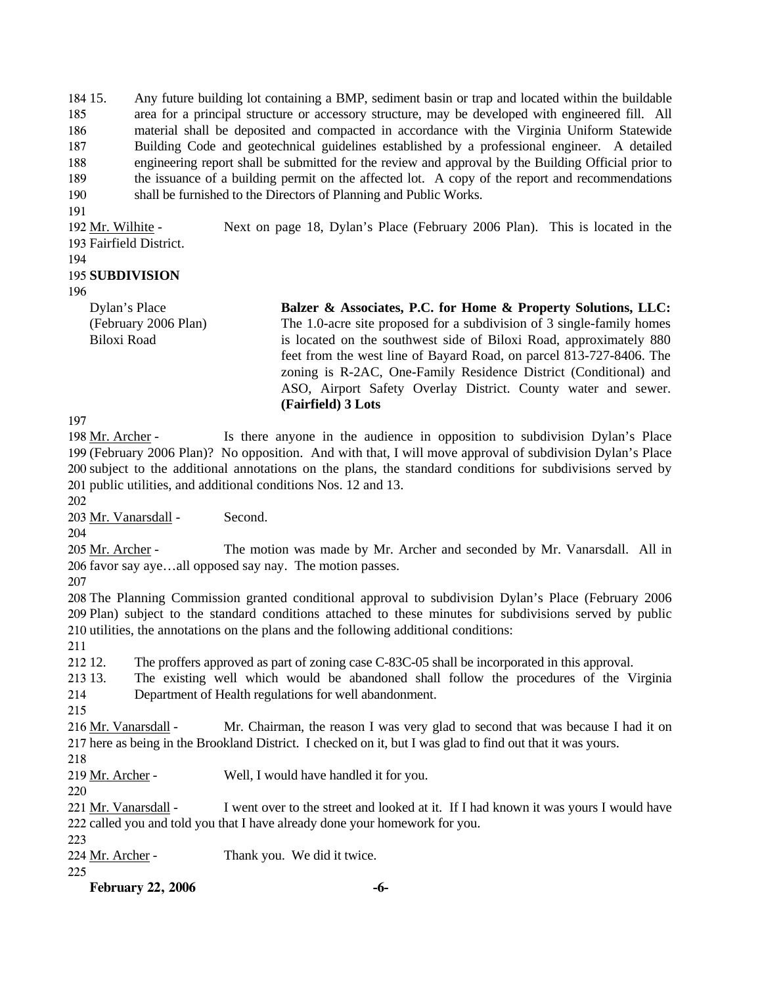184 15. 185 186 187 188 189 190 15. Any future building lot containing a BMP, sediment basin or trap and located within the buildable area for a principal structure or accessory structure, may be developed with engineered fill. All material shall be deposited and compacted in accordance with the Virginia Uniform Statewide Building Code and geotechnical guidelines established by a professional engineer. A detailed engineering report shall be submitted for the review and approval by the Building Official prior to the issuance of a building permit on the affected lot. A copy of the report and recommendations shall be furnished to the Directors of Planning and Public Works.

191

Next on page 18, Dylan's Place (February 2006 Plan). This is located in the 193 Fairfield District. 192 Mr. Wilhite -

#### 194

### 195 **SUBDIVISION**

```
196
```
Dylan's Place (February 2006 Plan) Biloxi Road

**Balzer & Associates, P.C. for Home & Property Solutions, LLC:**  The 1.0-acre site proposed for a subdivision of 3 single-family homes is located on the southwest side of Biloxi Road, approximately 880 feet from the west line of Bayard Road, on parcel 813-727-8406. The zoning is R-2AC, One-Family Residence District (Conditional) and ASO, Airport Safety Overlay District. County water and sewer. **(Fairfield) 3 Lots** 

197

Is there anyone in the audience in opposition to subdivision Dylan's Place 199 (February 2006 Plan)? No opposition. And with that, I will move approval of subdivision Dylan's Place 200 subject to the additional annotations on the plans, the standard conditions for subdivisions served by 201 public utilities, and additional conditions Nos. 12 and 13. 198 Mr. Archer -

202

203 Mr. Vanarsdall - Second.

204

The motion was made by Mr. Archer and seconded by Mr. Vanarsdall. All in 206 favor say aye...all opposed say nay. The motion passes. 205 Mr. Archer -

207

208 The Planning Commission granted conditional approval to subdivision Dylan's Place (February 2006 209 Plan) subject to the standard conditions attached to these minutes for subdivisions served by public 210 utilities, the annotations on the plans and the following additional conditions:

211

212. 12. The proffers approved as part of zoning case C-83C-05 shall be incorporated in this approval.

213.13. 214 13. The existing well which would be abandoned shall follow the procedures of the Virginia Department of Health regulations for well abandonment.

215

Mr. Chairman, the reason I was very glad to second that was because I had it on 217 here as being in the Brookland District. I checked on it, but I was glad to find out that it was yours. 216 Mr. Vanarsdall -

218

219 Mr. Archer - Well, I would have handled it for you.

220

I went over to the street and looked at it. If I had known it was yours I would have 222 called you and told you that I have already done your homework for you. 221 Mr. Vanarsdall -

- 223
- 224 Mr. Archer Thank you. We did it twice.
- 225

**February 22, 2006 -6-**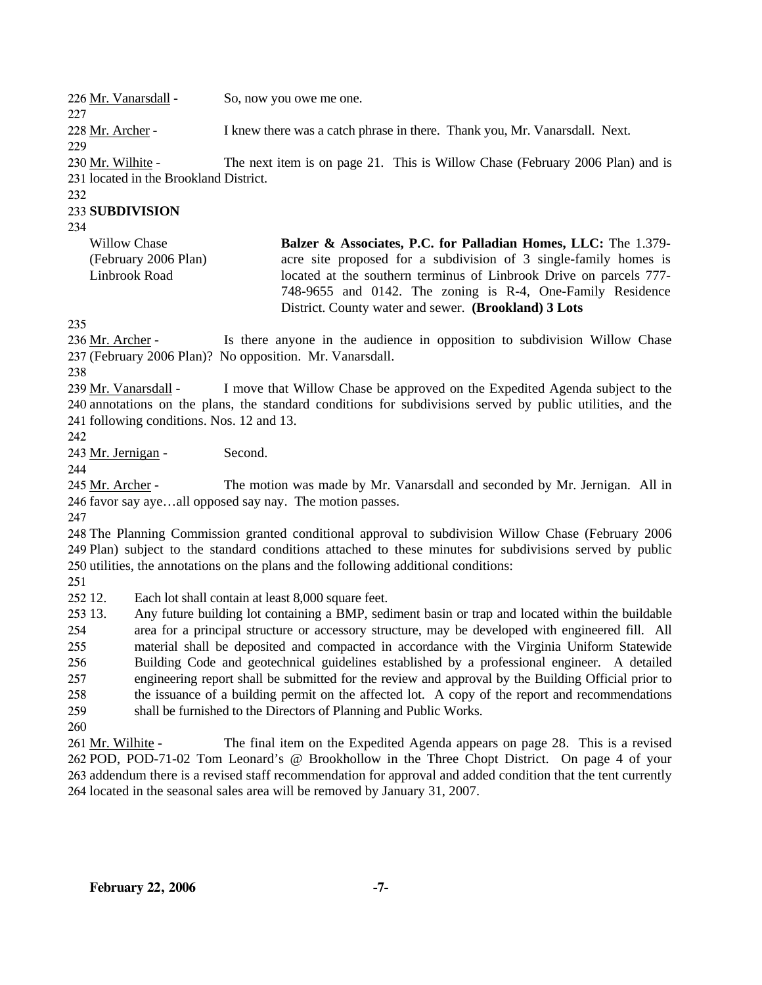| 226 Mr. Vanarsdall -                   | So, now you owe me one.                                                       |
|----------------------------------------|-------------------------------------------------------------------------------|
| 227                                    |                                                                               |
| 228 Mr. Archer -                       | I knew there was a catch phrase in there. Thank you, Mr. Vanarsdall. Next.    |
| 229                                    |                                                                               |
| 230 Mr. Wilhite -                      | The next item is on page 21. This is Willow Chase (February 2006 Plan) and is |
| 231 located in the Brookland District. |                                                                               |
|                                        |                                                                               |

232

### 233 **SUBDIVISION**

234

Willow Chase (February 2006 Plan) Linbrook Road

**Balzer & Associates, P.C. for Palladian Homes, LLC:** The 1.379 acre site proposed for a subdivision of 3 single-family homes is located at the southern terminus of Linbrook Drive on parcels 777- 748-9655 and 0142. The zoning is R-4, One-Family Residence District. County water and sewer. **(Brookland) 3 Lots** 

235

Is there anyone in the audience in opposition to subdivision Willow Chase (February 2006 Plan)? No opposition. Mr. Vanarsdall. 237 236 Mr. Archer -

238

I move that Willow Chase be approved on the Expedited Agenda subject to the 240 annotations on the plans, the standard conditions for subdivisions served by public utilities, and the 241 following conditions. Nos. 12 and 13. 239 Mr. Vanarsdall -

242

243 Mr. Jernigan - Second.

244

The motion was made by Mr. Vanarsdall and seconded by Mr. Jernigan. All in 246 favor say aye...all opposed say nay. The motion passes. 245 Mr. Archer -

247

248 The Planning Commission granted conditional approval to subdivision Willow Chase (February 2006 249 Plan) subject to the standard conditions attached to these minutes for subdivisions served by public 250 utilities, the annotations on the plans and the following additional conditions:

251

252 12. Each lot shall contain at least 8,000 square feet.

253 13. 254 255 256 257 258 259 13. Any future building lot containing a BMP, sediment basin or trap and located within the buildable area for a principal structure or accessory structure, may be developed with engineered fill. All material shall be deposited and compacted in accordance with the Virginia Uniform Statewide Building Code and geotechnical guidelines established by a professional engineer. A detailed engineering report shall be submitted for the review and approval by the Building Official prior to the issuance of a building permit on the affected lot. A copy of the report and recommendations shall be furnished to the Directors of Planning and Public Works.

260

The final item on the Expedited Agenda appears on page 28. This is a revised 262 POD, POD-71-02 Tom Leonard's @ Brookhollow in the Three Chopt District. On page 4 of your 263 addendum there is a revised staff recommendation for approval and added condition that the tent currently 264 located in the seasonal sales area will be removed by January 31, 2007. 261 Mr. Wilhite -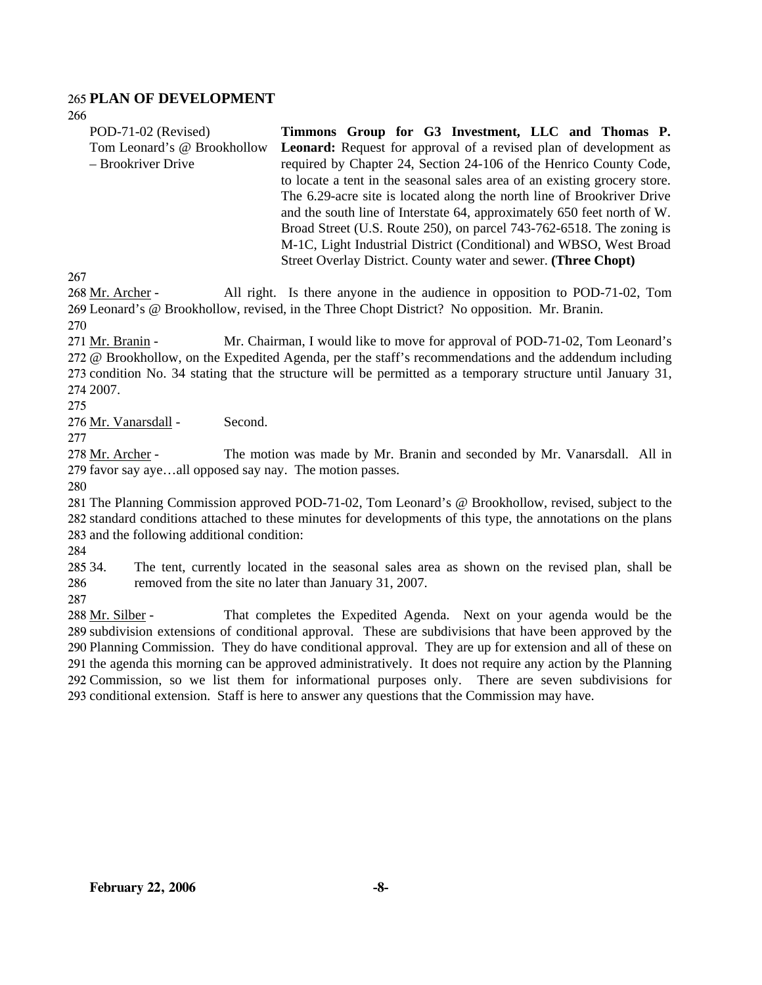### 265 **PLAN OF DEVELOPMENT**

266

| POD-71-02 (Revised)         | Timmons Group for G3 Investment, LLC and Thomas P.                        |
|-----------------------------|---------------------------------------------------------------------------|
| Tom Leonard's @ Brookhollow | <b>Leonard:</b> Request for approval of a revised plan of development as  |
| – Brookriver Drive          | required by Chapter 24, Section 24-106 of the Henrico County Code,        |
|                             | to locate a tent in the seasonal sales area of an existing grocery store. |
|                             | The 6.29-acre site is located along the north line of Brookriver Drive    |
|                             | and the south line of Interstate 64, approximately 650 feet north of W.   |
|                             | Broad Street (U.S. Route 250), on parcel 743-762-6518. The zoning is      |
|                             | M-1C, Light Industrial District (Conditional) and WBSO, West Broad        |
|                             | Street Overlay District. County water and sewer. (Three Chopt)            |
|                             |                                                                           |

267

All right. Is there anyone in the audience in opposition to POD-71-02, Tom 269 Leonard's @ Brookhollow, revised, in the Three Chopt District? No opposition. Mr. Branin. 268 Mr. Archer -

270

Mr. Chairman, I would like to move for approval of POD-71-02, Tom Leonard's 272 @ Brookhollow, on the Expedited Agenda, per the staff's recommendations and the addendum including 273 condition No. 34 stating that the structure will be permitted as a temporary structure until January 31, 274 2007. 271 Mr. Branin -

275

276 Mr. Vanarsdall - Second.

277

The motion was made by Mr. Branin and seconded by Mr. Vanarsdall. All in 279 favor say aye...all opposed say nay. The motion passes. 278 Mr. Archer -

280

281 The Planning Commission approved POD-71-02, Tom Leonard's @ Brookhollow, revised, subject to the 282 standard conditions attached to these minutes for developments of this type, the annotations on the plans 283 and the following additional condition:

284

285 34. 286 The tent, currently located in the seasonal sales area as shown on the revised plan, shall be removed from the site no later than January 31, 2007.

287

That completes the Expedited Agenda. Next on your agenda would be the 289 subdivision extensions of conditional approval. These are subdivisions that have been approved by the 290 Planning Commission. They do have conditional approval. They are up for extension and all of these on 291 the agenda this morning can be approved administratively. It does not require any action by the Planning 292 Commission, so we list them for informational purposes only. There are seven subdivisions for 293 conditional extension. Staff is here to answer any questions that the Commission may have. 288 Mr. Silber -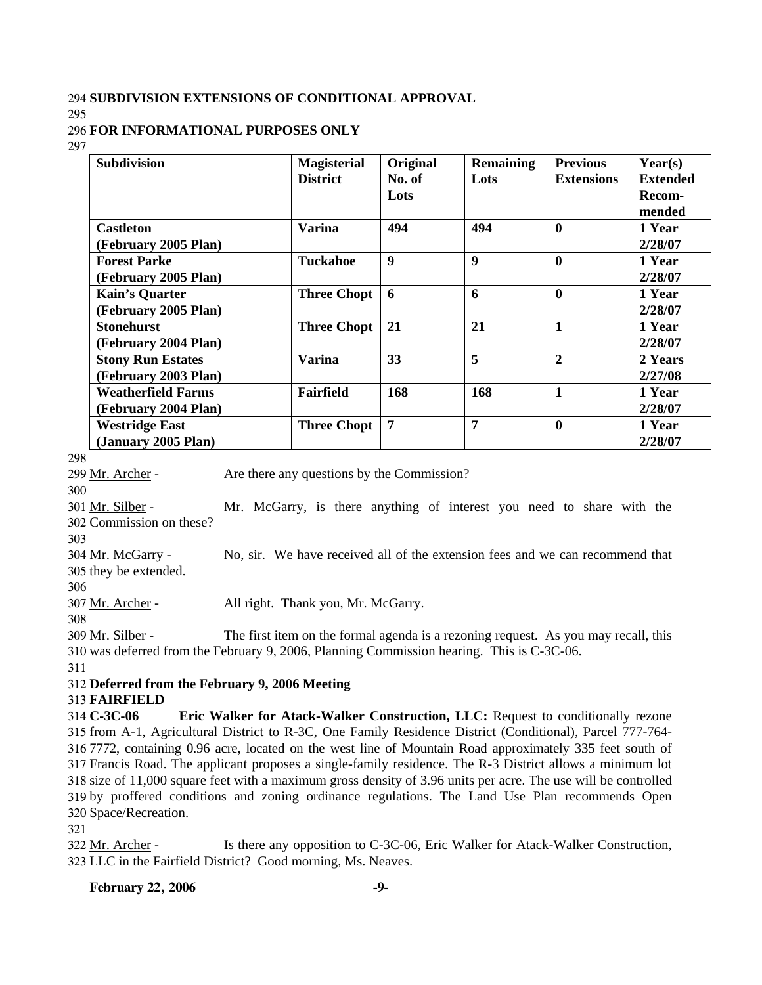#### 294 **SUBDIVISION EXTENSIONS OF CONDITIONAL APPROVAL**

295

#### 296 **FOR INFORMATIONAL PURPOSES ONLY**

297

| <b>Subdivision</b>        | <b>Magisterial</b> | Original         | <b>Remaining</b> | <b>Previous</b>   | Year(s)         |
|---------------------------|--------------------|------------------|------------------|-------------------|-----------------|
|                           | <b>District</b>    | No. of           | Lots             | <b>Extensions</b> | <b>Extended</b> |
|                           |                    | Lots             |                  |                   | Recom-          |
|                           |                    |                  |                  |                   | mended          |
| <b>Castleton</b>          | <b>Varina</b>      | 494              | 494              | $\boldsymbol{0}$  | 1 Year          |
| (February 2005 Plan)      |                    |                  |                  |                   | 2/28/07         |
| <b>Forest Parke</b>       | Tuckahoe           | $\boldsymbol{9}$ | $\boldsymbol{9}$ | $\bf{0}$          | 1 Year          |
| (February 2005 Plan)      |                    |                  |                  |                   | 2/28/07         |
| <b>Kain's Quarter</b>     | <b>Three Chopt</b> | 6                | 6                | $\boldsymbol{0}$  | 1 Year          |
| (February 2005 Plan)      |                    |                  |                  |                   | 2/28/07         |
| <b>Stonehurst</b>         | <b>Three Chopt</b> | 21               | 21               | $\mathbf{1}$      | 1 Year          |
| (February 2004 Plan)      |                    |                  |                  |                   | 2/28/07         |
| <b>Stony Run Estates</b>  | <b>Varina</b>      | 33               | 5                | $\overline{2}$    | 2 Years         |
| (February 2003 Plan)      |                    |                  |                  |                   | 2/27/08         |
| <b>Weatherfield Farms</b> | Fairfield          | 168              | 168              | $\mathbf{1}$      | 1 Year          |
| (February 2004 Plan)      |                    |                  |                  |                   | 2/28/07         |
| <b>Westridge East</b>     | <b>Three Chopt</b> | 7                | 7                | $\bf{0}$          | 1 Year          |
| (January 2005 Plan)       |                    |                  |                  |                   | 2/28/07         |

298

299 Mr. Archer - Are there any questions by the Commission?

300

Mr. McGarry, is there anything of interest you need to share with the 302 Commission on these? 301 Mr. Silber -

No, sir. We have received all of the extension fees and we can recommend that

303

304 Mr. McGarry -

305 they be extended.

306

307 Mr. Archer - All right. Thank you, Mr. McGarry.

The first item on the formal agenda is a rezoning request. As you may recall, this 310 was deferred from the February 9, 2006, Planning Commission hearing. This is C-3C-06. 309 Mr. Silber -

311

### 312 **Deferred from the February 9, 2006 Meeting**

#### 313 **FAIRFIELD**

314 C-3C-06 from A-1, Agricultural District to R-3C, One Family Residence District (Conditional), Parcel 777-764- 7772, containing 0.96 acre, located on the west line of Mountain Road approximately 335 feet south of Francis Road. The applicant proposes a single-family residence. The R-3 District allows a minimum lot size of 11,000 square feet with a maximum gross density of 3.96 units per acre. The use will be controlled by proffered conditions and zoning ordinance regulations. The Land Use Plan recommends Open Space/Recreation. **Eric Walker for Atack-Walker Construction, LLC:** Request to conditionally rezone

321

Is there any opposition to C-3C-06, Eric Walker for Atack-Walker Construction, 323 LLC in the Fairfield District? Good morning, Ms. Neaves. 322 Mr. Archer -

#### **February 22, 2006** -9-

<sup>308</sup>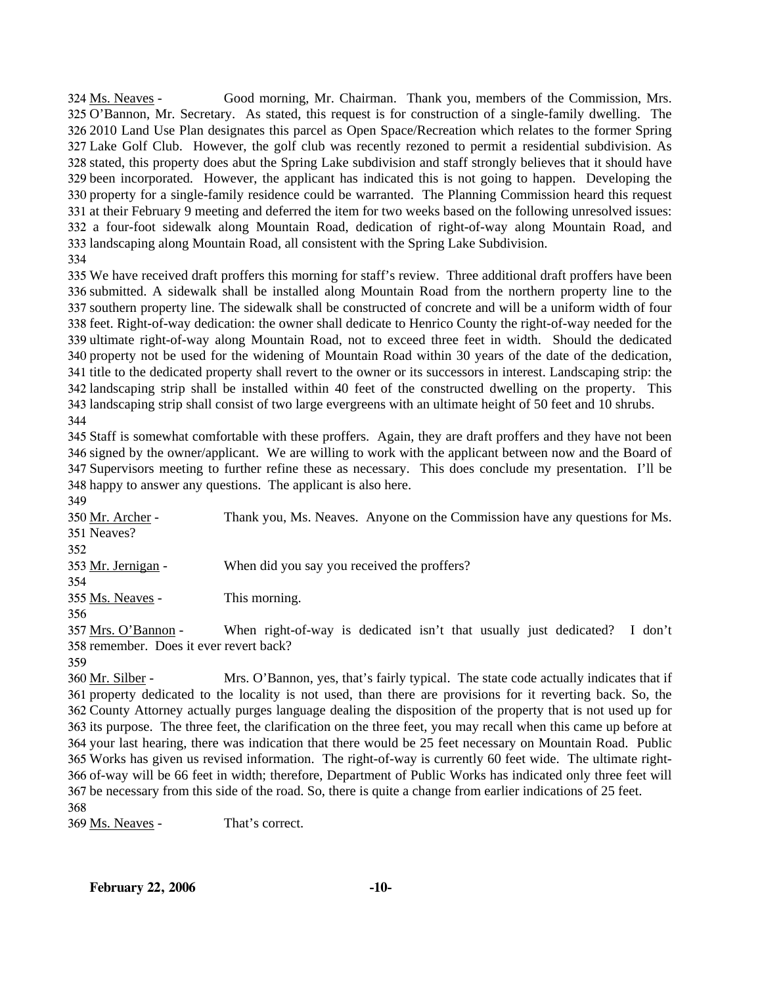Good morning, Mr. Chairman. Thank you, members of the Commission, Mrs. 325 O'Bannon, Mr. Secretary. As stated, this request is for construction of a single-family dwelling. The 2010 Land Use Plan designates this parcel as Open Space/Recreation which relates to the former Spring 326 327 Lake Golf Club. However, the golf club was recently rezoned to permit a residential subdivision. As 328 stated, this property does abut the Spring Lake subdivision and staff strongly believes that it should have 329 been incorporated. However, the applicant has indicated this is not going to happen. Developing the 330 property for a single-family residence could be warranted. The Planning Commission heard this request 331 at their February 9 meeting and deferred the item for two weeks based on the following unresolved issues: 332 a four-foot sidewalk along Mountain Road, dedication of right-of-way along Mountain Road, and 333 landscaping along Mountain Road, all consistent with the Spring Lake Subdivision. 324 Ms. Neaves -334

 We have received draft proffers this morning for staff's review. Three additional draft proffers have been submitted. A sidewalk shall be installed along Mountain Road from the northern property line to the southern property line. The sidewalk shall be constructed of concrete and will be a uniform width of four feet. Right-of-way dedication: the owner shall dedicate to Henrico County the right-of-way needed for the ultimate right-of-way along Mountain Road, not to exceed three feet in width. Should the dedicated property not be used for the widening of Mountain Road within 30 years of the date of the dedication, title to the dedicated property shall revert to the owner or its successors in interest. Landscaping strip: the landscaping strip shall be installed within 40 feet of the constructed dwelling on the property. This landscaping strip shall consist of two large evergreens with an ultimate height of 50 feet and 10 shrubs.

344

 Staff is somewhat comfortable with these proffers. Again, they are draft proffers and they have not been signed by the owner/applicant. We are willing to work with the applicant between now and the Board of Supervisors meeting to further refine these as necessary. This does conclude my presentation. I'll be happy to answer any questions. The applicant is also here.

349 Thank you, Ms. Neaves. Anyone on the Commission have any questions for Ms. 351 Neaves? 350 Mr. Archer -352 353 Mr. Jernigan - When did you say you received the proffers? 354 355 Ms. Neaves - This morning. 356

When right-of-way is dedicated isn't that usually just dedicated? I don't 358 remember. Does it ever revert back? 357 Mrs. O'Bannon -

359

Mrs. O'Bannon, yes, that's fairly typical. The state code actually indicates that if 361 property dedicated to the locality is not used, than there are provisions for it reverting back. So, the 362 County Attorney actually purges language dealing the disposition of the property that is not used up for 363 its purpose. The three feet, the clarification on the three feet, you may recall when this came up before at 364 your last hearing, there was indication that there would be 25 feet necessary on Mountain Road. Public 365 Works has given us revised information. The right-of-way is currently 60 feet wide. The ultimate right-366 of-way will be 66 feet in width; therefore, Department of Public Works has indicated only three feet will 367 be necessary from this side of the road. So, there is quite a change from earlier indications of 25 feet. 360 Mr. Silber -

368

369 Ms. Neaves - That's correct.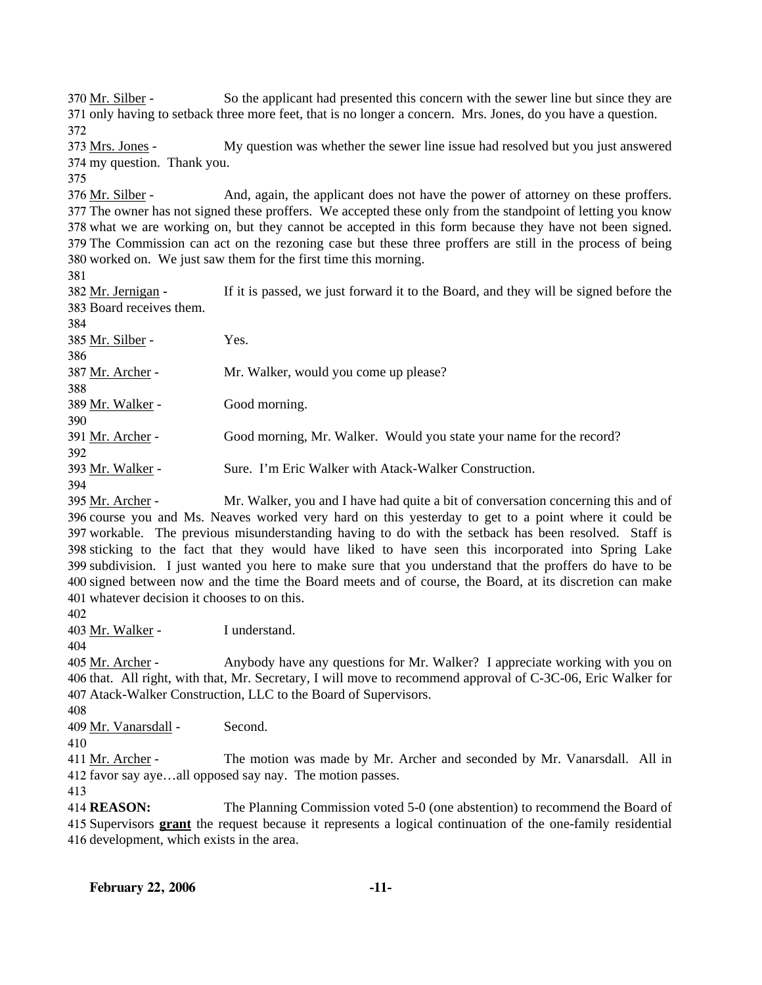So the applicant had presented this concern with the sewer line but since they are 371 only having to setback three more feet, that is no longer a concern. Mrs. Jones, do you have a question. 370 Mr. Silber -372

My question was whether the sewer line issue had resolved but you just answered 374 my question. Thank you. 373 Mrs. Jones -

375

And, again, the applicant does not have the power of attorney on these proffers. 377 The owner has not signed these proffers. We accepted these only from the standpoint of letting you know 378 what we are working on, but they cannot be accepted in this form because they have not been signed. 379 The Commission can act on the rezoning case but these three proffers are still in the process of being 380 worked on. We just saw them for the first time this morning. 376 Mr. Silber -

381

If it is passed, we just forward it to the Board, and they will be signed before the 383 Board receives them. 382 Mr. Jernigan -

| 384              |                                                                     |
|------------------|---------------------------------------------------------------------|
| 385 Mr. Silber - | Yes.                                                                |
| 386              |                                                                     |
| 387 Mr. Archer - | Mr. Walker, would you come up please?                               |
| 388              |                                                                     |
| 389 Mr. Walker - | Good morning.                                                       |
| 390              |                                                                     |
| 391 Mr. Archer - | Good morning, Mr. Walker. Would you state your name for the record? |
| 392              |                                                                     |
| 393 Mr. Walker - | Sure. I'm Eric Walker with Atack-Walker Construction.               |
| 394              |                                                                     |

Mr. Walker, you and I have had quite a bit of conversation concerning this and of 396 course you and Ms. Neaves worked very hard on this yesterday to get to a point where it could be 397 workable. The previous misunderstanding having to do with the setback has been resolved. Staff is 398 sticking to the fact that they would have liked to have seen this incorporated into Spring Lake 399 subdivision. I just wanted you here to make sure that you understand that the proffers do have to be 400 signed between now and the time the Board meets and of course, the Board, at its discretion can make whatever decision it chooses to on this. 401 395 Mr. Archer -

402

403 Mr. Walker - I understand.

404

Anybody have any questions for Mr. Walker? I appreciate working with you on 406 that. All right, with that, Mr. Secretary, I will move to recommend approval of C-3C-06, Eric Walker for Atack-Walker Construction, LLC to the Board of Supervisors. 407 405 Mr. Archer -

408

409 Mr. Vanarsdall - Second.

410

The motion was made by Mr. Archer and seconded by Mr. Vanarsdall. All in 412 favor say aye...all opposed say nay. The motion passes. 411 Mr. Archer -

413

414 **REASON:** The Planning Commission voted 5-0 (one abstention) to recommend the Board of 415 Supervisors **grant** the request because it represents a logical continuation of the one-family residential 416 development, which exists in the area.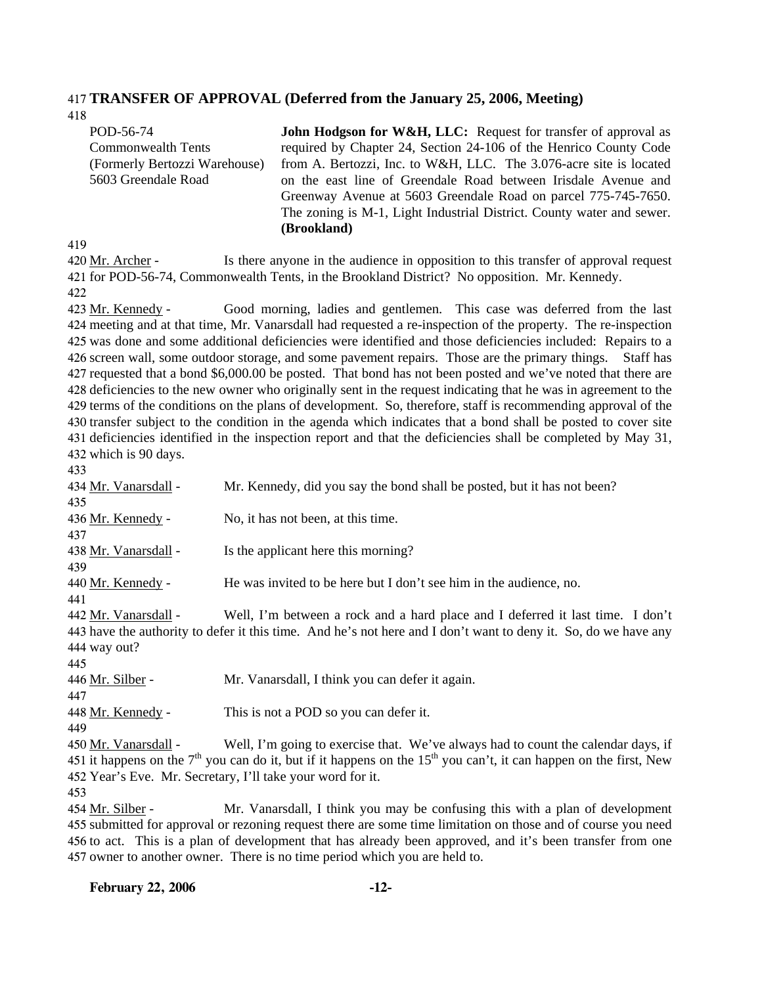#### 417 **TRANSFER OF APPROVAL (Deferred from the January 25, 2006, Meeting)**

| 418                           |                                                                           |
|-------------------------------|---------------------------------------------------------------------------|
| POD-56-74                     | <b>John Hodgson for W&amp;H, LLC:</b> Request for transfer of approval as |
| <b>Commonwealth Tents</b>     | required by Chapter 24, Section 24-106 of the Henrico County Code         |
| (Formerly Bertozzi Warehouse) | from A. Bertozzi, Inc. to W&H, LLC. The 3.076-acre site is located        |
| 5603 Greendale Road           | on the east line of Greendale Road between Irisdale Avenue and            |
|                               | Greenway Avenue at 5603 Greendale Road on parcel 775-745-7650.            |
|                               | The zoning is M-1, Light Industrial District. County water and sewer.     |
|                               | (Brookland)                                                               |

419

Is there anyone in the audience in opposition to this transfer of approval request 421 for POD-56-74, Commonwealth Tents, in the Brookland District? No opposition. Mr. Kennedy. 420 Mr. Archer -

422

Good morning, ladies and gentlemen. This case was deferred from the last 424 meeting and at that time, Mr. Vanarsdall had requested a re-inspection of the property. The re-inspection 425 was done and some additional deficiencies were identified and those deficiencies included: Repairs to a 426 screen wall, some outdoor storage, and some pavement repairs. Those are the primary things. Staff has 427 requested that a bond \$6,000.00 be posted. That bond has not been posted and we've noted that there are 428 deficiencies to the new owner who originally sent in the request indicating that he was in agreement to the 429 terms of the conditions on the plans of development. So, therefore, staff is recommending approval of the 430 transfer subject to the condition in the agenda which indicates that a bond shall be posted to cover site 431 deficiencies identified in the inspection report and that the deficiencies shall be completed by May 31, 432 which is 90 days. 423 Mr. Kennedy -

433

| 434 Mr. Vanarsdall - | Mr. Kennedy, did you say the bond shall be posted, but it has not been?                                                         |
|----------------------|---------------------------------------------------------------------------------------------------------------------------------|
| 435                  |                                                                                                                                 |
| 436 Mr. Kennedy -    | No, it has not been, at this time.                                                                                              |
| 437                  |                                                                                                                                 |
| 438 Mr. Vanarsdall - | Is the applicant here this morning?                                                                                             |
| 439                  |                                                                                                                                 |
| 440 Mr. Kennedy -    | He was invited to be here but I don't see him in the audience, no.                                                              |
| 441                  |                                                                                                                                 |
| 442 Mr. Vanarsdall - | Well, I'm between a rock and a hard place and I deferred it last time. I don't                                                  |
|                      | 443 have the authority to defer it this time. And he's not here and I don't want to deny it. So, do we have any                 |
| 444 way out?         |                                                                                                                                 |
| 445                  |                                                                                                                                 |
| 446 Mr. Silber -     | Mr. Vanarsdall, I think you can defer it again.                                                                                 |
| 447                  |                                                                                                                                 |
| 448 Mr. Kennedy -    | This is not a POD so you can defer it.                                                                                          |
| 449                  |                                                                                                                                 |
| 450 Mr. Vanarsdall - | Well, I'm going to exercise that. We've always had to count the calendar days, if                                               |
|                      | 451 it happens on the $7th$ you can do it, but if it happens on the 15 <sup>th</sup> you can't, it can happen on the first, New |
|                      | 452 Year's Eve. Mr. Secretary, I'll take your word for it.                                                                      |
| 453                  |                                                                                                                                 |
|                      |                                                                                                                                 |

Mr. Vanarsdall, I think you may be confusing this with a plan of development 455 submitted for approval or rezoning request there are some time limitation on those and of course you need 456 to act. This is a plan of development that has already been approved, and it's been transfer from one 457 owner to another owner. There is no time period which you are held to. 454 Mr. Silber -

**February 22, 2006 -12-**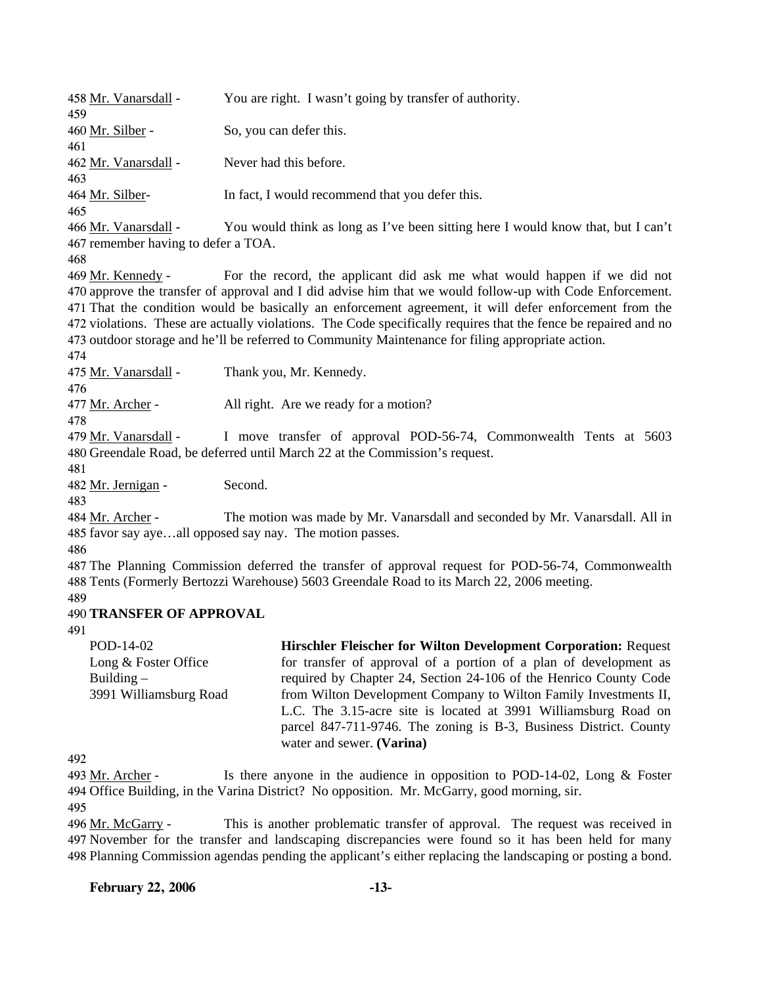| 458 Mr. Vanarsdall -                                                        | You are right. I wasn't going by transfer of authority.                                                                                                                                                                                                                                                                                                                                                                                            |
|-----------------------------------------------------------------------------|----------------------------------------------------------------------------------------------------------------------------------------------------------------------------------------------------------------------------------------------------------------------------------------------------------------------------------------------------------------------------------------------------------------------------------------------------|
| 459<br>460 <u>Mr. Silber</u> -                                              | So, you can defer this.                                                                                                                                                                                                                                                                                                                                                                                                                            |
| 461                                                                         |                                                                                                                                                                                                                                                                                                                                                                                                                                                    |
| 462 Mr. Vanarsdall -<br>463                                                 | Never had this before.                                                                                                                                                                                                                                                                                                                                                                                                                             |
| 464 <u>Mr. Silber</u> -                                                     | In fact, I would recommend that you defer this.                                                                                                                                                                                                                                                                                                                                                                                                    |
| 465<br>466 Mr. Vanarsdall -                                                 | You would think as long as I've been sitting here I would know that, but I can't                                                                                                                                                                                                                                                                                                                                                                   |
| 467 remember having to defer a TOA.                                         |                                                                                                                                                                                                                                                                                                                                                                                                                                                    |
| 468<br>469 Mr. Kennedy -                                                    | For the record, the applicant did ask me what would happen if we did not                                                                                                                                                                                                                                                                                                                                                                           |
| 474                                                                         | 470 approve the transfer of approval and I did advise him that we would follow-up with Code Enforcement.<br>471 That the condition would be basically an enforcement agreement, it will defer enforcement from the<br>472 violations. These are actually violations. The Code specifically requires that the fence be repaired and no<br>473 outdoor storage and he'll be referred to Community Maintenance for filing appropriate action.         |
| 475 Mr. Vanarsdall -                                                        | Thank you, Mr. Kennedy.                                                                                                                                                                                                                                                                                                                                                                                                                            |
| 476                                                                         |                                                                                                                                                                                                                                                                                                                                                                                                                                                    |
| 477 Mr. Archer -<br>478                                                     | All right. Are we ready for a motion?                                                                                                                                                                                                                                                                                                                                                                                                              |
| 479 Mr. Vanarsdall -                                                        | I move transfer of approval POD-56-74, Commonwealth Tents at 5603<br>480 Greendale Road, be deferred until March 22 at the Commission's request.                                                                                                                                                                                                                                                                                                   |
| 481<br>482 Mr. Jernigan -<br>483                                            | Second.                                                                                                                                                                                                                                                                                                                                                                                                                                            |
| 484 <u>Mr. Archer</u> -                                                     | The motion was made by Mr. Vanarsdall and seconded by Mr. Vanarsdall. All in<br>485 favor say ayeall opposed say nay. The motion passes.                                                                                                                                                                                                                                                                                                           |
| 486                                                                         |                                                                                                                                                                                                                                                                                                                                                                                                                                                    |
| 489                                                                         | 487 The Planning Commission deferred the transfer of approval request for POD-56-74, Commonwealth<br>488 Tents (Formerly Bertozzi Warehouse) 5603 Greendale Road to its March 22, 2006 meeting.                                                                                                                                                                                                                                                    |
| <b>490 TRANSFER OF APPROVAL</b>                                             |                                                                                                                                                                                                                                                                                                                                                                                                                                                    |
| 491                                                                         |                                                                                                                                                                                                                                                                                                                                                                                                                                                    |
| POD-14-02<br>Long & Foster Office<br>Building $-$<br>3991 Williamsburg Road | Hirschler Fleischer for Wilton Development Corporation: Request<br>for transfer of approval of a portion of a plan of development as<br>required by Chapter 24, Section 24-106 of the Henrico County Code<br>from Wilton Development Company to Wilton Family Investments II,<br>L.C. The 3.15-acre site is located at 3991 Williamsburg Road on<br>parcel 847-711-9746. The zoning is B-3, Business District. County<br>water and sewer. (Varina) |
| 492                                                                         |                                                                                                                                                                                                                                                                                                                                                                                                                                                    |
| 493 Mr. Archer -<br>495                                                     | Is there anyone in the audience in opposition to POD-14-02, Long $\&$ Foster<br>494 Office Building, in the Varina District? No opposition. Mr. McGarry, good morning, sir.                                                                                                                                                                                                                                                                        |

This is another problematic transfer of approval. The request was received in 497 November for the transfer and landscaping discrepancies were found so it has been held for many 498 Planning Commission agendas pending the applicant's either replacing the landscaping or posting a bond. 496 Mr. McGarry -

**February 22, 2006 -13-**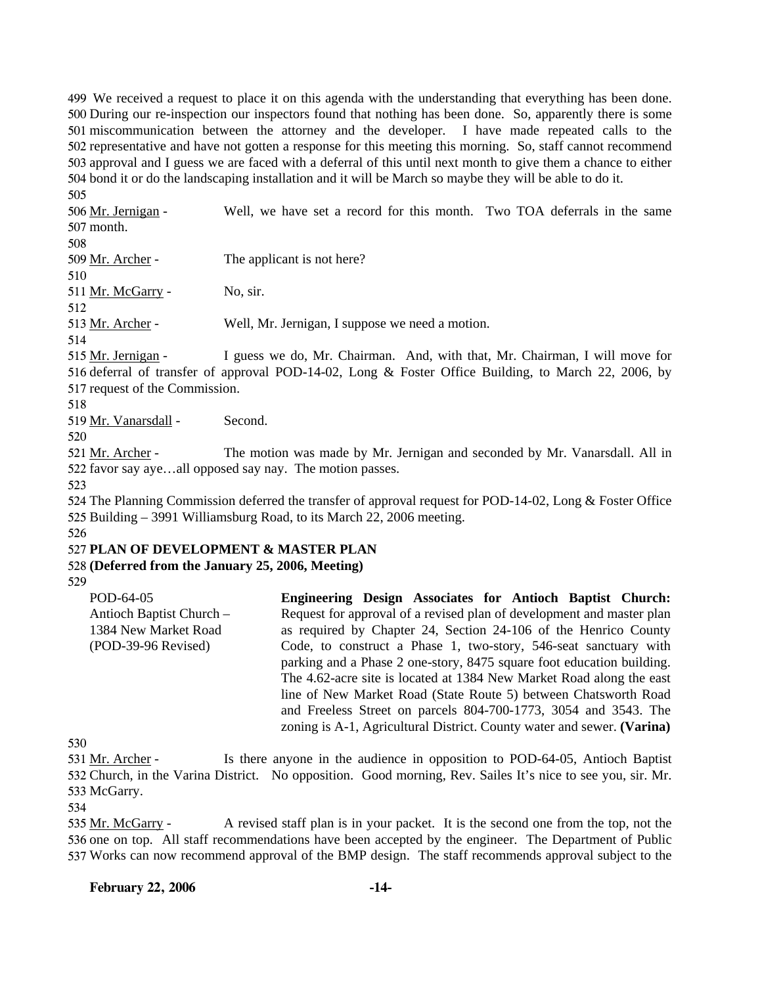We received a request to place it on this agenda with the understanding that everything has been done. During our re-inspection our inspectors found that nothing has been done. So, apparently there is some miscommunication between the attorney and the developer. I have made repeated calls to the representative and have not gotten a response for this meeting this morning. So, staff cannot recommend approval and I guess we are faced with a deferral of this until next month to give them a chance to either bond it or do the landscaping installation and it will be March so maybe they will be able to do it.

505

Well, we have set a record for this month. Two TOA deferrals in the same 507 month. 506 Mr. Jernigan -

508

510

509 Mr. Archer - The applicant is not here?

511 Mr. McGarry - No. sir. 512

513 Mr. Archer - Well, Mr. Jernigan, I suppose we need a motion.

514

I guess we do, Mr. Chairman. And, with that, Mr. Chairman, I will move for 516 deferral of transfer of approval POD-14-02, Long & Foster Office Building, to March 22, 2006, by 517 request of the Commission. 515 Mr. Jernigan -

518

519 Mr. Vanarsdall - Second.

520

The motion was made by Mr. Jernigan and seconded by Mr. Vanarsdall. All in 522 favor say aye...all opposed say nay. The motion passes. 521 Mr. Archer -

523

524 The Planning Commission deferred the transfer of approval request for POD-14-02, Long & Foster Office 525 Building – 3991 Williamsburg Road, to its March 22, 2006 meeting.

526

## 527 **PLAN OF DEVELOPMENT & MASTER PLAN**

## 528 **(Deferred from the January 25, 2006, Meeting)**

529

POD-64-05 Antioch Baptist Church – 1384 New Market Road (POD-39-96 Revised) **Engineering Design Associates for Antioch Baptist Church:**  Request for approval of a revised plan of development and master plan as required by Chapter 24, Section 24-106 of the Henrico County Code, to construct a Phase 1, two-story, 546-seat sanctuary with parking and a Phase 2 one-story, 8475 square foot education building. The 4.62-acre site is located at 1384 New Market Road along the east line of New Market Road (State Route 5) between Chatsworth Road and Freeless Street on parcels 804-700-1773, 3054 and 3543. The zoning is A-1, Agricultural District. County water and sewer. **(Varina)** 

530

Is there anyone in the audience in opposition to POD-64-05, Antioch Baptist 532 Church, in the Varina District. No opposition. Good morning, Rev. Sailes It's nice to see you, sir. Mr. 533 McGarry. 531 Mr. Archer -

534

A revised staff plan is in your packet. It is the second one from the top, not the 536 one on top. All staff recommendations have been accepted by the engineer. The Department of Public 537 Works can now recommend approval of the BMP design. The staff recommends approval subject to the 535 Mr. McGarry -

## **February 22, 2006 -14-**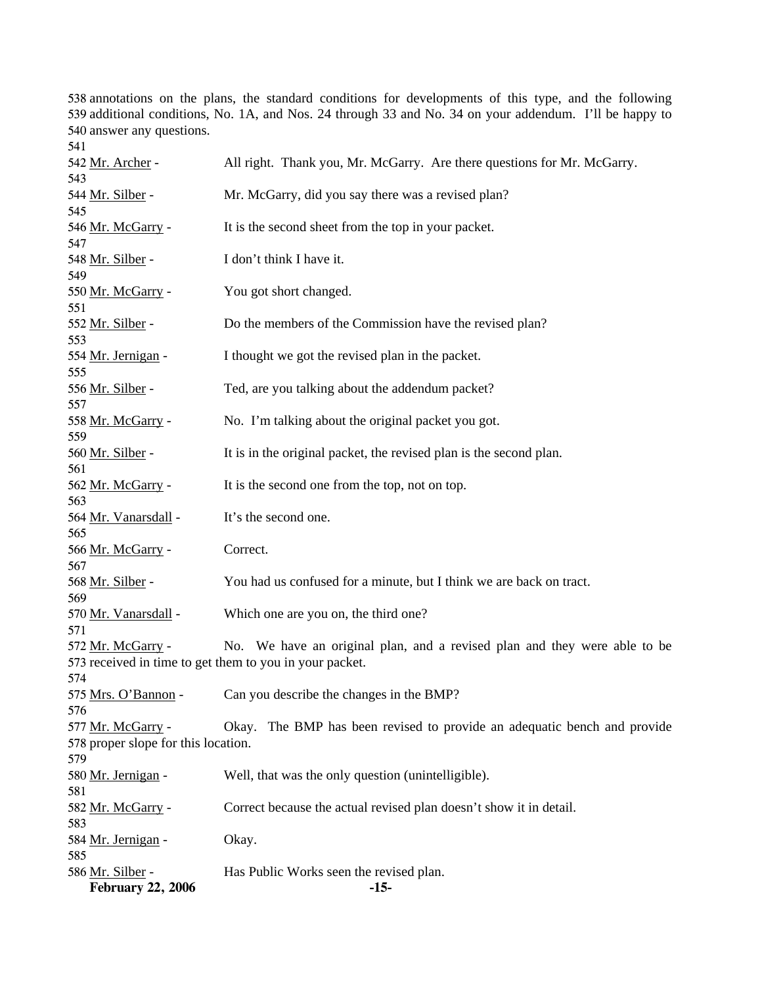answer any questions. annotations on the plans, the standard conditions for developments of this type, and the following additional conditions, No. 1A, and Nos. 24 through 33 and No. 34 on your addendum. I'll be happy to

| 541                                 |                                                                           |
|-------------------------------------|---------------------------------------------------------------------------|
| 542 Mr. Archer -                    | All right. Thank you, Mr. McGarry. Are there questions for Mr. McGarry.   |
| 543                                 |                                                                           |
| 544 Mr. Silber -                    | Mr. McGarry, did you say there was a revised plan?                        |
| 545                                 |                                                                           |
| 546 Mr. McGarry -                   | It is the second sheet from the top in your packet.                       |
| 547                                 |                                                                           |
| 548 Mr. Silber -                    | I don't think I have it.                                                  |
| 549                                 |                                                                           |
| 550 Mr. McGarry -<br>551            | You got short changed.                                                    |
| 552 Mr. Silber -                    | Do the members of the Commission have the revised plan?                   |
| 553                                 |                                                                           |
| 554 Mr. Jernigan -                  | I thought we got the revised plan in the packet.                          |
| 555                                 |                                                                           |
| 556 Mr. Silber -                    | Ted, are you talking about the addendum packet?                           |
| 557                                 |                                                                           |
| 558 Mr. McGarry -                   | No. I'm talking about the original packet you got.                        |
| 559                                 |                                                                           |
| 560 Mr. Silber -                    | It is in the original packet, the revised plan is the second plan.        |
| 561                                 |                                                                           |
| 562 Mr. McGarry -                   | It is the second one from the top, not on top.                            |
| 563                                 |                                                                           |
| 564 Mr. Vanarsdall -<br>565         | It's the second one.                                                      |
| 566 Mr. McGarry -                   | Correct.                                                                  |
| 567                                 |                                                                           |
| 568 Mr. Silber -                    | You had us confused for a minute, but I think we are back on tract.       |
| 569                                 |                                                                           |
| 570 Mr. Vanarsdall -                | Which one are you on, the third one?                                      |
| 571                                 |                                                                           |
| 572 Mr. McGarry -                   | No. We have an original plan, and a revised plan and they were able to be |
|                                     | 573 received in time to get them to you in your packet.                   |
| 574                                 |                                                                           |
|                                     | 575 Mrs. O'Bannon - Can you describe the changes in the BMP?              |
| 576                                 |                                                                           |
| 577 Mr. McGarry -                   | Okay. The BMP has been revised to provide an adequatic bench and provide  |
| 578 proper slope for this location. |                                                                           |
| 579                                 |                                                                           |
| 580 Mr. Jernigan -                  | Well, that was the only question (unintelligible).                        |
| 581<br>582 Mr. McGarry -            | Correct because the actual revised plan doesn't show it in detail.        |
| 583                                 |                                                                           |
| 584 Mr. Jernigan -                  | Okay.                                                                     |
| 585                                 |                                                                           |
| 586 Mr. Silber -                    | Has Public Works seen the revised plan.                                   |
| <b>February 22, 2006</b>            | $-15-$                                                                    |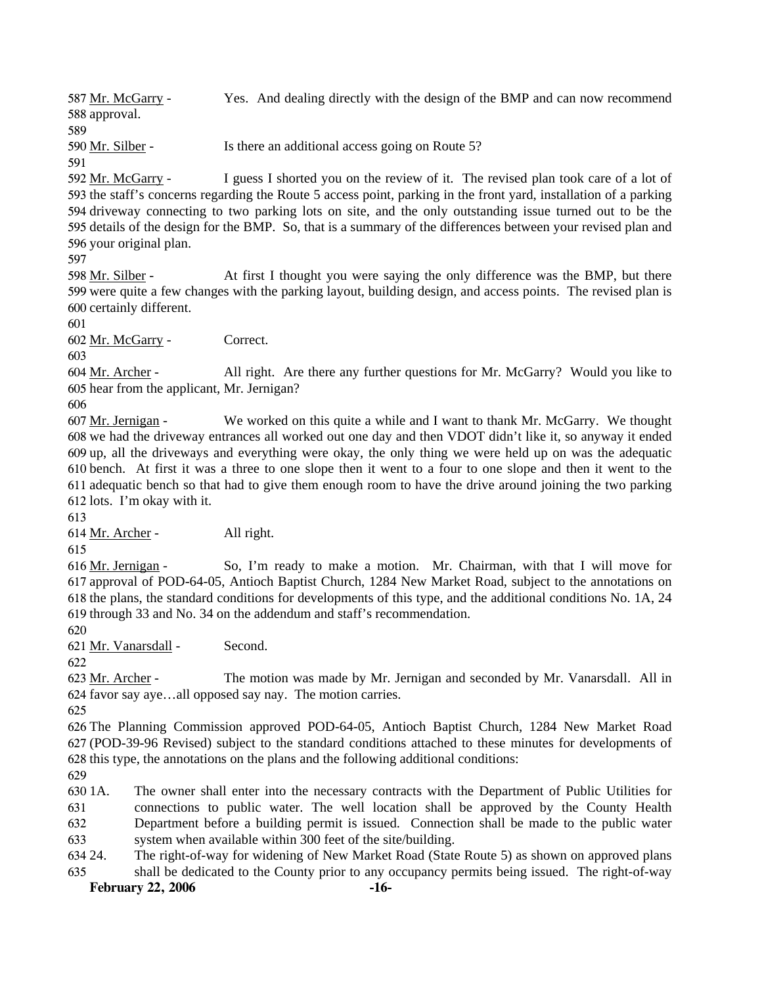Yes. And dealing directly with the design of the BMP and can now recommend 588 approval. 587 Mr. McGarry -589

590 Mr. Silber - Is there an additional access going on Route 5?

591

I guess I shorted you on the review of it. The revised plan took care of a lot of 593 the staff's concerns regarding the Route 5 access point, parking in the front yard, installation of a parking 594 driveway connecting to two parking lots on site, and the only outstanding issue turned out to be the 595 details of the design for the BMP. So, that is a summary of the differences between your revised plan and 596 your original plan. 592 Mr. McGarry -

597

At first I thought you were saying the only difference was the BMP, but there 599 were quite a few changes with the parking layout, building design, and access points. The revised plan is 600 certainly different. 598 Mr. Silber -

601

602 Mr. McGarry - Correct.

603

All right. Are there any further questions for Mr. McGarry? Would you like to 605 hear from the applicant, Mr. Jernigan? 604 Mr. Archer -

606

We worked on this quite a while and I want to thank Mr. McGarry. We thought 608 we had the driveway entrances all worked out one day and then VDOT didn't like it, so anyway it ended 609 up, all the driveways and everything were okay, the only thing we were held up on was the adequatic bench. At first it was a three to one slope then it went to a four to one slope and then it went to the 610 611 adequatic bench so that had to give them enough room to have the drive around joining the two parking 612 lots. I'm okay with it. 607 Mr. Jernigan -

613

614 Mr. Archer - All right.

615

So, I'm ready to make a motion. Mr. Chairman, with that I will move for 617 approval of POD-64-05, Antioch Baptist Church, 1284 New Market Road, subject to the annotations on 618 the plans, the standard conditions for developments of this type, and the additional conditions No. 1A, 24 619 through 33 and No. 34 on the addendum and staff's recommendation. 616 Mr. Jernigan -

620

621 Mr. Vanarsdall - Second.

622

The motion was made by Mr. Jernigan and seconded by Mr. Vanarsdall. All in 624 favor say aye...all opposed say nay. The motion carries. 623 Mr. Archer -

625

626 The Planning Commission approved POD-64-05, Antioch Baptist Church, 1284 New Market Road 627 (POD-39-96 Revised) subject to the standard conditions attached to these minutes for developments of 628 this type, the annotations on the plans and the following additional conditions:

629

630 1A. 631 632 633 1A. The owner shall enter into the necessary contracts with the Department of Public Utilities for connections to public water. The well location shall be approved by the County Health Department before a building permit is issued. Connection shall be made to the public water system when available within 300 feet of the site/building.

634 24. 635 The right-of-way for widening of New Market Road (State Route 5) as shown on approved plans shall be dedicated to the County prior to any occupancy permits being issued. The right-of-way

**February 22, 2006 -16-**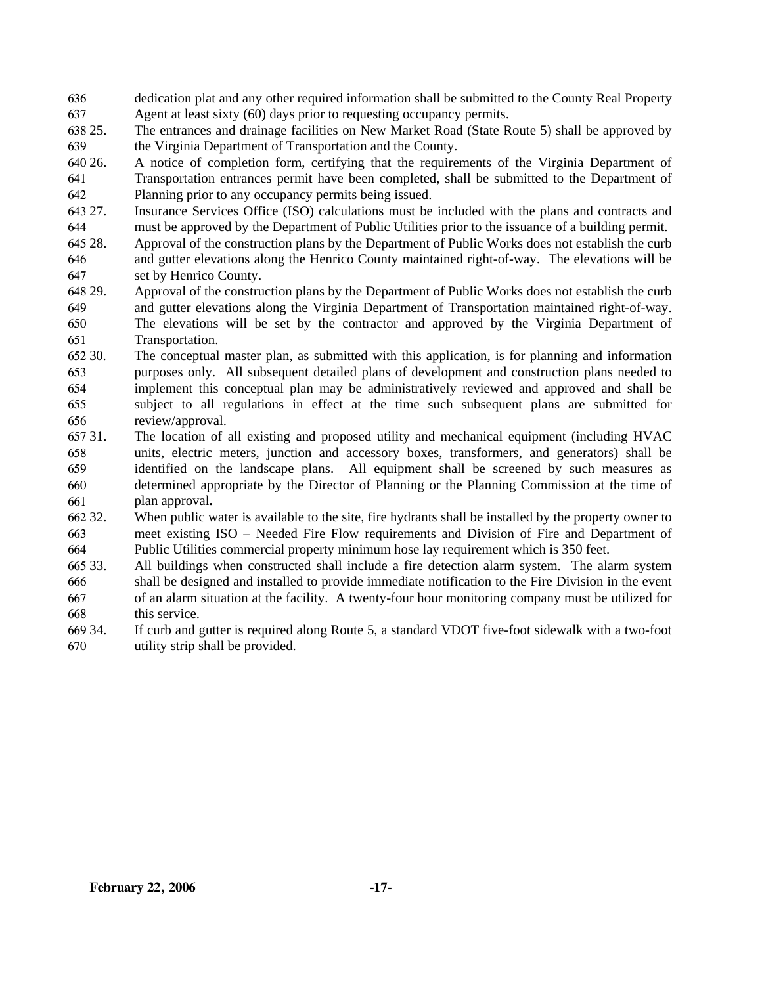- 636 637 dedication plat and any other required information shall be submitted to the County Real Property Agent at least sixty (60) days prior to requesting occupancy permits.
- 638 25. 639 The entrances and drainage facilities on New Market Road (State Route 5) shall be approved by the Virginia Department of Transportation and the County.
- 640 26. 641 26. A notice of completion form, certifying that the requirements of the Virginia Department of Transportation entrances permit have been completed, shall be submitted to the Department of
- 642 Planning prior to any occupancy permits being issued.
- 643 27. 644 Insurance Services Office (ISO) calculations must be included with the plans and contracts and must be approved by the Department of Public Utilities prior to the issuance of a building permit.
- 645 28. 646 647 28. Approval of the construction plans by the Department of Public Works does not establish the curb and gutter elevations along the Henrico County maintained right-of-way. The elevations will be set by Henrico County.
- 648 29. 649 650 651 29. Approval of the construction plans by the Department of Public Works does not establish the curb and gutter elevations along the Virginia Department of Transportation maintained right-of-way. The elevations will be set by the contractor and approved by the Virginia Department of Transportation.
- 652 30. 653 654 655 656 The conceptual master plan, as submitted with this application, is for planning and information purposes only. All subsequent detailed plans of development and construction plans needed to implement this conceptual plan may be administratively reviewed and approved and shall be subject to all regulations in effect at the time such subsequent plans are submitted for review/approval.
- 657 31. 658 659 660 661 31. The location of all existing and proposed utility and mechanical equipment (including HVAC units, electric meters, junction and accessory boxes, transformers, and generators) shall be identified on the landscape plans. All equipment shall be screened by such measures as determined appropriate by the Director of Planning or the Planning Commission at the time of plan approval**.**
- 662 32. 663 664 When public water is available to the site, fire hydrants shall be installed by the property owner to meet existing ISO – Needed Fire Flow requirements and Division of Fire and Department of Public Utilities commercial property minimum hose lay requirement which is 350 feet.
- 665 33. 666 667 668 33. All buildings when constructed shall include a fire detection alarm system. The alarm system shall be designed and installed to provide immediate notification to the Fire Division in the event of an alarm situation at the facility. A twenty-four hour monitoring company must be utilized for this service.
- 669 34. 670 If curb and gutter is required along Route 5, a standard VDOT five-foot sidewalk with a two-foot utility strip shall be provided.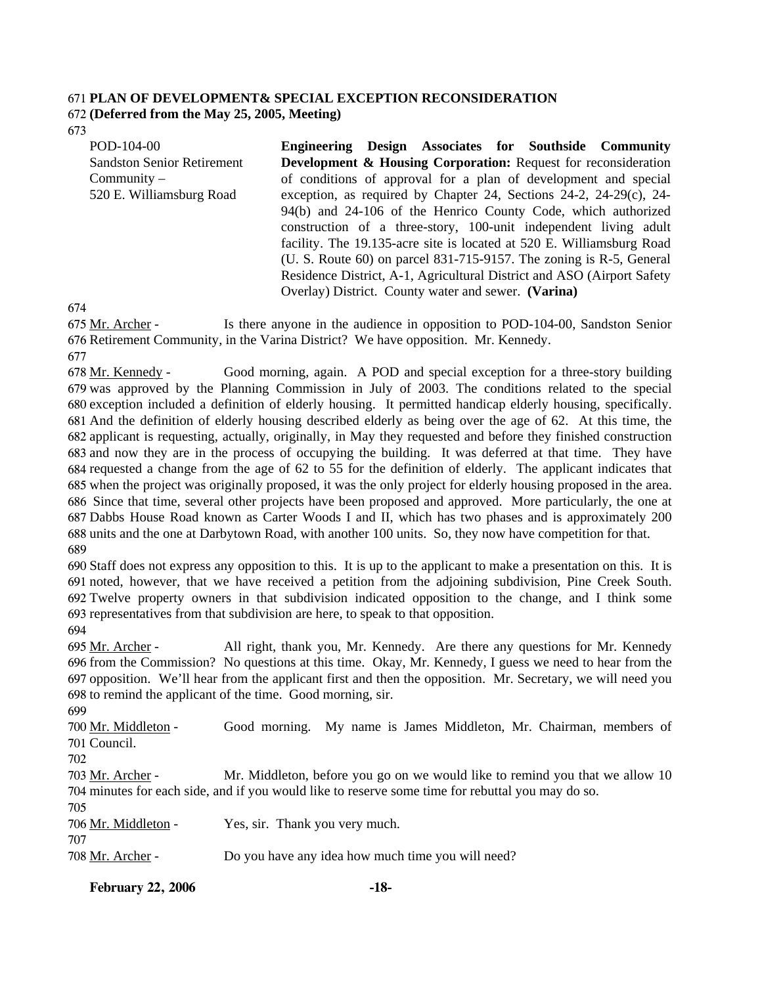# 671 **PLAN OF DEVELOPMENT& SPECIAL EXCEPTION RECONSIDERATION**

### 672 **(Deferred from the May 25, 2005, Meeting)**

673

| POD-104-00                        | Engineering Design Associates for Southside Community                           |  |  |  |
|-----------------------------------|---------------------------------------------------------------------------------|--|--|--|
| <b>Sandston Senior Retirement</b> | <b>Development &amp; Housing Corporation:</b> Request for reconsideration       |  |  |  |
| $Commuty -$                       | of conditions of approval for a plan of development and special                 |  |  |  |
| 520 E. Williamsburg Road          | exception, as required by Chapter 24, Sections $24-2$ , $24-29(c)$ , $24-29(c)$ |  |  |  |
|                                   | 94(b) and 24-106 of the Henrico County Code, which authorized                   |  |  |  |
|                                   | construction of a three-story, 100-unit independent living adult                |  |  |  |
|                                   | facility. The 19.135-acre site is located at 520 E. Williamsburg Road           |  |  |  |
|                                   | (U. S. Route $60$ ) on parcel 831-715-9157. The zoning is R-5, General          |  |  |  |
|                                   | Residence District, A-1, Agricultural District and ASO (Airport Safety)         |  |  |  |
|                                   | Overlay) District. County water and sewer. (Varina)                             |  |  |  |

674

Is there anyone in the audience in opposition to POD-104-00, Sandston Senior 676 Retirement Community, in the Varina District? We have opposition. Mr. Kennedy. 675 Mr. Archer -

677

Good morning, again. A POD and special exception for a three-story building 679 was approved by the Planning Commission in July of 2003. The conditions related to the special 680 exception included a definition of elderly housing. It permitted handicap elderly housing, specifically. And the definition of elderly housing described elderly as being over the age of 62. At this time, the 681 682 applicant is requesting, actually, originally, in May they requested and before they finished construction 683 and now they are in the process of occupying the building. It was deferred at that time. They have 684 requested a change from the age of 62 to 55 for the definition of elderly. The applicant indicates that 685 when the project was originally proposed, it was the only project for elderly housing proposed in the area. 686 Since that time, several other projects have been proposed and approved. More particularly, the one at 687 Dabbs House Road known as Carter Woods I and II, which has two phases and is approximately 200 688 units and the one at Darbytown Road, with another 100 units. So, they now have competition for that. 678 Mr. Kennedy -689

 Staff does not express any opposition to this. It is up to the applicant to make a presentation on this. It is noted, however, that we have received a petition from the adjoining subdivision, Pine Creek South. Twelve property owners in that subdivision indicated opposition to the change, and I think some representatives from that subdivision are here, to speak to that opposition.

694

All right, thank you, Mr. Kennedy. Are there any questions for Mr. Kennedy 696 from the Commission? No questions at this time. Okay, Mr. Kennedy, I guess we need to hear from the 697 opposition. We'll hear from the applicant first and then the opposition. Mr. Secretary, we will need you 698 to remind the applicant of the time. Good morning, sir. 695 Mr. Archer -

699

Good morning. My name is James Middleton, Mr. Chairman, members of 701 Council. 700 Mr. Middleton -

702

707

Mr. Middleton, before you go on we would like to remind you that we allow 10 704 minutes for each side, and if you would like to reserve some time for rebuttal you may do so. 703 Mr. Archer -705

706 Mr. Middleton - Yes, sir. Thank you very much.

| 708 Mr. Archer - | Do you have any idea how much time you will need? |
|------------------|---------------------------------------------------|

**February 22, 2006 -18-**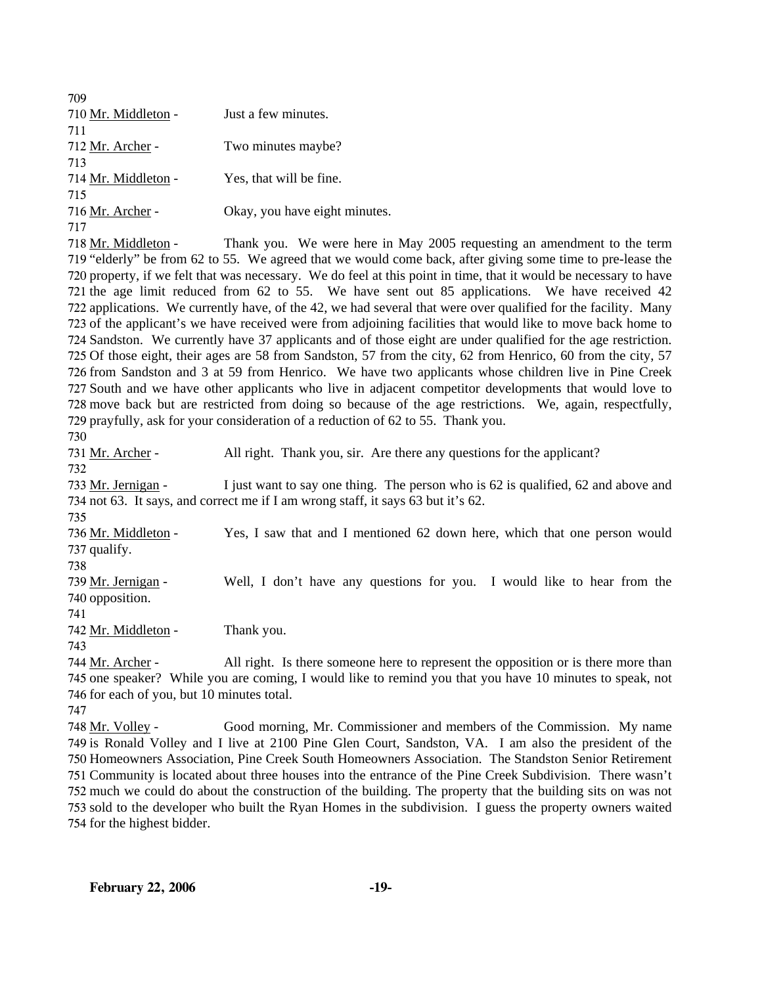| 709                 |                               |
|---------------------|-------------------------------|
| 710 Mr. Middleton - | Just a few minutes.           |
| 711                 |                               |
| 712 Mr. Archer -    | Two minutes maybe?            |
| 713                 |                               |
| 714 Mr. Middleton - | Yes, that will be fine.       |
| 715                 |                               |
| 716 Mr. Archer -    | Okay, you have eight minutes. |
| 717                 |                               |

Thank you. We were here in May 2005 requesting an amendment to the term 719 "elderly" be from 62 to 55. We agreed that we would come back, after giving some time to pre-lease the 720 property, if we felt that was necessary. We do feel at this point in time, that it would be necessary to have 721 the age limit reduced from 62 to 55. We have sent out 85 applications. We have received 42 722 applications. We currently have, of the 42, we had several that were over qualified for the facility. Many 723 of the applicant's we have received were from adjoining facilities that would like to move back home to 724 Sandston. We currently have 37 applicants and of those eight are under qualified for the age restriction. 725 Of those eight, their ages are 58 from Sandston, 57 from the city, 62 from Henrico, 60 from the city, 57 726 from Sandston and 3 at 59 from Henrico. We have two applicants whose children live in Pine Creek 727 South and we have other applicants who live in adjacent competitor developments that would love to 728 move back but are restricted from doing so because of the age restrictions. We, again, respectfully, 729 prayfully, ask for your consideration of a reduction of 62 to 55. Thank you. 718 Mr. Middleton -

730

731 Mr. Archer - All right. Thank you, sir. Are there any questions for the applicant?

732

I just want to say one thing. The person who is 62 is qualified, 62 and above and 734 not 63. It says, and correct me if I am wrong staff, it says 63 but it's 62. 733 Mr. Jernigan -

735

Yes, I saw that and I mentioned 62 down here, which that one person would 737 qualify. 736 Mr. Middleton -

738

Well, I don't have any questions for you. I would like to hear from the 740 opposition. 739 Mr. Jernigan -

741 742 Mr. Middleton - Thank you.

743

All right. Is there someone here to represent the opposition or is there more than 745 one speaker? While you are coming, I would like to remind you that you have 10 minutes to speak, not 746 for each of you, but 10 minutes total. 744 Mr. Archer -

747

Good morning, Mr. Commissioner and members of the Commission. My name 749 is Ronald Volley and I live at 2100 Pine Glen Court, Sandston, VA. I am also the president of the 750 Homeowners Association, Pine Creek South Homeowners Association. The Standston Senior Retirement 751 Community is located about three houses into the entrance of the Pine Creek Subdivision. There wasn't 752 much we could do about the construction of the building. The property that the building sits on was not 753 sold to the developer who built the Ryan Homes in the subdivision. I guess the property owners waited 754 for the highest bidder. 748 Mr. Vollev -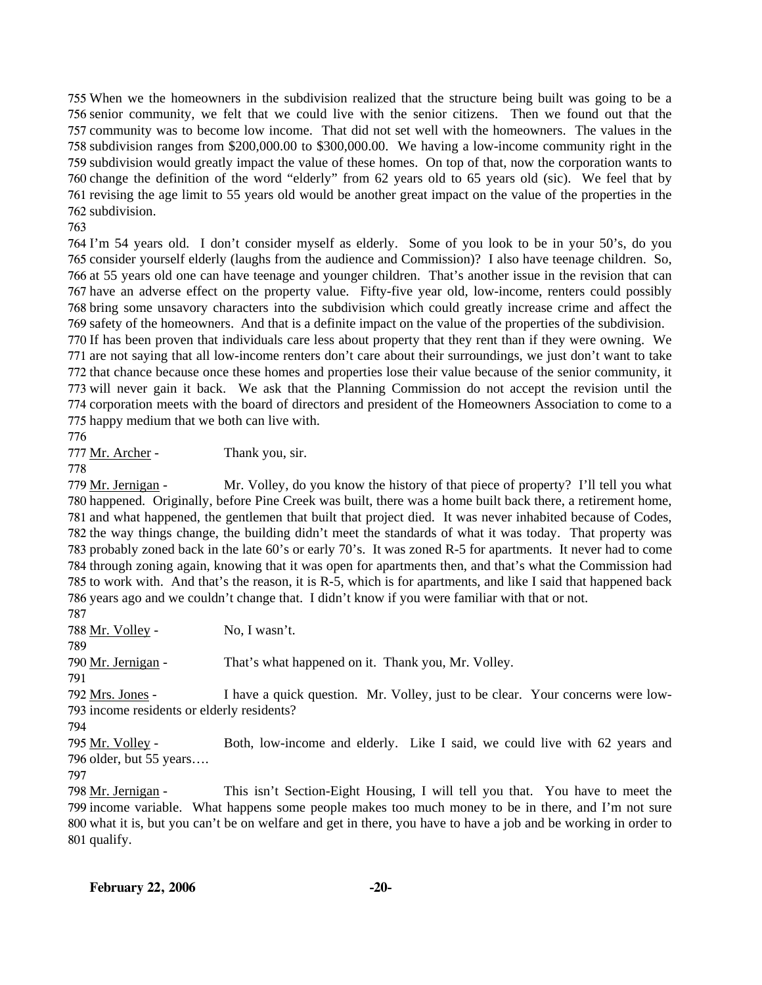When we the homeowners in the subdivision realized that the structure being built was going to be a senior community, we felt that we could live with the senior citizens. Then we found out that the community was to become low income. That did not set well with the homeowners. The values in the subdivision ranges from \$200,000.00 to \$300,000.00. We having a low-income community right in the subdivision would greatly impact the value of these homes. On top of that, now the corporation wants to change the definition of the word "elderly" from 62 years old to 65 years old (sic). We feel that by revising the age limit to 55 years old would be another great impact on the value of the properties in the subdivision.

763

 I'm 54 years old. I don't consider myself as elderly. Some of you look to be in your 50's, do you consider yourself elderly (laughs from the audience and Commission)? I also have teenage children. So, at 55 years old one can have teenage and younger children. That's another issue in the revision that can have an adverse effect on the property value. Fifty-five year old, low-income, renters could possibly bring some unsavory characters into the subdivision which could greatly increase crime and affect the safety of the homeowners. And that is a definite impact on the value of the properties of the subdivision.

 If has been proven that individuals care less about property that they rent than if they were owning. We are not saying that all low-income renters don't care about their surroundings, we just don't want to take that chance because once these homes and properties lose their value because of the senior community, it will never gain it back. We ask that the Planning Commission do not accept the revision until the corporation meets with the board of directors and president of the Homeowners Association to come to a happy medium that we both can live with.

776

777 Mr. Archer - Thank you, sir.

778

Mr. Volley, do you know the history of that piece of property? I'll tell you what 780 happened. Originally, before Pine Creek was built, there was a home built back there, a retirement home, 781 and what happened, the gentlemen that built that project died. It was never inhabited because of Codes, 782 the way things change, the building didn't meet the standards of what it was today. That property was 783 probably zoned back in the late 60's or early 70's. It was zoned R-5 for apartments. It never had to come 784 through zoning again, knowing that it was open for apartments then, and that's what the Commission had 785 to work with. And that's the reason, it is R-5, which is for apartments, and like I said that happened back 786 years ago and we couldn't change that. I didn't know if you were familiar with that or not. 779 Mr. Jernigan -787

788 Mr. Volley - No, I wasn't. 789 790 Mr. Jernigan - That's what happened on it. Thank you, Mr. Volley. 791 I have a quick question. Mr. Volley, just to be clear. Your concerns were low-793 income residents or elderly residents? 792 Mrs. Jones -794 Both, low-income and elderly. Like I said, we could live with 62 years and 796 older, but 55 years.... 795 Mr. Volley -797 This isn't Section-Eight Housing, I will tell you that. You have to meet the 798 Mr. Jernigan -

799 income variable. What happens some people makes too much money to be in there, and I'm not sure 800 what it is, but you can't be on welfare and get in there, you have to have a job and be working in order to 801 qualify.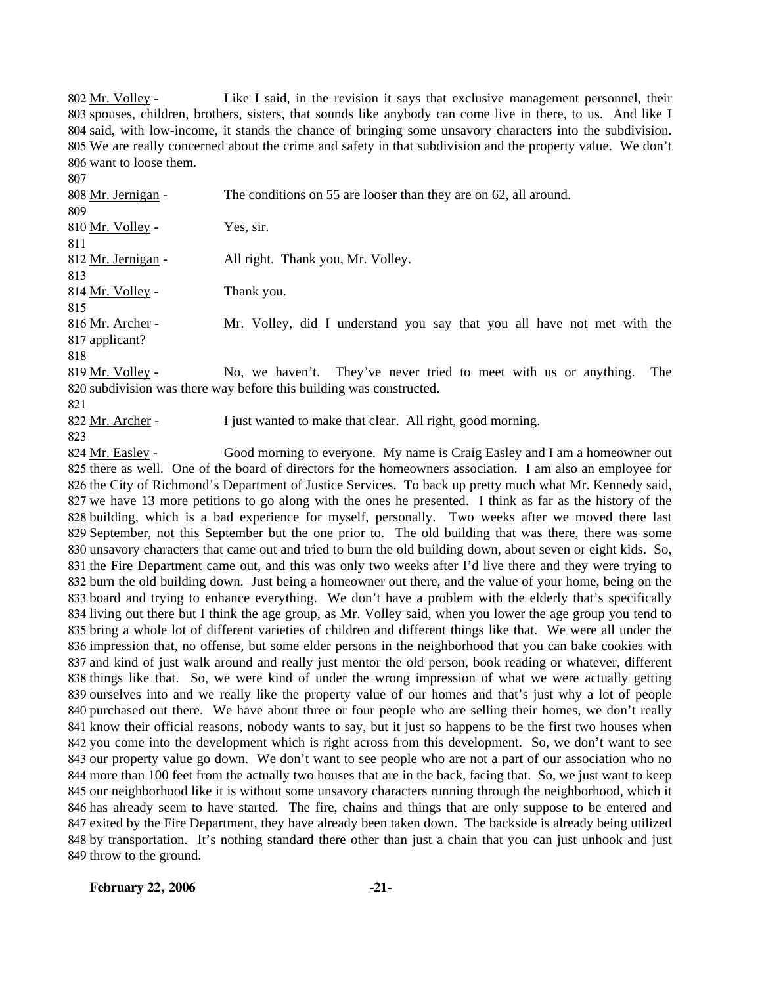Like I said, in the revision it says that exclusive management personnel, their 803 spouses, children, brothers, sisters, that sounds like anybody can come live in there, to us. And like I 804 said, with low-income, it stands the chance of bringing some unsavory characters into the subdivision. 805 We are really concerned about the crime and safety in that subdivision and the property value. We don't 806 want to loose them. 802 Mr. Volley -

808 Mr. Jernigan - The conditions on 55 are looser than they are on 62, all around. 809 810 Mr. Volley - Yes, sir. 811 812 Mr. Jernigan - All right. Thank you, Mr. Volley. 813 814 Mr. Volley - Thank you. 815 Mr. Volley, did I understand you say that you all have not met with the 817 applicant? 816 Mr. Archer -818 No, we haven't. They've never tried to meet with us or anything. The 820 subdivision was there way before this building was constructed. 819 Mr. Volley -

821

807

822 Mr. Archer - I just wanted to make that clear. All right, good morning.

823

Good morning to everyone. My name is Craig Easley and I am a homeowner out 825 there as well. One of the board of directors for the homeowners association. I am also an employee for 826 the City of Richmond's Department of Justice Services. To back up pretty much what Mr. Kennedy said, 827 we have 13 more petitions to go along with the ones he presented. I think as far as the history of the 828 building, which is a bad experience for myself, personally. Two weeks after we moved there last 829 September, not this September but the one prior to. The old building that was there, there was some 830 unsavory characters that came out and tried to burn the old building down, about seven or eight kids. So, 831 the Fire Department came out, and this was only two weeks after I'd live there and they were trying to 832 burn the old building down. Just being a homeowner out there, and the value of your home, being on the 833 board and trying to enhance everything. We don't have a problem with the elderly that's specifically 834 living out there but I think the age group, as Mr. Volley said, when you lower the age group you tend to 835 bring a whole lot of different varieties of children and different things like that. We were all under the 836 impression that, no offense, but some elder persons in the neighborhood that you can bake cookies with 837 and kind of just walk around and really just mentor the old person, book reading or whatever, different 838 things like that. So, we were kind of under the wrong impression of what we were actually getting 839 ourselves into and we really like the property value of our homes and that's just why a lot of people 840 purchased out there. We have about three or four people who are selling their homes, we don't really 841 know their official reasons, nobody wants to say, but it just so happens to be the first two houses when 842 you come into the development which is right across from this development. So, we don't want to see 843 our property value go down. We don't want to see people who are not a part of our association who no 844 more than 100 feet from the actually two houses that are in the back, facing that. So, we just want to keep 845 our neighborhood like it is without some unsavory characters running through the neighborhood, which it 846 has already seem to have started. The fire, chains and things that are only suppose to be entered and 847 exited by the Fire Department, they have already been taken down. The backside is already being utilized 848 by transportation. It's nothing standard there other than just a chain that you can just unhook and just 849 throw to the ground. 824 Mr. Easley -

**February 22, 2006 -21-**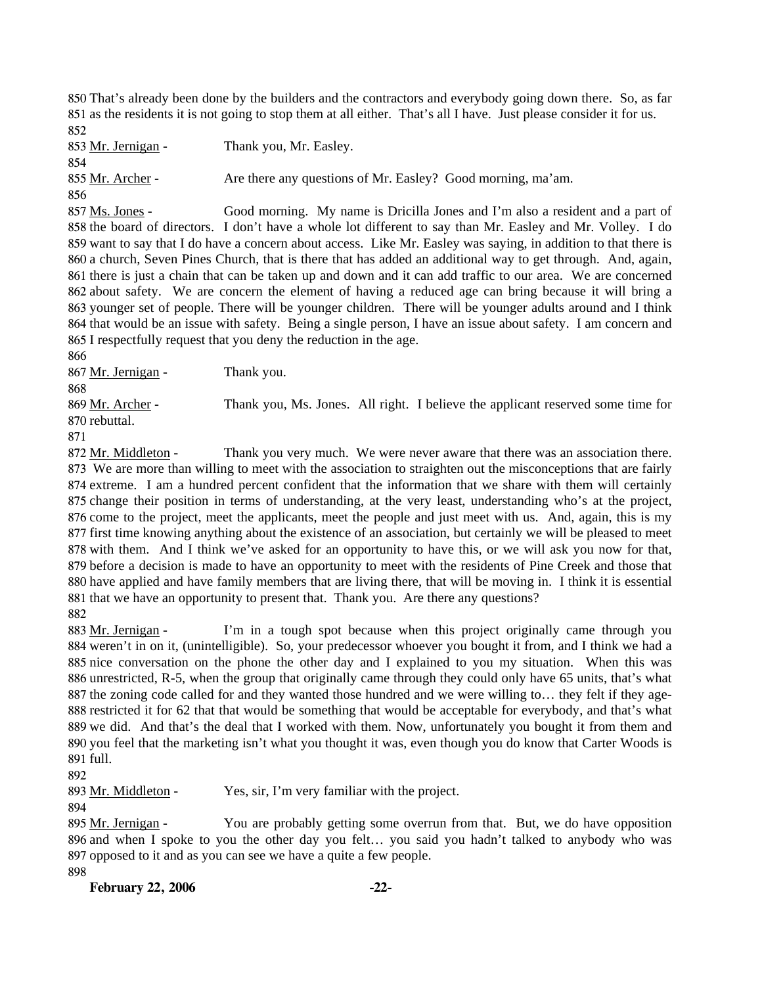850 That's already been done by the builders and the contractors and everybody going down there. So, as far 851 as the residents it is not going to stop them at all either. That's all I have. Just please consider it for us. 852

853 Mr. Jernigan - Thank you, Mr. Easley. 854 855 Mr. Archer - Are there any questions of Mr. Easley? Good morning, ma'am. 856

Good morning. My name is Dricilla Jones and I'm also a resident and a part of 858 the board of directors. I don't have a whole lot different to say than Mr. Easley and Mr. Volley. I do 859 want to say that I do have a concern about access. Like Mr. Easley was saying, in addition to that there is 860 a church, Seven Pines Church, that is there that has added an additional way to get through. And, again, 861 there is just a chain that can be taken up and down and it can add traffic to our area. We are concerned 862 about safety. We are concern the element of having a reduced age can bring because it will bring a 863 younger set of people. There will be younger children. There will be younger adults around and I think 864 that would be an issue with safety. Being a single person, I have an issue about safety. I am concern and 865 I respectfully request that you deny the reduction in the age. 857 Ms. Jones -

866

867 Mr. Jernigan - Thank you.

868

Thank you, Ms. Jones. All right. I believe the applicant reserved some time for 870 rebuttal. 869 Mr. Archer -

871

Thank you very much. We were never aware that there was an association there. 873 We are more than willing to meet with the association to straighten out the misconceptions that are fairly 874 extreme. I am a hundred percent confident that the information that we share with them will certainly 875 change their position in terms of understanding, at the very least, understanding who's at the project, 876 come to the project, meet the applicants, meet the people and just meet with us. And, again, this is my 877 first time knowing anything about the existence of an association, but certainly we will be pleased to meet 878 with them. And I think we've asked for an opportunity to have this, or we will ask you now for that, 879 before a decision is made to have an opportunity to meet with the residents of Pine Creek and those that 880 have applied and have family members that are living there, that will be moving in. I think it is essential 881 that we have an opportunity to present that. Thank you. Are there any questions? 872 Mr. Middleton -882

I'm in a tough spot because when this project originally came through you 884 weren't in on it, (unintelligible). So, your predecessor whoever you bought it from, and I think we had a 885 nice conversation on the phone the other day and I explained to you my situation. When this was 886 unrestricted, R-5, when the group that originally came through they could only have 65 units, that's what 887 the zoning code called for and they wanted those hundred and we were willing to... they felt if they age-888 restricted it for 62 that that would be something that would be acceptable for everybody, and that's what 889 we did. And that's the deal that I worked with them. Now, unfortunately you bought it from them and 890 you feel that the marketing isn't what you thought it was, even though you do know that Carter Woods is 891 full. 883 Mr. Jernigan -

892

893 Mr. Middleton - Yes, sir, I'm very familiar with the project.

894

You are probably getting some overrun from that. But, we do have opposition 896 and when I spoke to you the other day you felt... you said you hadn't talked to anybody who was 897 opposed to it and as you can see we have a quite a few people. 895 Mr. Jernigan -

898

**February 22, 2006 -22-**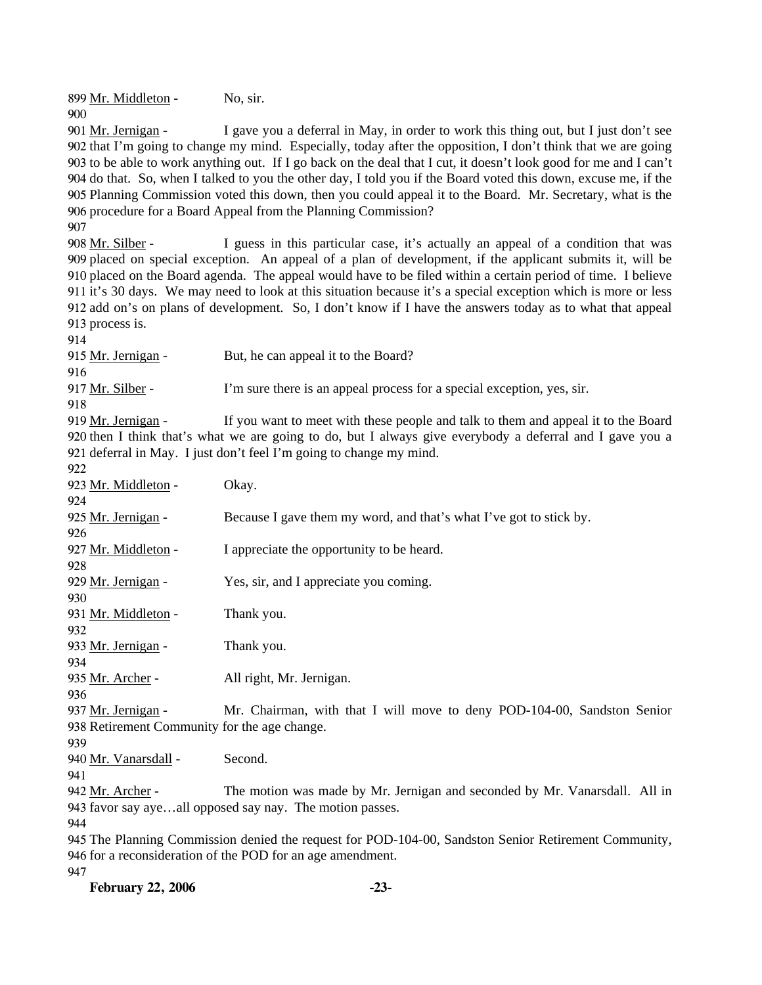899 Mr. Middleton - No, sir. 900

I gave you a deferral in May, in order to work this thing out, but I just don't see 902 that I'm going to change my mind. Especially, today after the opposition, I don't think that we are going 903 to be able to work anything out. If I go back on the deal that I cut, it doesn't look good for me and I can't 904 do that. So, when I talked to you the other day, I told you if the Board voted this down, excuse me, if the 905 Planning Commission voted this down, then you could appeal it to the Board. Mr. Secretary, what is the 906 procedure for a Board Appeal from the Planning Commission? 901 Mr. Jernigan -

907

I guess in this particular case, it's actually an appeal of a condition that was 909 placed on special exception. An appeal of a plan of development, if the applicant submits it, will be 910 placed on the Board agenda. The appeal would have to be filed within a certain period of time. I believe 911 it's 30 days. We may need to look at this situation because it's a special exception which is more or less 912 add on's on plans of development. So, I don't know if I have the answers today as to what that appeal 913 process is. 908 Mr. Silber -

914

915 Mr. Jernigan - But, he can appeal it to the Board? 916 917 Mr. Silber - I'm sure there is an appeal process for a special exception, yes, sir. 918

If you want to meet with these people and talk to them and appeal it to the Board 920 then I think that's what we are going to do, but I always give everybody a deferral and I gave you a 921 deferral in May. I just don't feel I'm going to change my mind. 919 Mr. Jernigan -

922

| 922                                          |                                                                            |
|----------------------------------------------|----------------------------------------------------------------------------|
| 923 Mr. Middleton -                          | Okay.                                                                      |
| 924                                          |                                                                            |
| 925 Mr. Jernigan -                           | Because I gave them my word, and that's what I've got to stick by.         |
| 926                                          |                                                                            |
| 927 Mr. Middleton -                          | I appreciate the opportunity to be heard.                                  |
| 928                                          |                                                                            |
| 929 Mr. Jernigan -                           | Yes, sir, and I appreciate you coming.                                     |
| 930                                          |                                                                            |
| 931 Mr. Middleton -                          | Thank you.                                                                 |
| 932                                          |                                                                            |
| 933 Mr. Jernigan -                           | Thank you.                                                                 |
| 934                                          |                                                                            |
| 935 Mr. Archer -                             | All right, Mr. Jernigan.                                                   |
| 936                                          |                                                                            |
| 937 Mr. Jernigan -                           | Mr. Chairman, with that I will move to deny POD-104-00, Sandston Senior    |
| 938 Retirement Community for the age change. |                                                                            |
| 939                                          |                                                                            |
| 940 Mr. Vanarsdall -                         | Second.                                                                    |
| 941                                          |                                                                            |
| 942 Mr. Archer -                             | The motion was made by Mr. Jernigan and seconded by Mr. Vanarsdall. All in |
|                                              | 943 favor say ayeall opposed say nay. The motion passes.                   |
| 944                                          |                                                                            |
|                                              |                                                                            |

945 The Planning Commission denied the request for POD-104-00, Sandston Senior Retirement Community, 946 for a reconsideration of the POD for an age amendment. 947

**February 22, 2006 -23-**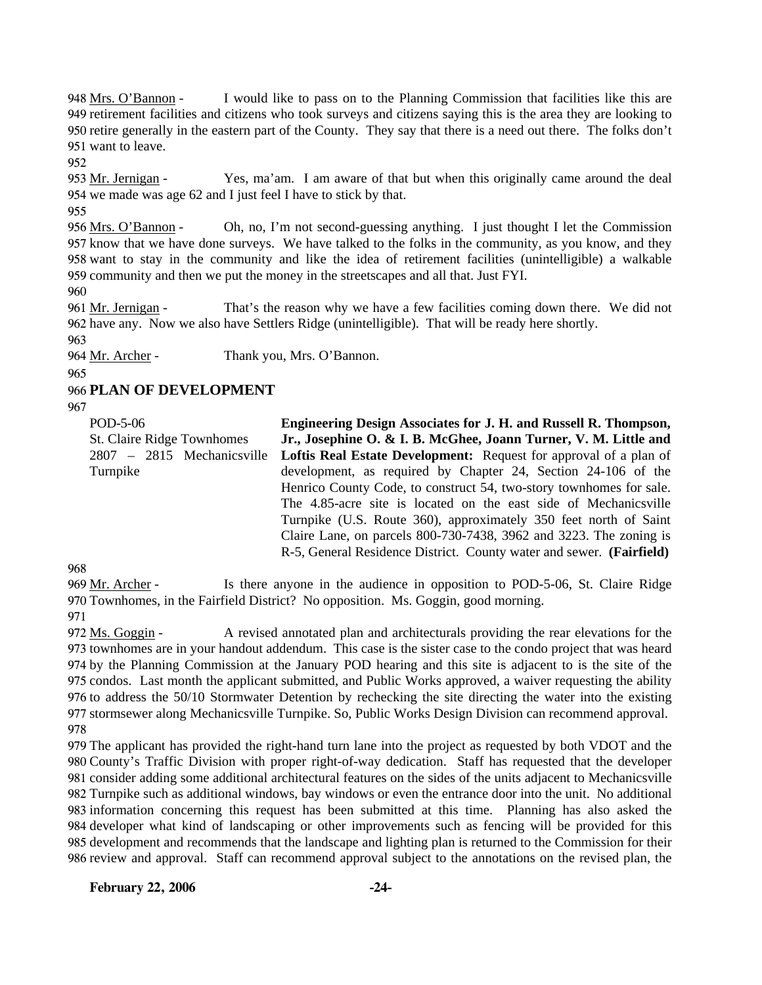I would like to pass on to the Planning Commission that facilities like this are 949 retirement facilities and citizens who took surveys and citizens saying this is the area they are looking to 950 retire generally in the eastern part of the County. They say that there is a need out there. The folks don't 951 want to leave. 948 Mrs. O'Bannon -

952

Yes, ma'am. I am aware of that but when this originally came around the deal 954 we made was age 62 and I just feel I have to stick by that. 953 Mr. Jernigan -

955

Oh, no, I'm not second-guessing anything. I just thought I let the Commission 957 know that we have done surveys. We have talked to the folks in the community, as you know, and they 958 want to stay in the community and like the idea of retirement facilities (unintelligible) a walkable 959 community and then we put the money in the streetscapes and all that. Just FYI. 956 Mrs. O'Bannon -

960

That's the reason why we have a few facilities coming down there. We did not 962 have any. Now we also have Settlers Ridge (unintelligible). That will be ready here shortly. 961 Mr. Jernigan -

963

964 Mr. Archer - Thank you, Mrs. O'Bannon.

965

966 **PLAN OF DEVELOPMENT** 

967

| POD-5-06                   | <b>Engineering Design Associates for J. H. and Russell R. Thompson,</b> |
|----------------------------|-------------------------------------------------------------------------|
| St. Claire Ridge Townhomes | Jr., Josephine O. & I. B. McGhee, Joann Turner, V. M. Little and        |
| 2807 – 2815 Mechanicsville | Loftis Real Estate Development: Request for approval of a plan of       |
| Turnpike                   | development, as required by Chapter 24, Section 24-106 of the           |
|                            | Henrico County Code, to construct 54, two-story townhomes for sale.     |
|                            | The 4.85-acre site is located on the east side of Mechanicsville        |
|                            | Turnpike (U.S. Route 360), approximately 350 feet north of Saint        |
|                            | Claire Lane, on parcels 800-730-7438, 3962 and 3223. The zoning is      |
|                            | R-5, General Residence District. County water and sewer. (Fairfield)    |

968

Is there anyone in the audience in opposition to POD-5-06, St. Claire Ridge 970 Townhomes, in the Fairfield District? No opposition. Ms. Goggin, good morning. 969 Mr. Archer -

971

A revised annotated plan and architecturals providing the rear elevations for the 973 townhomes are in your handout addendum. This case is the sister case to the condo project that was heard 974 by the Planning Commission at the January POD hearing and this site is adjacent to is the site of the 975 condos. Last month the applicant submitted, and Public Works approved, a waiver requesting the ability 976 to address the 50/10 Stormwater Detention by rechecking the site directing the water into the existing 977 stormsewer along Mechanicsville Turnpike. So, Public Works Design Division can recommend approval. 972 Ms. Goggin -978

 The applicant has provided the right-hand turn lane into the project as requested by both VDOT and the County's Traffic Division with proper right-of-way dedication. Staff has requested that the developer consider adding some additional architectural features on the sides of the units adjacent to Mechanicsville Turnpike such as additional windows, bay windows or even the entrance door into the unit. No additional information concerning this request has been submitted at this time. Planning has also asked the developer what kind of landscaping or other improvements such as fencing will be provided for this development and recommends that the landscape and lighting plan is returned to the Commission for their review and approval. Staff can recommend approval subject to the annotations on the revised plan, the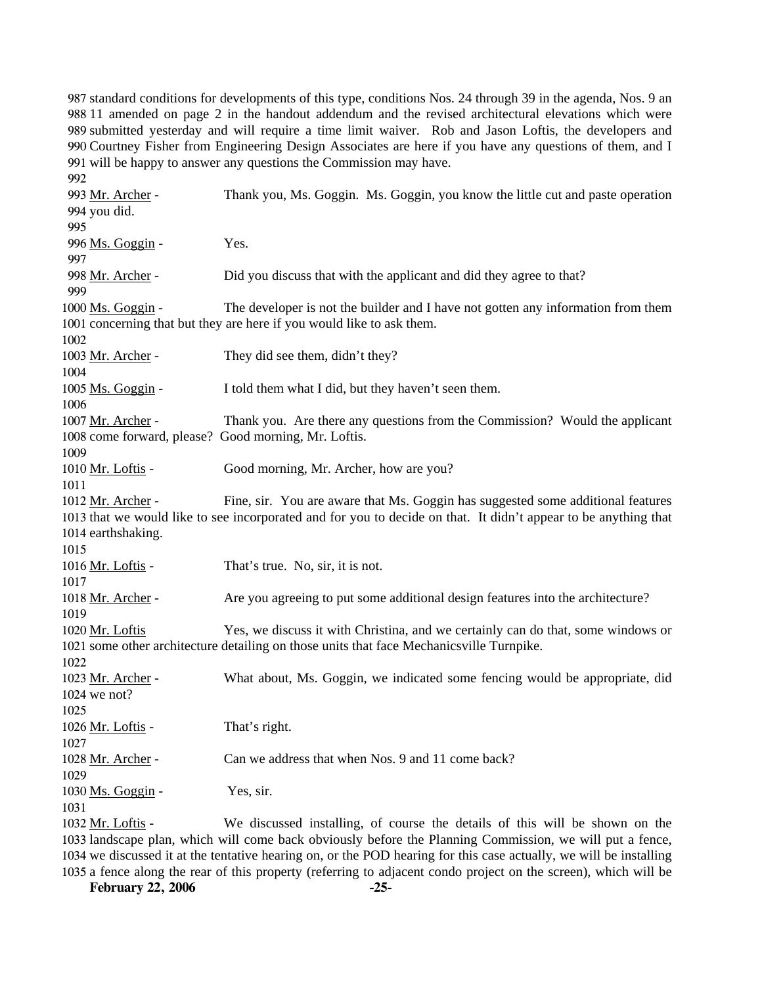standard conditions for developments of this type, conditions Nos. 24 through 39 in the agenda, Nos. 9 an 11 amended on page 2 in the handout addendum and the revised architectural elevations which were submitted yesterday and will require a time limit waiver. Rob and Jason Loftis, the developers and Courtney Fisher from Engineering Design Associates are here if you have any questions of them, and I will be happy to answer any questions the Commission may have.

992 Thank you, Ms. Goggin. Ms. Goggin, you know the little cut and paste operation 994 you did. 993 Mr. Archer -995 996 Ms. Goggin - Yes. 997 998 Mr. Archer - Did you discuss that with the applicant and did they agree to that? 999 The developer is not the builder and I have not gotten any information from them 1001 concerning that but they are here if you would like to ask them. 1000 Ms. Goggin -1002 1003 Mr. Archer - They did see them, didn't they? 1004 1005 Ms. Goggin - I told them what I did, but they haven't seen them. 1006 Thank you. Are there any questions from the Commission? Would the applicant 1008 come forward, please? Good morning, Mr. Loftis. 1007 Mr. Archer -1009 1010 Mr. Loftis - Good morning, Mr. Archer, how are you? 1011 Fine, sir. You are aware that Ms. Goggin has suggested some additional features 1013 that we would like to see incorporated and for you to decide on that. It didn't appear to be anything that 1014 earthshaking. 1012 Mr. Archer -1015 1016 Mr. Loftis - That's true. No, sir, it is not. 1017 1018 Mr. Archer - Are you agreeing to put some additional design features into the architecture? 1019 Yes, we discuss it with Christina, and we certainly can do that, some windows or 1021 some other architecture detailing on those units that face Mechanicsville Turnpike. 1020 Mr. Loftis 1022 What about, Ms. Goggin, we indicated some fencing would be appropriate, did 1024 we not? 1023 Mr. Archer -1025 1026 Mr. Loftis - That's right. 1027 1028 Mr. Archer - Can we address that when Nos. 9 and 11 come back? 1029  $1030$  Ms.  $Goggin -$  Yes, sir. 1031 We discussed installing, of course the details of this will be shown on the 1033 landscape plan, which will come back obviously before the Planning Commission, we will put a fence, 1034 we discussed it at the tentative hearing on, or the POD hearing for this case actually, we will be installing 1032 Mr. Loftis -

1035 a fence along the rear of this property (referring to adjacent condo project on the screen), which will be

**February 22, 2006 -25-**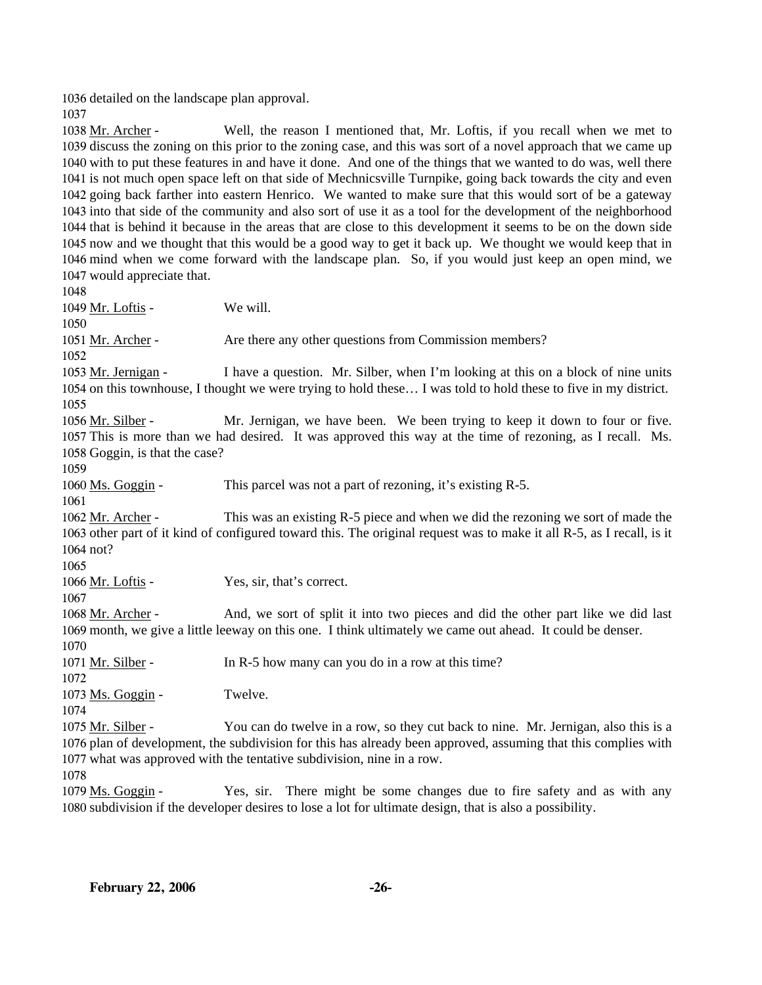1036 detailed on the landscape plan approval.

1037

Well, the reason I mentioned that, Mr. Loftis, if you recall when we met to 1039 discuss the zoning on this prior to the zoning case, and this was sort of a novel approach that we came up 1040 with to put these features in and have it done. And one of the things that we wanted to do was, well there 1041 is not much open space left on that side of Mechnicsville Turnpike, going back towards the city and even 1042 going back farther into eastern Henrico. We wanted to make sure that this would sort of be a gateway 1043 into that side of the community and also sort of use it as a tool for the development of the neighborhood 1044 that is behind it because in the areas that are close to this development it seems to be on the down side 1045 now and we thought that this would be a good way to get it back up. We thought we would keep that in 1046 mind when we come forward with the landscape plan. So, if you would just keep an open mind, we 1047 would appreciate that. 1038 Mr. Archer -1048

1049 Mr. Loftis - We will. 1050 1051 Mr. Archer - Are there any other questions from Commission members? 1052 I have a question. Mr. Silber, when I'm looking at this on a block of nine units 1054 on this townhouse, I thought we were trying to hold these... I was told to hold these to five in my district. 1053 Mr. Jernigan -1055 Mr. Jernigan, we have been. We been trying to keep it down to four or five. 1057 This is more than we had desired. It was approved this way at the time of rezoning, as I recall. Ms. 1058 Goggin, is that the case? 1056 Mr. Silber -1059 1060 Ms. Goggin - This parcel was not a part of rezoning, it's existing R-5. 1061 This was an existing R-5 piece and when we did the rezoning we sort of made the 1063 other part of it kind of configured toward this. The original request was to make it all R-5, as I recall, is it 1064 not? 1062 Mr. Archer -1065 1066 Mr. Loftis - Yes, sir, that's correct. 1067 And, we sort of split it into two pieces and did the other part like we did last 1069 month, we give a little leeway on this one. I think ultimately we came out ahead. It could be denser. 1068 Mr. Archer -1070 1071 Mr. Silber - In R-5 how many can you do in a row at this time? 1072 1073 Ms. Goggin - Twelve. 1074 You can do twelve in a row, so they cut back to nine. Mr. Jernigan, also this is a 1076 plan of development, the subdivision for this has already been approved, assuming that this complies with 1077 what was approved with the tentative subdivision, nine in a row. 1075 Mr. Silber -1078

Yes, sir. There might be some changes due to fire safety and as with any 1080 subdivision if the developer desires to lose a lot for ultimate design, that is also a possibility. 1079 Ms. Goggin -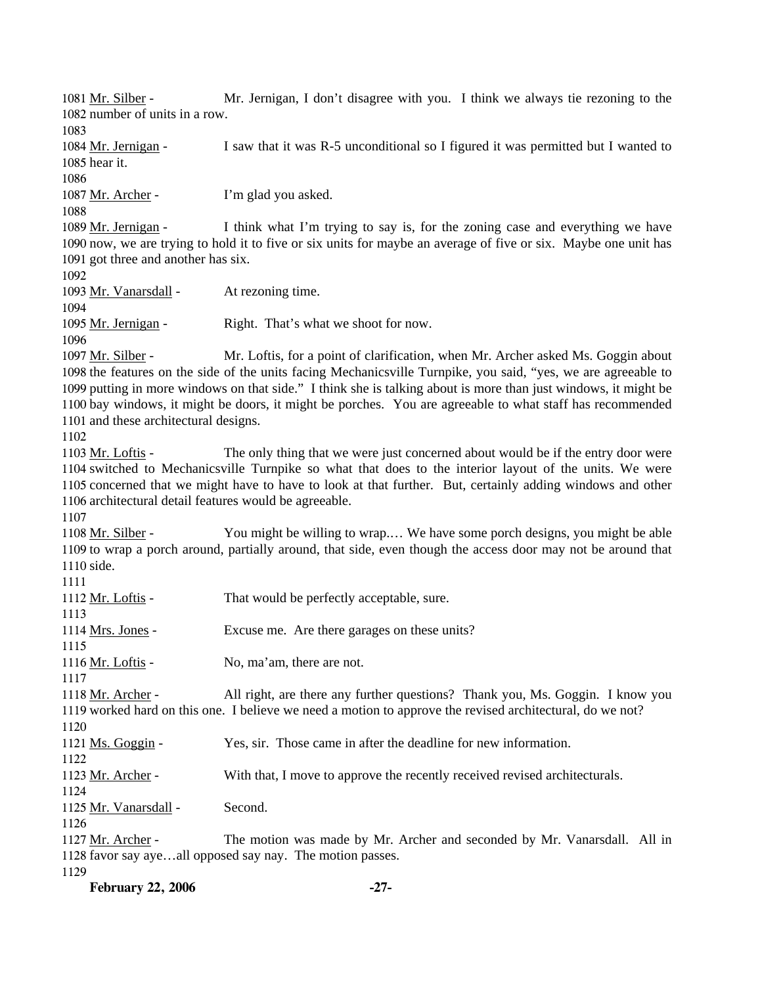Mr. Jernigan, I don't disagree with you. I think we always tie rezoning to the 1082 number of units in a row. 1081 Mr. Silber -1083 I saw that it was R-5 unconditional so I figured it was permitted but I wanted to 1085 hear it. 1084 Mr. Jernigan -1086 1087 Mr. Archer - I'm glad you asked. 1088 I think what I'm trying to say is, for the zoning case and everything we have 1090 now, we are trying to hold it to five or six units for maybe an average of five or six. Maybe one unit has 1091 got three and another has six. 1089 Mr. Jernigan -1092 1093 Mr. Vanarsdall - At rezoning time. 1094 1095 Mr. Jernigan - Right. That's what we shoot for now. 1096 Mr. Loftis, for a point of clarification, when Mr. Archer asked Ms. Goggin about 1098 the features on the side of the units facing Mechanicsville Turnpike, you said, "yes, we are agreeable to 1099 putting in more windows on that side." I think she is talking about is more than just windows, it might be 1100 bay windows, it might be doors, it might be porches. You are agreeable to what staff has recommended 1101 and these architectural designs. 1097 Mr. Silber -1102 The only thing that we were just concerned about would be if the entry door were 1104 switched to Mechanicsville Turnpike so what that does to the interior layout of the units. We were 1105 concerned that we might have to have to look at that further. But, certainly adding windows and other 1106 architectural detail features would be agreeable. 1103 Mr. Loftis -1107 You might be willing to wrap.... We have some porch designs, you might be able 1109 to wrap a porch around, partially around, that side, even though the access door may not be around that 1110 side. 1108 Mr. Silber -1111 1112 Mr. Loftis - That would be perfectly acceptable, sure. 1113 1114 Mrs. Jones - Excuse me. Are there garages on these units? 1115 1116 Mr. Loftis - No, ma'am, there are not. 1117 All right, are there any further questions? Thank you, Ms. Goggin. I know you 1119 worked hard on this one. I believe we need a motion to approve the revised architectural, do we not? 1118 Mr. Archer -1120 1121 Ms. Goggin - Yes, sir. Those came in after the deadline for new information. 1122 1123 Mr. Archer - With that, I move to approve the recently received revised architecturals. 1124 1125 Mr. Vanarsdall - Second. 1126 The motion was made by Mr. Archer and seconded by Mr. Vanarsdall. All in 1128 favor say aye...all opposed say nay. The motion passes. 1127 Mr. Archer -1129

**February 22, 2006 -27-**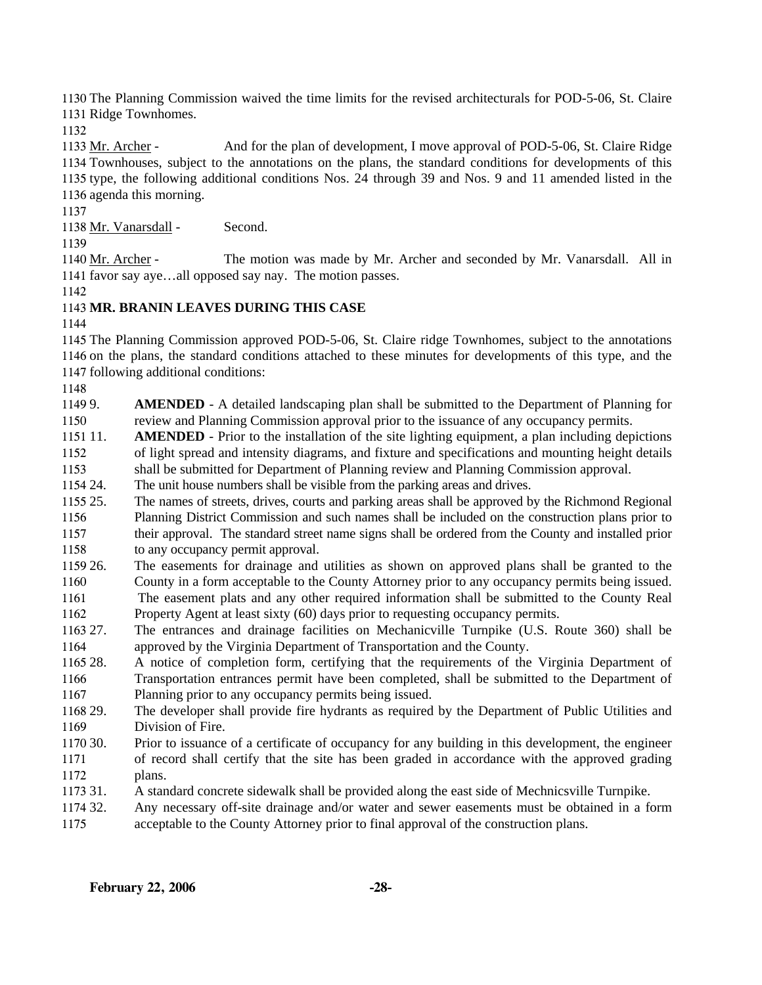1130 The Planning Commission waived the time limits for the revised architecturals for POD-5-06, St. Claire 1131 Ridge Townhomes.

1132

And for the plan of development, I move approval of POD-5-06, St. Claire Ridge 1134 Townhouses, subject to the annotations on the plans, the standard conditions for developments of this 1135 type, the following additional conditions Nos. 24 through 39 and Nos. 9 and 11 amended listed in the 1136 agenda this morning. 1133 Mr. Archer -

1137

1138 Mr. Vanarsdall - Second.

1139

The motion was made by Mr. Archer and seconded by Mr. Vanarsdall. All in 1141 favor say aye...all opposed say nay. The motion passes. 1140 Mr. Archer -

1142

# 1143 **MR. BRANIN LEAVES DURING THIS CASE**

1144

1145 The Planning Commission approved POD-5-06, St. Claire ridge Townhomes, subject to the annotations 1146 on the plans, the standard conditions attached to these minutes for developments of this type, and the 1147 following additional conditions:

1148

11499. 1150 AMENDED - A detailed landscaping plan shall be submitted to the Department of Planning for review and Planning Commission approval prior to the issuance of any occupancy permits.

1151 11. 1152 **AMENDED** - Prior to the installation of the site lighting equipment, a plan including depictions of light spread and intensity diagrams, and fixture and specifications and mounting height details

1153 shall be submitted for Department of Planning review and Planning Commission approval.

1154 24. The unit house numbers shall be visible from the parking areas and drives.

1155 25. 1156 1157 1158 25. The names of streets, drives, courts and parking areas shall be approved by the Richmond Regional Planning District Commission and such names shall be included on the construction plans prior to their approval. The standard street name signs shall be ordered from the County and installed prior to any occupancy permit approval.

- 1159 26. 1160 1161 26. The easements for drainage and utilities as shown on approved plans shall be granted to the County in a form acceptable to the County Attorney prior to any occupancy permits being issued. The easement plats and any other required information shall be submitted to the County Real
- 1162 Property Agent at least sixty (60) days prior to requesting occupancy permits.
- 1163 27. 1164 27. The entrances and drainage facilities on Mechanicville Turnpike (U.S. Route 360) shall be approved by the Virginia Department of Transportation and the County.
- 1165 28. 1166 1167 28. A notice of completion form, certifying that the requirements of the Virginia Department of Transportation entrances permit have been completed, shall be submitted to the Department of Planning prior to any occupancy permits being issued.
- 1168 29. 1169 The developer shall provide fire hydrants as required by the Department of Public Utilities and Division of Fire.
- 1170 30 1171 1172 30. Prior to issuance of a certificate of occupancy for any building in this development, the engineer of record shall certify that the site has been graded in accordance with the approved grading plans.
- 1173 31. 31. A standard concrete sidewalk shall be provided along the east side of Mechnicsville Turnpike.
- 1174 32. 1175 Any necessary off-site drainage and/or water and sewer easements must be obtained in a form acceptable to the County Attorney prior to final approval of the construction plans.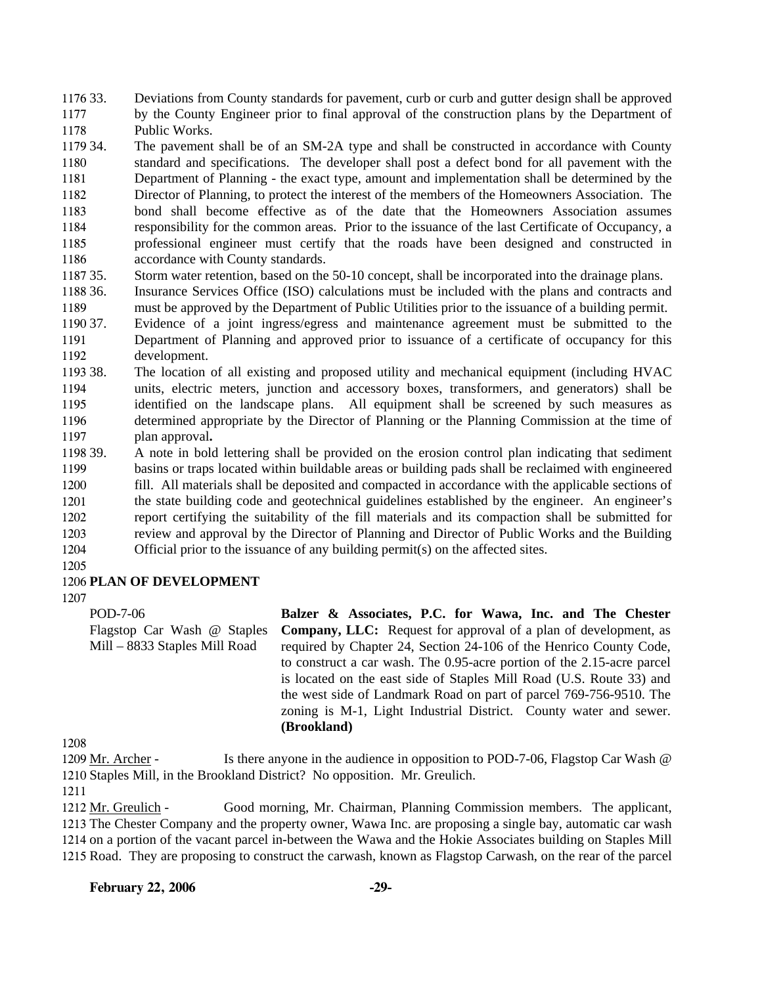1176 33. 1177 1178 33. Deviations from County standards for pavement, curb or curb and gutter design shall be approved by the County Engineer prior to final approval of the construction plans by the Department of Public Works.

1179 34. 1180 1181 1182 1183 1184 1185 1186 The pavement shall be of an SM-2A type and shall be constructed in accordance with County standard and specifications. The developer shall post a defect bond for all pavement with the Department of Planning - the exact type, amount and implementation shall be determined by the Director of Planning, to protect the interest of the members of the Homeowners Association. The bond shall become effective as of the date that the Homeowners Association assumes responsibility for the common areas. Prior to the issuance of the last Certificate of Occupancy, a professional engineer must certify that the roads have been designed and constructed in accordance with County standards.

1187 35. Storm water retention, based on the 50-10 concept, shall be incorporated into the drainage plans.

1188 36. 1189 Insurance Services Office (ISO) calculations must be included with the plans and contracts and must be approved by the Department of Public Utilities prior to the issuance of a building permit.

1190 37. 1191 1192 Evidence of a joint ingress/egress and maintenance agreement must be submitted to the Department of Planning and approved prior to issuance of a certificate of occupancy for this development.

1193 38. 1194 1195 1196 1197 38. The location of all existing and proposed utility and mechanical equipment (including HVAC units, electric meters, junction and accessory boxes, transformers, and generators) shall be identified on the landscape plans. All equipment shall be screened by such measures as determined appropriate by the Director of Planning or the Planning Commission at the time of plan approval**.** 

1198 39. 1199 1200 1201 1202 1203 1204 39. A note in bold lettering shall be provided on the erosion control plan indicating that sediment basins or traps located within buildable areas or building pads shall be reclaimed with engineered fill. All materials shall be deposited and compacted in accordance with the applicable sections of the state building code and geotechnical guidelines established by the engineer. An engineer's report certifying the suitability of the fill materials and its compaction shall be submitted for review and approval by the Director of Planning and Director of Public Works and the Building Official prior to the issuance of any building permit(s) on the affected sites.

1205

## 1206 **PLAN OF DEVELOPMENT**

1207

POD-7-06 Flagstop Car Wash @ Staples Mill – 8833 Staples Mill Road

**Balzer & Associates, P.C. for Wawa, Inc. and The Chester Company, LLC:** Request for approval of a plan of development, as required by Chapter 24, Section 24-106 of the Henrico County Code, to construct a car wash. The 0.95-acre portion of the 2.15-acre parcel is located on the east side of Staples Mill Road (U.S. Route 33) and the west side of Landmark Road on part of parcel 769-756-9510. The zoning is M-1, Light Industrial District. County water and sewer. **(Brookland)**

1208

Is there anyone in the audience in opposition to POD-7-06, Flagstop Car Wash  $@$ 1210 Staples Mill, in the Brookland District? No opposition. Mr. Greulich. 1209 Mr. Archer -

1211

Good morning, Mr. Chairman, Planning Commission members. The applicant, 1213 The Chester Company and the property owner, Wawa Inc. are proposing a single bay, automatic car wash 1214 on a portion of the vacant parcel in-between the Wawa and the Hokie Associates building on Staples Mill 1215 Road. They are proposing to construct the carwash, known as Flagstop Carwash, on the rear of the parcel 1212 Mr. Greulich -

## **February 22, 2006 -29-**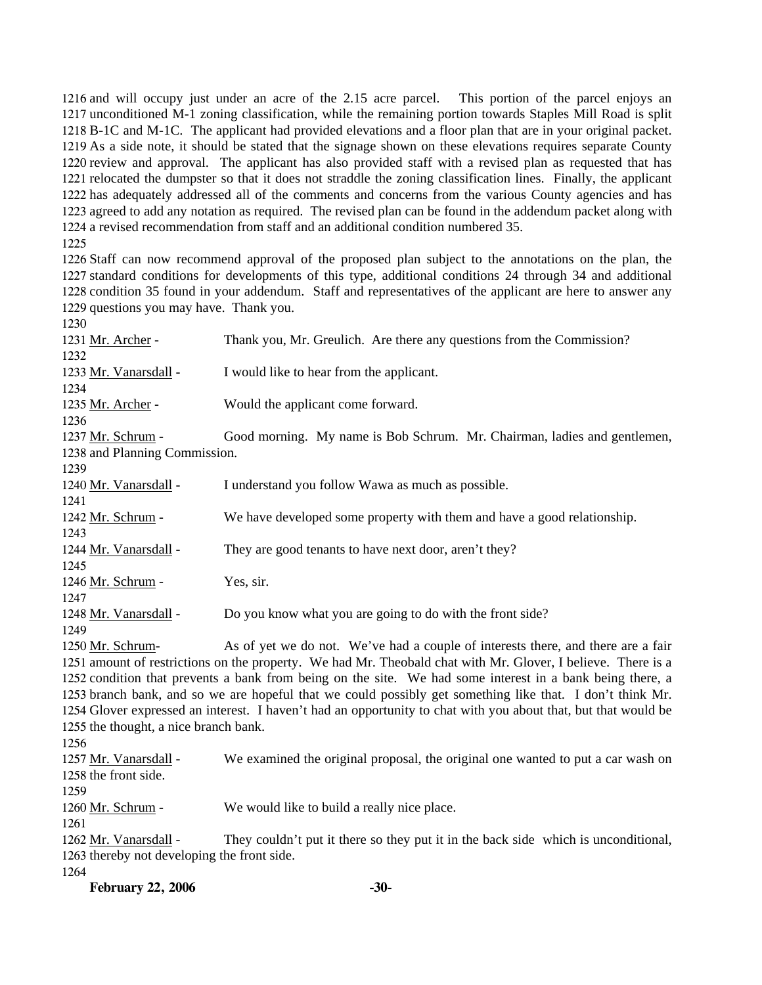and will occupy just under an acre of the 2.15 acre parcel. This portion of the parcel enjoys an unconditioned M-1 zoning classification, while the remaining portion towards Staples Mill Road is split B-1C and M-1C. The applicant had provided elevations and a floor plan that are in your original packet. As a side note, it should be stated that the signage shown on these elevations requires separate County review and approval. The applicant has also provided staff with a revised plan as requested that has relocated the dumpster so that it does not straddle the zoning classification lines. Finally, the applicant has adequately addressed all of the comments and concerns from the various County agencies and has agreed to add any notation as required. The revised plan can be found in the addendum packet along with a revised recommendation from staff and an additional condition numbered 35.

 Staff can now recommend approval of the proposed plan subject to the annotations on the plan, the standard conditions for developments of this type, additional conditions 24 through 34 and additional condition 35 found in your addendum. Staff and representatives of the applicant are here to answer any questions you may have. Thank you.

| 1230                                        |                                                                                                                |
|---------------------------------------------|----------------------------------------------------------------------------------------------------------------|
| 1231 Mr. Archer -                           | Thank you, Mr. Greulich. Are there any questions from the Commission?                                          |
| 1232                                        |                                                                                                                |
| 1233 Mr. Vanarsdall -                       | I would like to hear from the applicant.                                                                       |
| 1234                                        |                                                                                                                |
| 1235 Mr. Archer -                           | Would the applicant come forward.                                                                              |
| 1236                                        |                                                                                                                |
| 1237 Mr. Schrum -                           | Good morning. My name is Bob Schrum. Mr. Chairman, ladies and gentlemen,                                       |
| 1238 and Planning Commission.               |                                                                                                                |
| 1239                                        |                                                                                                                |
| 1240 Mr. Vanarsdall -                       | I understand you follow Wawa as much as possible.                                                              |
| 1241                                        |                                                                                                                |
| 1242 Mr. Schrum -                           | We have developed some property with them and have a good relationship.                                        |
| 1243                                        |                                                                                                                |
| 1244 Mr. Vanarsdall -                       | They are good tenants to have next door, aren't they?                                                          |
| 1245                                        |                                                                                                                |
| 1246 Mr. Schrum -                           | Yes, sir.                                                                                                      |
| 1247                                        |                                                                                                                |
| 1248 Mr. Vanarsdall -                       | Do you know what you are going to do with the front side?                                                      |
| 1249                                        |                                                                                                                |
| 1250 Mr. Schrum-                            | As of yet we do not. We've had a couple of interests there, and there are a fair                               |
|                                             | 1251 amount of restrictions on the property. We had Mr. Theobald chat with Mr. Glover, I believe. There is a   |
|                                             | 1252 condition that prevents a bank from being on the site. We had some interest in a bank being there, a      |
|                                             | 1253 branch bank, and so we are hopeful that we could possibly get something like that. I don't think Mr.      |
|                                             | 1254 Glover expressed an interest. I haven't had an opportunity to chat with you about that, but that would be |
| 1255 the thought, a nice branch bank.       |                                                                                                                |
| 1256                                        |                                                                                                                |
| 1257 Mr. Vanarsdall -                       | We examined the original proposal, the original one wanted to put a car wash on                                |
| 1258 the front side.                        |                                                                                                                |
| 1259                                        |                                                                                                                |
| 1260 Mr. Schrum -                           | We would like to build a really nice place.                                                                    |
| 1261                                        |                                                                                                                |
| 1262 Mr. Vanarsdall -                       | They couldn't put it there so they put it in the back side which is unconditional,                             |
| 1263 thereby not developing the front side. |                                                                                                                |
| 1264                                        |                                                                                                                |

**February 22, 2006** -30-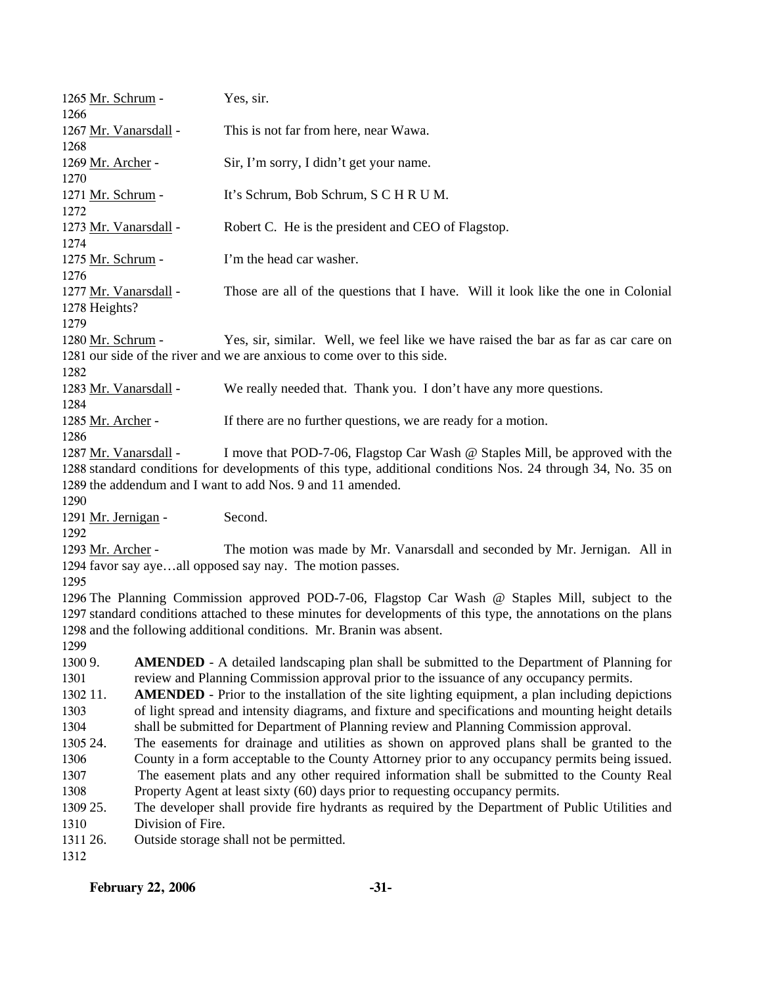| 1265 Mr. Schrum -                      |                   | Yes, sir.                                                                                                                               |
|----------------------------------------|-------------------|-----------------------------------------------------------------------------------------------------------------------------------------|
| 1266<br>1267 Mr. Vanarsdall -          |                   | This is not far from here, near Wawa.                                                                                                   |
| 1268                                   |                   |                                                                                                                                         |
| 1269 Mr. Archer -                      |                   | Sir, I'm sorry, I didn't get your name.                                                                                                 |
| 1270<br>1271 Mr. Schrum -              |                   | It's Schrum, Bob Schrum, S C H R U M.                                                                                                   |
| 1272                                   |                   |                                                                                                                                         |
| 1273 Mr. Vanarsdall -                  |                   | Robert C. He is the president and CEO of Flagstop.                                                                                      |
| 1274<br>1275 Mr. Schrum -              |                   | I'm the head car washer.                                                                                                                |
| 1276                                   |                   |                                                                                                                                         |
| 1277 Mr. Vanarsdall -<br>1278 Heights? |                   | Those are all of the questions that I have. Will it look like the one in Colonial                                                       |
| 1279                                   |                   |                                                                                                                                         |
| 1280 Mr. Schrum -                      |                   | Yes, sir, similar. Well, we feel like we have raised the bar as far as car care on                                                      |
|                                        |                   | 1281 our side of the river and we are anxious to come over to this side.                                                                |
| 1282                                   |                   |                                                                                                                                         |
| 1283 Mr. Vanarsdall -                  |                   | We really needed that. Thank you. I don't have any more questions.                                                                      |
| 1284<br>1285 Mr. Archer -              |                   | If there are no further questions, we are ready for a motion.                                                                           |
| 1286                                   |                   |                                                                                                                                         |
| 1287 Mr. Vanarsdall -                  |                   | I move that POD-7-06, Flagstop Car Wash @ Staples Mill, be approved with the                                                            |
|                                        |                   | 1288 standard conditions for developments of this type, additional conditions Nos. 24 through 34, No. 35 on                             |
|                                        |                   | 1289 the addendum and I want to add Nos. 9 and 11 amended.                                                                              |
| 1290                                   |                   |                                                                                                                                         |
| 1291 Mr. Jernigan -                    |                   | Second.                                                                                                                                 |
| 1292                                   |                   |                                                                                                                                         |
| 1293 Mr. Archer -                      |                   | The motion was made by Mr. Vanarsdall and seconded by Mr. Jernigan. All in<br>1294 favor say ayeall opposed say nay. The motion passes. |
| 1295                                   |                   |                                                                                                                                         |
|                                        |                   | 1296 The Planning Commission approved POD-7-06, Flagstop Car Wash @ Staples Mill, subject to the                                        |
|                                        |                   | 1297 standard conditions attached to these minutes for developments of this type, the annotations on the plans                          |
|                                        |                   | 1298 and the following additional conditions. Mr. Branin was absent.                                                                    |
| 1299                                   |                   |                                                                                                                                         |
| 1300 9.                                |                   | <b>AMENDED</b> - A detailed landscaping plan shall be submitted to the Department of Planning for                                       |
| 1301                                   |                   | review and Planning Commission approval prior to the issuance of any occupancy permits.                                                 |
| 1302 11.                               |                   | <b>AMENDED</b> - Prior to the installation of the site lighting equipment, a plan including depictions                                  |
| 1303                                   |                   | of light spread and intensity diagrams, and fixture and specifications and mounting height details                                      |
| 1304                                   |                   | shall be submitted for Department of Planning review and Planning Commission approval.                                                  |
| 1305 24.                               |                   | The easements for drainage and utilities as shown on approved plans shall be granted to the                                             |
| 1306                                   |                   | County in a form acceptable to the County Attorney prior to any occupancy permits being issued.                                         |
| 1307                                   |                   | The easement plats and any other required information shall be submitted to the County Real                                             |
| 1308                                   |                   | Property Agent at least sixty (60) days prior to requesting occupancy permits.                                                          |
| 1309 25.                               |                   | The developer shall provide fire hydrants as required by the Department of Public Utilities and                                         |
| 1310                                   | Division of Fire. |                                                                                                                                         |
| 1311 26.                               |                   | Outside storage shall not be permitted.                                                                                                 |
| 1312                                   |                   |                                                                                                                                         |
|                                        |                   |                                                                                                                                         |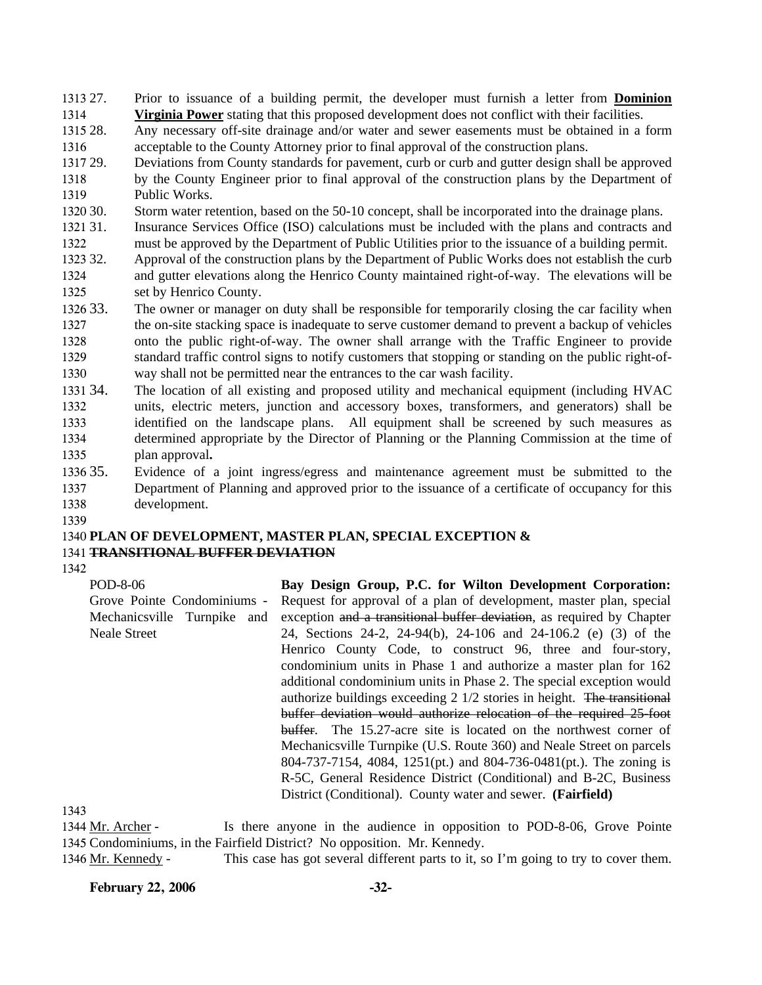1313 27. Prior to issuance of a building permit, the developer must furnish a letter from **Dominion**  1314 **Virginia Power** stating that this proposed development does not conflict with their facilities.

1315 28. 1316 Any necessary off-site drainage and/or water and sewer easements must be obtained in a form acceptable to the County Attorney prior to final approval of the construction plans.

1317 29. 1318 1319 Deviations from County standards for pavement, curb or curb and gutter design shall be approved by the County Engineer prior to final approval of the construction plans by the Department of Public Works.

1320 30. Storm water retention, based on the 50-10 concept, shall be incorporated into the drainage plans.

1321 31. 1322 Insurance Services Office (ISO) calculations must be included with the plans and contracts and must be approved by the Department of Public Utilities prior to the issuance of a building permit.

1323 32. 1324 1325 32. Approval of the construction plans by the Department of Public Works does not establish the curb and gutter elevations along the Henrico County maintained right-of-way. The elevations will be set by Henrico County.

1326 33. 1327 1328 1329 1330 The owner or manager on duty shall be responsible for temporarily closing the car facility when the on-site stacking space is inadequate to serve customer demand to prevent a backup of vehicles onto the public right-of-way. The owner shall arrange with the Traffic Engineer to provide standard traffic control signs to notify customers that stopping or standing on the public right-ofway shall not be permitted near the entrances to the car wash facility.

1331 34. 1332 1333 1334 1335 The location of all existing and proposed utility and mechanical equipment (including HVAC units, electric meters, junction and accessory boxes, transformers, and generators) shall be identified on the landscape plans. All equipment shall be screened by such measures as determined appropriate by the Director of Planning or the Planning Commission at the time of plan approval**.**

1336 35. 1337 1338 Evidence of a joint ingress/egress and maintenance agreement must be submitted to the Department of Planning and approved prior to the issuance of a certificate of occupancy for this development.

1339

## 1340 **PLAN OF DEVELOPMENT, MASTER PLAN, SPECIAL EXCEPTION &**  1341 **TRANSITIONAL BUFFER DEVIATION**

1342

POD-8-06 Grove Pointe Condominiums - Mechanicsville Turnpike and Neale Street **Bay Design Group, P.C. for Wilton Development Corporation:**  Request for approval of a plan of development, master plan, special exception and a transitional buffer deviation, as required by Chapter 24, Sections 24-2, 24-94(b), 24-106 and 24-106.2 (e) (3) of the Henrico County Code, to construct 96, three and four-story, condominium units in Phase 1 and authorize a master plan for 162 additional condominium units in Phase 2. The special exception would authorize buildings exceeding 2 1/2 stories in height. The transitional buffer deviation would authorize relocation of the required 25-foot buffer. The 15.27-acre site is located on the northwest corner of Mechanicsville Turnpike (U.S. Route 360) and Neale Street on parcels 804-737-7154, 4084, 1251(pt.) and 804-736-0481(pt.). The zoning is R-5C, General Residence District (Conditional) and B-2C, Business District (Conditional). County water and sewer. **(Fairfield)**

1343

Is there anyone in the audience in opposition to POD-8-06, Grove Pointe 1345 Condominiums, in the Fairfield District? No opposition. Mr. Kennedy. 1344 Mr. Archer -

1346 Mr. Kennedy - This case has got several different parts to it, so I'm going to try to cover them.

**February 22, 2006 -32-**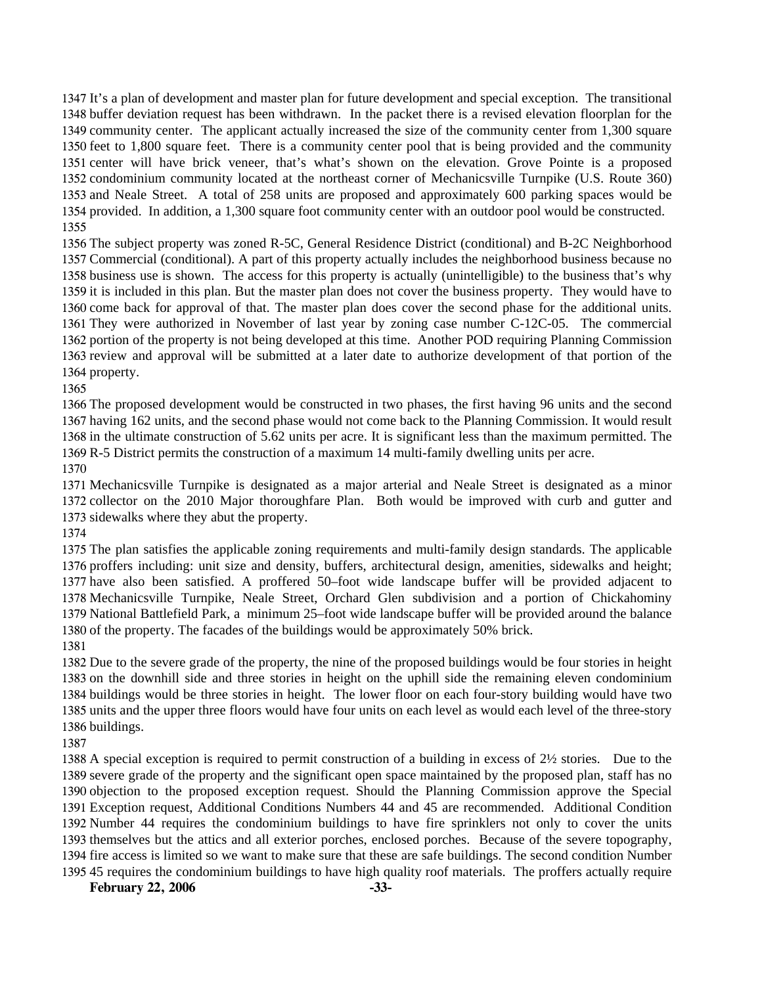It's a plan of development and master plan for future development and special exception. The transitional buffer deviation request has been withdrawn. In the packet there is a revised elevation floorplan for the community center. The applicant actually increased the size of the community center from 1,300 square feet to 1,800 square feet. There is a community center pool that is being provided and the community center will have brick veneer, that's what's shown on the elevation. Grove Pointe is a proposed condominium community located at the northeast corner of Mechanicsville Turnpike (U.S. Route 360) and Neale Street. A total of 258 units are proposed and approximately 600 parking spaces would be provided. In addition, a 1,300 square foot community center with an outdoor pool would be constructed. 

 The subject property was zoned R-5C, General Residence District (conditional) and B-2C Neighborhood Commercial (conditional). A part of this property actually includes the neighborhood business because no business use is shown. The access for this property is actually (unintelligible) to the business that's why it is included in this plan. But the master plan does not cover the business property. They would have to come back for approval of that. The master plan does cover the second phase for the additional units. They were authorized in November of last year by zoning case number C-12C-05. The commercial portion of the property is not being developed at this time. Another POD requiring Planning Commission review and approval will be submitted at a later date to authorize development of that portion of the property.

 The proposed development would be constructed in two phases, the first having 96 units and the second having 162 units, and the second phase would not come back to the Planning Commission. It would result in the ultimate construction of 5.62 units per acre. It is significant less than the maximum permitted. The R-5 District permits the construction of a maximum 14 multi-family dwelling units per acre.

 Mechanicsville Turnpike is designated as a major arterial and Neale Street is designated as a minor collector on the 2010 Major thoroughfare Plan. Both would be improved with curb and gutter and sidewalks where they abut the property.

 The plan satisfies the applicable zoning requirements and multi-family design standards. The applicable proffers including: unit size and density, buffers, architectural design, amenities, sidewalks and height; have also been satisfied. A proffered 50–foot wide landscape buffer will be provided adjacent to Mechanicsville Turnpike, Neale Street, Orchard Glen subdivision and a portion of Chickahominy National Battlefield Park, a minimum 25–foot wide landscape buffer will be provided around the balance of the property. The facades of the buildings would be approximately 50% brick.

 Due to the severe grade of the property, the nine of the proposed buildings would be four stories in height on the downhill side and three stories in height on the uphill side the remaining eleven condominium buildings would be three stories in height. The lower floor on each four-story building would have two units and the upper three floors would have four units on each level as would each level of the three-story buildings.

 A special exception is required to permit construction of a building in excess of 2½ stories. Due to the severe grade of the property and the significant open space maintained by the proposed plan, staff has no objection to the proposed exception request. Should the Planning Commission approve the Special Exception request, Additional Conditions Numbers 44 and 45 are recommended. Additional Condition Number 44 requires the condominium buildings to have fire sprinklers not only to cover the units themselves but the attics and all exterior porches, enclosed porches. Because of the severe topography, fire access is limited so we want to make sure that these are safe buildings. The second condition Number 45 requires the condominium buildings to have high quality roof materials. The proffers actually require

February 22, 2006 -33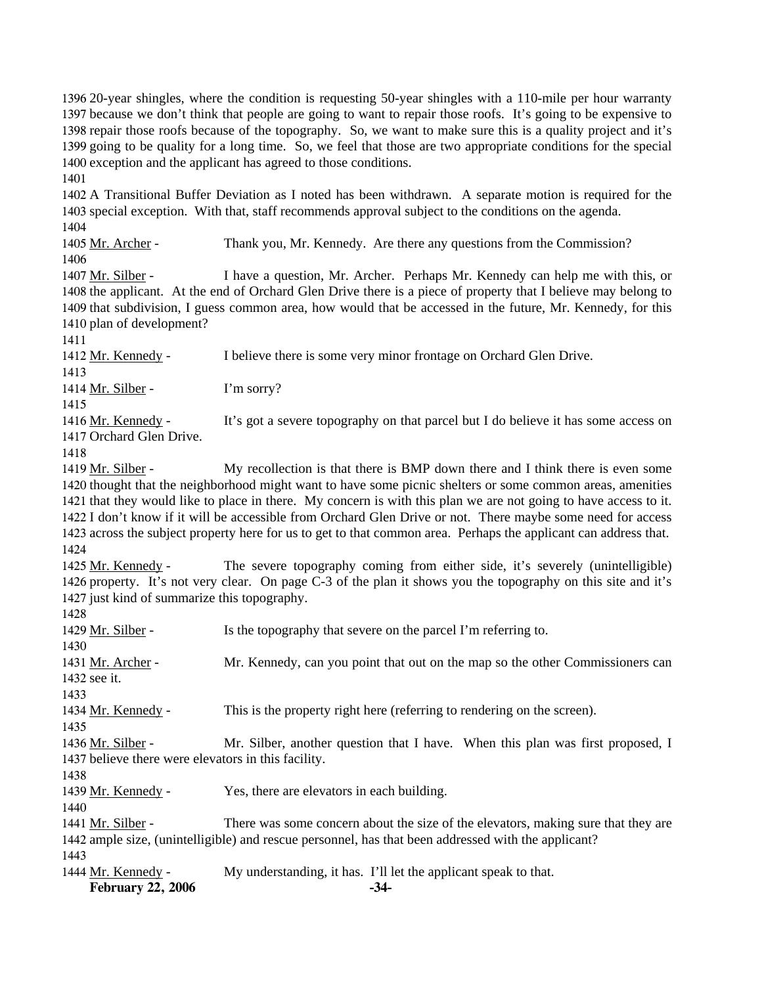20-year shingles, where the condition is requesting 50-year shingles with a 110-mile per hour warranty because we don't think that people are going to want to repair those roofs. It's going to be expensive to repair those roofs because of the topography. So, we want to make sure this is a quality project and it's going to be quality for a long time. So, we feel that those are two appropriate conditions for the special exception and the applicant has agreed to those conditions.

1401

1402 A Transitional Buffer Deviation as I noted has been withdrawn. A separate motion is required for the 1403 special exception. With that, staff recommends approval subject to the conditions on the agenda. 1404

1405 Mr. Archer - Thank you, Mr. Kennedy. Are there any questions from the Commission? 1406

I have a question, Mr. Archer. Perhaps Mr. Kennedy can help me with this, or 1408 the applicant. At the end of Orchard Glen Drive there is a piece of property that I believe may belong to 1409 that subdivision, I guess common area, how would that be accessed in the future, Mr. Kennedy, for this 1410 plan of development? 1407 Mr. Silber -

1411

1412 Mr. Kennedy - I believe there is some very minor frontage on Orchard Glen Drive.

1413

1415

1414 Mr. Silber - I'm sorry?

It's got a severe topography on that parcel but I do believe it has some access on 1417 Orchard Glen Drive. 1416 Mr. Kennedy -

1418

My recollection is that there is BMP down there and I think there is even some 1420 thought that the neighborhood might want to have some picnic shelters or some common areas, amenities 1421 that they would like to place in there. My concern is with this plan we are not going to have access to it. 1422 I don't know if it will be accessible from Orchard Glen Drive or not. There maybe some need for access 1423 across the subject property here for us to get to that common area. Perhaps the applicant can address that. 1419 Mr. Silber -1424

The severe topography coming from either side, it's severely (unintelligible) 1426 property. It's not very clear. On page C-3 of the plan it shows you the topography on this site and it's 1427 just kind of summarize this topography. 1425 Mr. Kennedy -

1428 1429 Mr. Silber - Is the topography that severe on the parcel I'm referring to. 1430 Mr. Kennedy, can you point that out on the map so the other Commissioners can 1432 see it. 1431 Mr. Archer -1433 1434 Mr. Kennedy - This is the property right here (referring to rendering on the screen). 1435 Mr. Silber, another question that I have. When this plan was first proposed, I 1437 believe there were elevators in this facility. 1436 Mr. Silber -1438 1439 Mr. Kennedy - Yes, there are elevators in each building. 1440 There was some concern about the size of the elevators, making sure that they are 1442 ample size, (unintelligible) and rescue personnel, has that been addressed with the applicant? 1441 Mr. Silber -1443 1444 Mr. Kennedy - My understanding, it has. I'll let the applicant speak to that.

**February 22, 2006** -34-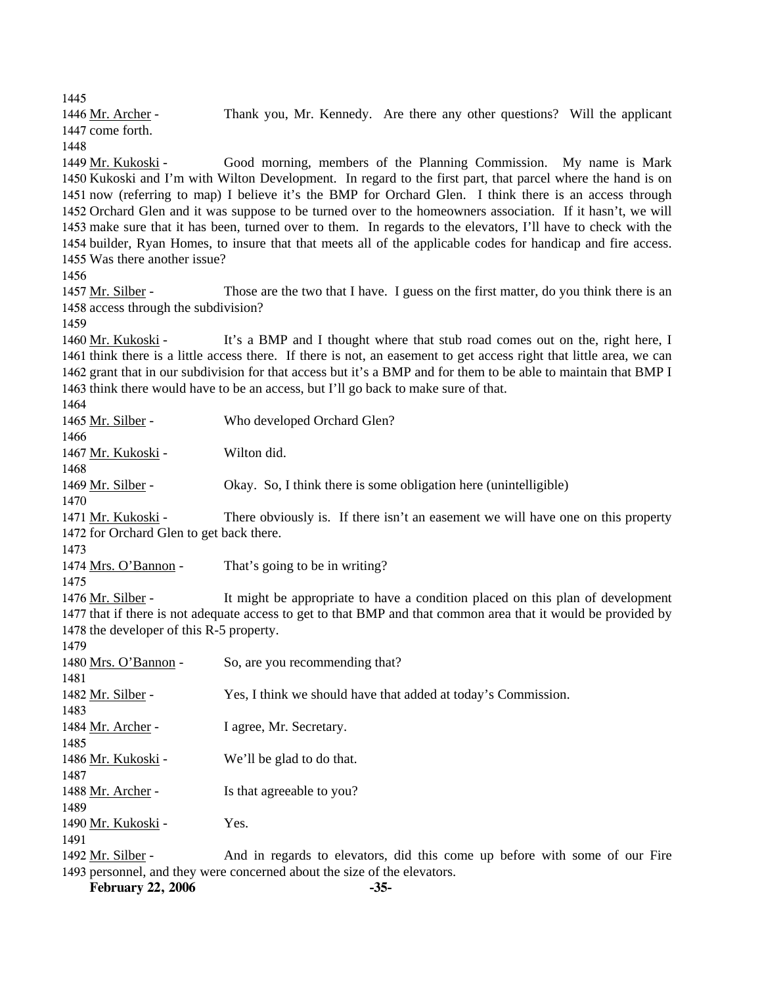1445

Thank you, Mr. Kennedy. Are there any other questions? Will the applicant 1447 come forth. 1446 Mr. Archer -1448 Good morning, members of the Planning Commission. My name is Mark 1450 Kukoski and I'm with Wilton Development. In regard to the first part, that parcel where the hand is on 1449 Mr. Kukoski -

1451 now (referring to map) I believe it's the BMP for Orchard Glen. I think there is an access through 1452 Orchard Glen and it was suppose to be turned over to the homeowners association. If it hasn't, we will 1453 make sure that it has been, turned over to them. In regards to the elevators, I'll have to check with the 1454 builder, Ryan Homes, to insure that that meets all of the applicable codes for handicap and fire access. 1455 Was there another issue?

1456

Those are the two that I have. I guess on the first matter, do you think there is an 1458 access through the subdivision? 1457 Mr. Silber -

1459

It's a BMP and I thought where that stub road comes out on the, right here, I 1461 think there is a little access there. If there is not, an easement to get access right that little area, we can 1462 grant that in our subdivision for that access but it's a BMP and for them to be able to maintain that BMP I 1463 think there would have to be an access, but I'll go back to make sure of that. 1460 Mr. Kukoski -

1464

1465 Mr. Silber - Who developed Orchard Glen? 1466 1467 Mr. Kukoski - Wilton did. 1468 1469 Mr. Silber - Okay. So, I think there is some obligation here (unintelligible) 1470 There obviously is. If there isn't an easement we will have one on this property 1472 for Orchard Glen to get back there. 1471 Mr. Kukoski -1473 1474 Mrs. O'Bannon - That's going to be in writing? 1475 It might be appropriate to have a condition placed on this plan of development 1477 that if there is not adequate access to get to that BMP and that common area that it would be provided by 1478 the developer of this R-5 property. 1476 Mr. Silber -1479 1480 Mrs. O'Bannon - So, are you recommending that? 1481 1482 Mr. Silber - Yes, I think we should have that added at today's Commission. 1483 1484 Mr. Archer - I agree, Mr. Secretary. 1485 1486 Mr. Kukoski - We'll be glad to do that. 1487 1488 Mr. Archer - Is that agreeable to you? 1489 1490 Mr. Kukoski - Yes. 1491 And in regards to elevators, did this come up before with some of our Fire 1493 personnel, and they were concerned about the size of the elevators. 1492 Mr. Silber -

**February 22, 2006 -35-**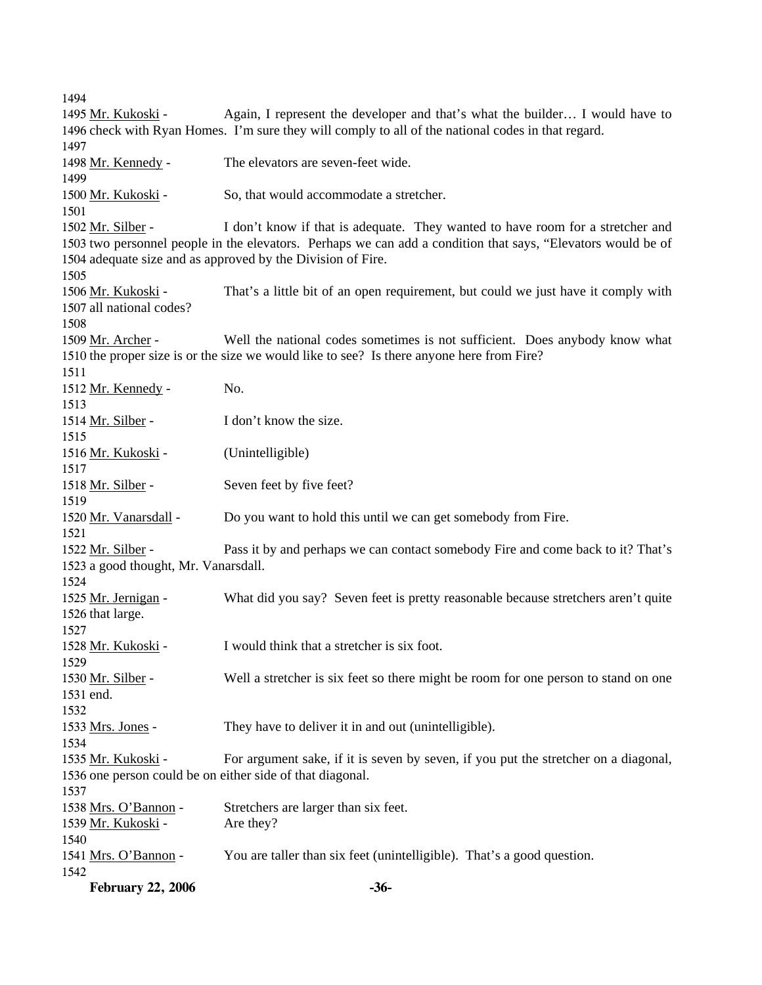**February 22, 2006 -36-** 1494 Again, I represent the developer and that's what the builder... I would have to 1496 check with Ryan Homes. I'm sure they will comply to all of the national codes in that regard. 1495 Mr. Kukoski -1497 1498 Mr. Kennedy - The elevators are seven-feet wide. 1499 1500 Mr. Kukoski - So, that would accommodate a stretcher. 1501 I don't know if that is adequate. They wanted to have room for a stretcher and 1503 two personnel people in the elevators. Perhaps we can add a condition that says, "Elevators would be of 1504 adequate size and as approved by the Division of Fire. 1502 Mr. Silber -1505 That's a little bit of an open requirement, but could we just have it comply with 1507 all national codes? 1506 Mr. Kukoski -1508 Well the national codes sometimes is not sufficient. Does anybody know what 1510 the proper size is or the size we would like to see? Is there anyone here from Fire? 1509 Mr. Archer -1511 1512 Mr. Kennedy - No. 1513 1514 Mr. Silber - I don't know the size. 1515 1516 Mr. Kukoski - (Unintelligible) 1517 1518 Mr. Silber - Seven feet by five feet? 1519 1520 Mr. Vanarsdall - Do you want to hold this until we can get somebody from Fire. 1521 Pass it by and perhaps we can contact somebody Fire and come back to it? That's 1523 a good thought, Mr. Vanarsdall. 1522 Mr. Silber -1524 What did you say? Seven feet is pretty reasonable because stretchers aren't quite 1526 that large. 1525 Mr. Jernigan -1527 1528 Mr. Kukoski - I would think that a stretcher is six foot. 1529 Well a stretcher is six feet so there might be room for one person to stand on one 1531 end. 1530 Mr. Silber -1532 1533 Mrs. Jones - They have to deliver it in and out (unintelligible). 1534 For argument sake, if it is seven by seven, if you put the stretcher on a diagonal, 1536 one person could be on either side of that diagonal. 1535 Mr. Kukoski -1537 1538 Mrs. O'Bannon - Stretchers are larger than six feet. 1539 Mr. Kukoski - Are they? 1540 1541 Mrs. O'Bannon - You are taller than six feet (unintelligible). That's a good question. 1542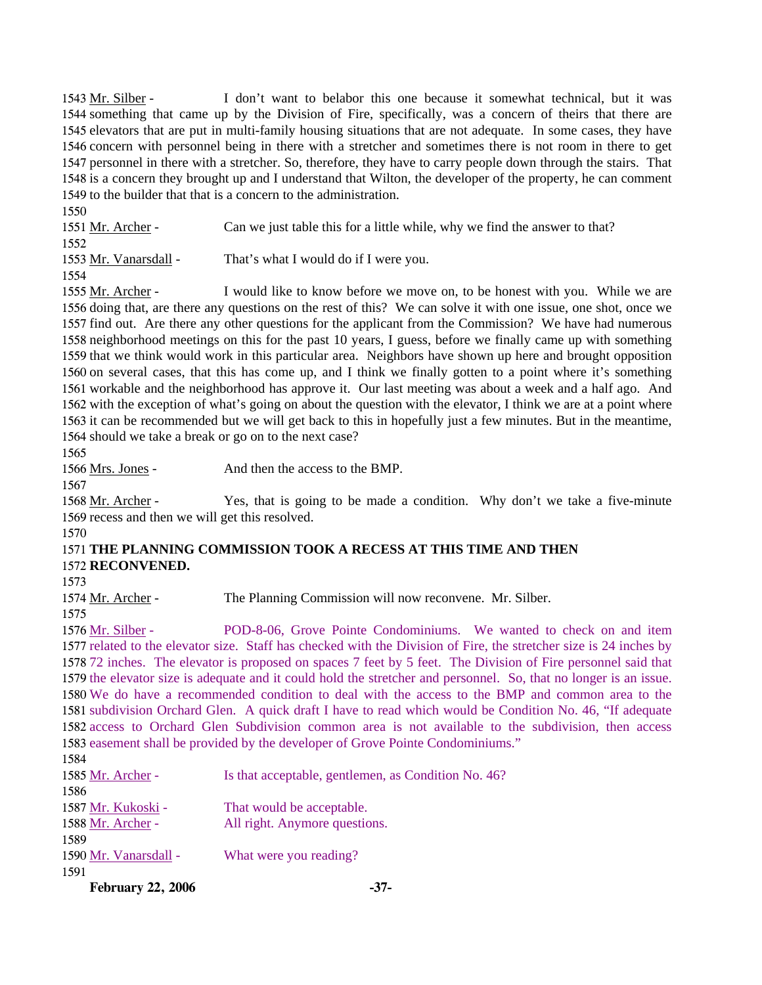I don't want to belabor this one because it somewhat technical, but it was 1544 something that came up by the Division of Fire, specifically, was a concern of theirs that there are 1545 elevators that are put in multi-family housing situations that are not adequate. In some cases, they have 1546 concern with personnel being in there with a stretcher and sometimes there is not room in there to get 1547 personnel in there with a stretcher. So, therefore, they have to carry people down through the stairs. That 1548 is a concern they brought up and I understand that Wilton, the developer of the property, he can comment 1549 to the builder that that is a concern to the administration. 1543 Mr. Silber - $1550$ 

| 1 <i>33</i> 0         |                                                                            |
|-----------------------|----------------------------------------------------------------------------|
| 1551 Mr. Archer -     | Can we just table this for a little while, why we find the answer to that? |
| 1552                  |                                                                            |
| 1553 Mr. Vanarsdall - | That's what I would do if I were you.                                      |
| 1554                  |                                                                            |

I would like to know before we move on, to be honest with you. While we are 1556 doing that, are there any questions on the rest of this? We can solve it with one issue, one shot, once we 1557 find out. Are there any other questions for the applicant from the Commission? We have had numerous 1558 neighborhood meetings on this for the past 10 years, I guess, before we finally came up with something 1559 that we think would work in this particular area. Neighbors have shown up here and brought opposition 1560 on several cases, that this has come up, and I think we finally gotten to a point where it's something 1561 workable and the neighborhood has approve it. Our last meeting was about a week and a half ago. And 1562 with the exception of what's going on about the question with the elevator, I think we are at a point where 1563 it can be recommended but we will get back to this in hopefully just a few minutes. But in the meantime, 1564 should we take a break or go on to the next case? 1555 Mr. Archer -

1565

1567

1566 Mrs. Jones - And then the access to the BMP.

Yes, that is going to be made a condition. Why don't we take a five-minute 1569 recess and then we will get this resolved. 1568 Mr. Archer -

### 1570

### 1571 **THE PLANNING COMMISSION TOOK A RECESS AT THIS TIME AND THEN**  1572 **RECONVENED.**

1573

1575

1574 Mr. Archer - The Planning Commission will now reconvene. Mr. Silber.

POD-8-06, Grove Pointe Condominiums. We wanted to check on and item 1577 related to the elevator size. Staff has checked with the Division of Fire, the stretcher size is 24 inches by 1578 72 inches. The elevator is proposed on spaces 7 feet by 5 feet. The Division of Fire personnel said that 1579 the elevator size is adequate and it could hold the stretcher and personnel. So, that no longer is an issue. 1580 We do have a recommended condition to deal with the access to the BMP and common area to the 1581 subdivision Orchard Glen. A quick draft I have to read which would be Condition No. 46, "If adequate 1582 access to Orchard Glen Subdivision common area is not available to the subdivision, then access 1583 easement shall be provided by the developer of Grove Pointe Condominiums." 1576 Mr. Silber -

| 1584                  |                                                     |
|-----------------------|-----------------------------------------------------|
| 1585 Mr. Archer -     | Is that acceptable, gentlemen, as Condition No. 46? |
| 1586                  |                                                     |
| 1587 Mr. Kukoski -    | That would be acceptable.                           |
| 1588 Mr. Archer -     | All right. Anymore questions.                       |
| 1589                  |                                                     |
| 1590 Mr. Vanarsdall - | What were you reading?                              |
| 1591                  |                                                     |

**February 22, 2006 -37-**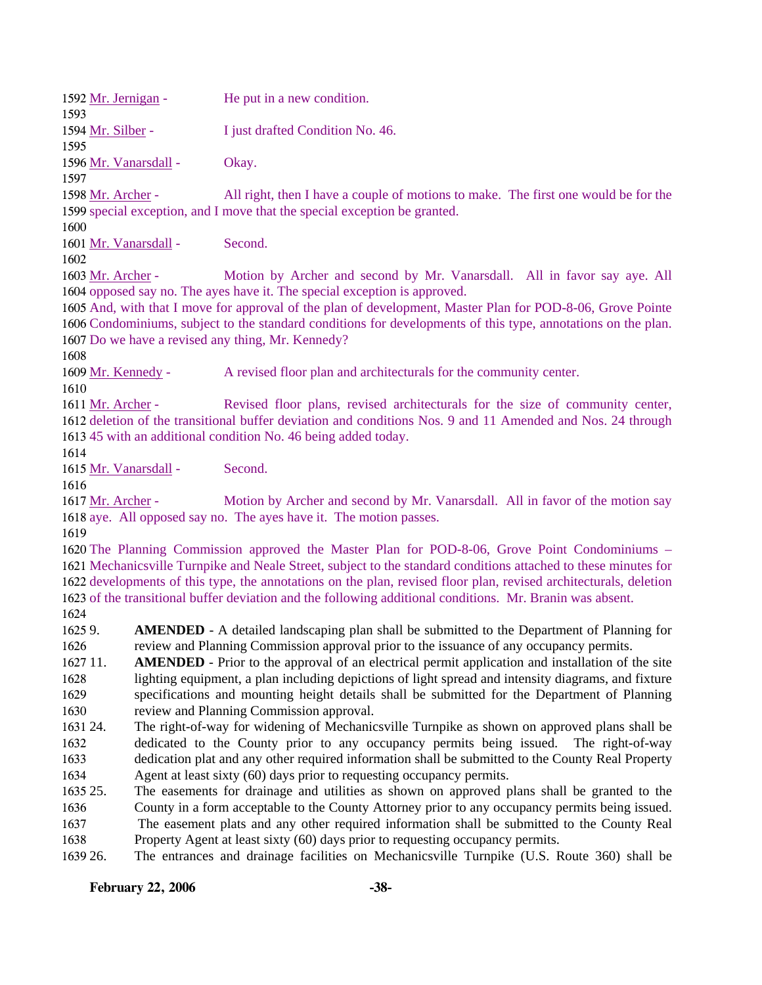| 1592 Mr. Jernigan -   | He put in a new condition.       |
|-----------------------|----------------------------------|
| 1593                  |                                  |
| 1594 Mr. Silber -     | I just drafted Condition No. 46. |
| 1595                  |                                  |
| 1596 Mr. Vanarsdall - | Okay.                            |
| 1597                  |                                  |

All right, then I have a couple of motions to make. The first one would be for the 1599 special exception, and I move that the special exception be granted. 1598 Mr. Archer -

1600

1601 Mr. Vanarsdall - Second.

1602

Motion by Archer and second by Mr. Vanarsdall. All in favor say aye. All 1604 opposed say no. The ayes have it. The special exception is approved. 1603 Mr. Archer -

1605 And, with that I move for approval of the plan of development, Master Plan for POD-8-06, Grove Pointe 1606 Condominiums, subject to the standard conditions for developments of this type, annotations on the plan. 1607 Do we have a revised any thing, Mr. Kennedy?

1608

1609 Mr. Kennedy - A revised floor plan and architecturals for the community center. 1610

Revised floor plans, revised architecturals for the size of community center, 1612 deletion of the transitional buffer deviation and conditions Nos. 9 and 11 Amended and Nos. 24 through 1613 45 with an additional condition No. 46 being added today. 1611 Mr. Archer -

1614

1615 Mr. Vanarsdall - Second.

1616

Motion by Archer and second by Mr. Vanarsdall. All in favor of the motion say 1618 aye. All opposed say no. The ayes have it. The motion passes. 1617 Mr. Archer -

1619

 The Planning Commission approved the Master Plan for POD-8-06, Grove Point Condominiums – Mechanicsville Turnpike and Neale Street, subject to the standard conditions attached to these minutes for developments of this type, the annotations on the plan, revised floor plan, revised architecturals, deletion of the transitional buffer deviation and the following additional conditions. Mr. Branin was absent.

1624

16259. 1626 **AMENDED** - A detailed landscaping plan shall be submitted to the Department of Planning for review and Planning Commission approval prior to the issuance of any occupancy permits.

1627 11. 1628 1629 1630 **AMENDED** - Prior to the approval of an electrical permit application and installation of the site lighting equipment, a plan including depictions of light spread and intensity diagrams, and fixture specifications and mounting height details shall be submitted for the Department of Planning review and Planning Commission approval.

1631 24. 1632 1633 1634 24. The right-of-way for widening of Mechanicsville Turnpike as shown on approved plans shall be dedicated to the County prior to any occupancy permits being issued. The right-of-way dedication plat and any other required information shall be submitted to the County Real Property Agent at least sixty (60) days prior to requesting occupancy permits.

1635 25. 1636 25. The easements for drainage and utilities as shown on approved plans shall be granted to the County in a form acceptable to the County Attorney prior to any occupancy permits being issued.

1637 1638 The easement plats and any other required information shall be submitted to the County Real Property Agent at least sixty (60) days prior to requesting occupancy permits.

1639 26. 26. The entrances and drainage facilities on Mechanicsville Turnpike (U.S. Route 360) shall be

## **February 22, 2006 -38-**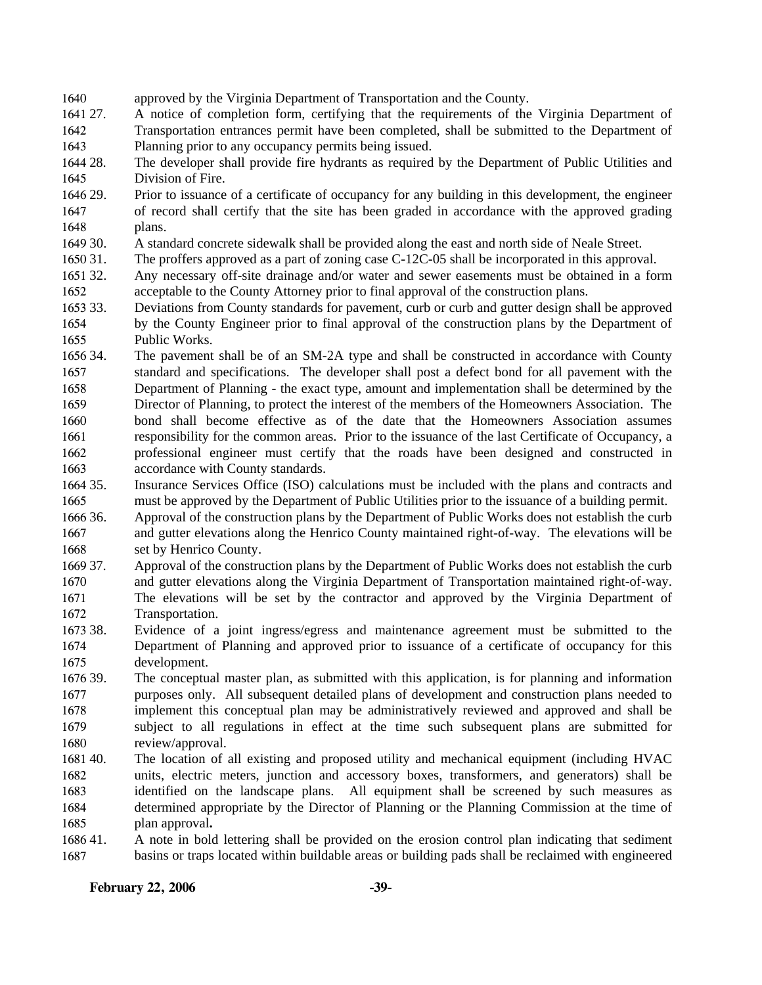- 1640 approved by the Virginia Department of Transportation and the County.
- 1641 27. 1642 1643 27. A notice of completion form, certifying that the requirements of the Virginia Department of Transportation entrances permit have been completed, shall be submitted to the Department of Planning prior to any occupancy permits being issued.
- 1644 28. 1645 The developer shall provide fire hydrants as required by the Department of Public Utilities and Division of Fire.
- 1646 29. 1647 1648 Prior to issuance of a certificate of occupancy for any building in this development, the engineer of record shall certify that the site has been graded in accordance with the approved grading plans.
- 1649 30. 30. A standard concrete sidewalk shall be provided along the east and north side of Neale Street.
- 1650 31. The proffers approved as a part of zoning case C-12C-05 shall be incorporated in this approval.
- 1651 32. 1652 Any necessary off-site drainage and/or water and sewer easements must be obtained in a form acceptable to the County Attorney prior to final approval of the construction plans.
- 1653 33. 1654 1655 Deviations from County standards for pavement, curb or curb and gutter design shall be approved by the County Engineer prior to final approval of the construction plans by the Department of Public Works.
- 1656 34. 1657 1658 1659 1660 1661 1662 1663 The pavement shall be of an SM-2A type and shall be constructed in accordance with County standard and specifications. The developer shall post a defect bond for all pavement with the Department of Planning - the exact type, amount and implementation shall be determined by the Director of Planning, to protect the interest of the members of the Homeowners Association. The bond shall become effective as of the date that the Homeowners Association assumes responsibility for the common areas. Prior to the issuance of the last Certificate of Occupancy, a professional engineer must certify that the roads have been designed and constructed in accordance with County standards.
- 1664 35. 1665 Insurance Services Office (ISO) calculations must be included with the plans and contracts and must be approved by the Department of Public Utilities prior to the issuance of a building permit.
- 1666 36. 1667 1668 Approval of the construction plans by the Department of Public Works does not establish the curb and gutter elevations along the Henrico County maintained right-of-way. The elevations will be set by Henrico County.
- 1669 37. 1670 37. Approval of the construction plans by the Department of Public Works does not establish the curb and gutter elevations along the Virginia Department of Transportation maintained right-of-way.
- 1671 1672 The elevations will be set by the contractor and approved by the Virginia Department of Transportation.
- 1673 38. 1674 1675 Evidence of a joint ingress/egress and maintenance agreement must be submitted to the Department of Planning and approved prior to issuance of a certificate of occupancy for this development.
- 1676 39. 1677 1678 1679 1680 The conceptual master plan, as submitted with this application, is for planning and information purposes only. All subsequent detailed plans of development and construction plans needed to implement this conceptual plan may be administratively reviewed and approved and shall be subject to all regulations in effect at the time such subsequent plans are submitted for review/approval.
- 1681 40. 1682 1683 1684 1685 The location of all existing and proposed utility and mechanical equipment (including HVAC units, electric meters, junction and accessory boxes, transformers, and generators) shall be identified on the landscape plans. All equipment shall be screened by such measures as determined appropriate by the Director of Planning or the Planning Commission at the time of plan approval**.**
- 168641. 1687 41. A note in bold lettering shall be provided on the erosion control plan indicating that sediment basins or traps located within buildable areas or building pads shall be reclaimed with engineered

### **February 22, 2006 -39-**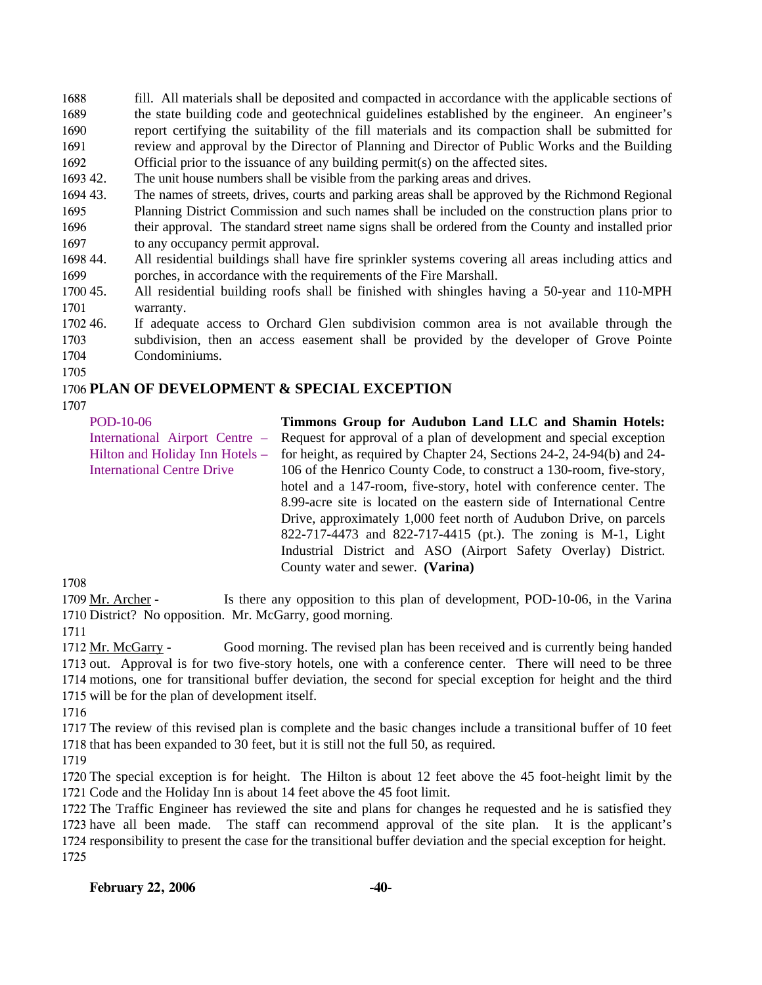1688 1689 1690 1691 1692 fill. All materials shall be deposited and compacted in accordance with the applicable sections of the state building code and geotechnical guidelines established by the engineer. An engineer's report certifying the suitability of the fill materials and its compaction shall be submitted for review and approval by the Director of Planning and Director of Public Works and the Building Official prior to the issuance of any building permit(s) on the affected sites.

- 1693 42. The unit house numbers shall be visible from the parking areas and drives.
- 1694 43. 1695 1696 1697 The names of streets, drives, courts and parking areas shall be approved by the Richmond Regional Planning District Commission and such names shall be included on the construction plans prior to their approval. The standard street name signs shall be ordered from the County and installed prior to any occupancy permit approval.
- 1698 44. 1699 44. All residential buildings shall have fire sprinkler systems covering all areas including attics and porches, in accordance with the requirements of the Fire Marshall.
- 1700 45. 1701 45. All residential building roofs shall be finished with shingles having a 50-year and 110-MPH warranty.
- 1702 46. 1703 1704 If adequate access to Orchard Glen subdivision common area is not available through the subdivision, then an access easement shall be provided by the developer of Grove Pointe Condominiums.

1705

## 1706 **PLAN OF DEVELOPMENT & SPECIAL EXCEPTION**

1707

| POD-10-06                         | Timmons Group for Audubon Land LLC and Shamin Hotels:                  |
|-----------------------------------|------------------------------------------------------------------------|
| International Airport Centre –    | Request for approval of a plan of development and special exception    |
| Hilton and Holiday Inn Hotels -   | for height, as required by Chapter 24, Sections 24-2, 24-94(b) and 24- |
| <b>International Centre Drive</b> | 106 of the Henrico County Code, to construct a 130-room, five-story,   |
|                                   | hotel and a 147-room, five-story, hotel with conference center. The    |
|                                   | 8.99-acre site is located on the eastern side of International Centre  |
|                                   | Drive, approximately 1,000 feet north of Audubon Drive, on parcels     |
|                                   | 822-717-4473 and 822-717-4415 (pt.). The zoning is M-1, Light          |
|                                   | Industrial District and ASO (Airport Safety Overlay) District.         |
|                                   | County water and sewer. (Varina)                                       |
|                                   |                                                                        |

1708

Is there any opposition to this plan of development, POD-10-06, in the Varina 1710 District? No opposition. Mr. McGarry, good morning. 1709 Mr. Archer -

1711

Good morning. The revised plan has been received and is currently being handed 1713 out. Approval is for two five-story hotels, one with a conference center. There will need to be three 1714 motions, one for transitional buffer deviation, the second for special exception for height and the third 1715 will be for the plan of development itself. 1712 Mr. McGarry -

1716

1717 The review of this revised plan is complete and the basic changes include a transitional buffer of 10 feet 1718 that has been expanded to 30 feet, but it is still not the full 50, as required.

1719

1720 The special exception is for height. The Hilton is about 12 feet above the 45 foot-height limit by the 1721 Code and the Holiday Inn is about 14 feet above the 45 foot limit.

 The Traffic Engineer has reviewed the site and plans for changes he requested and he is satisfied they have all been made. The staff can recommend approval of the site plan. It is the applicant's responsibility to present the case for the transitional buffer deviation and the special exception for height. 1725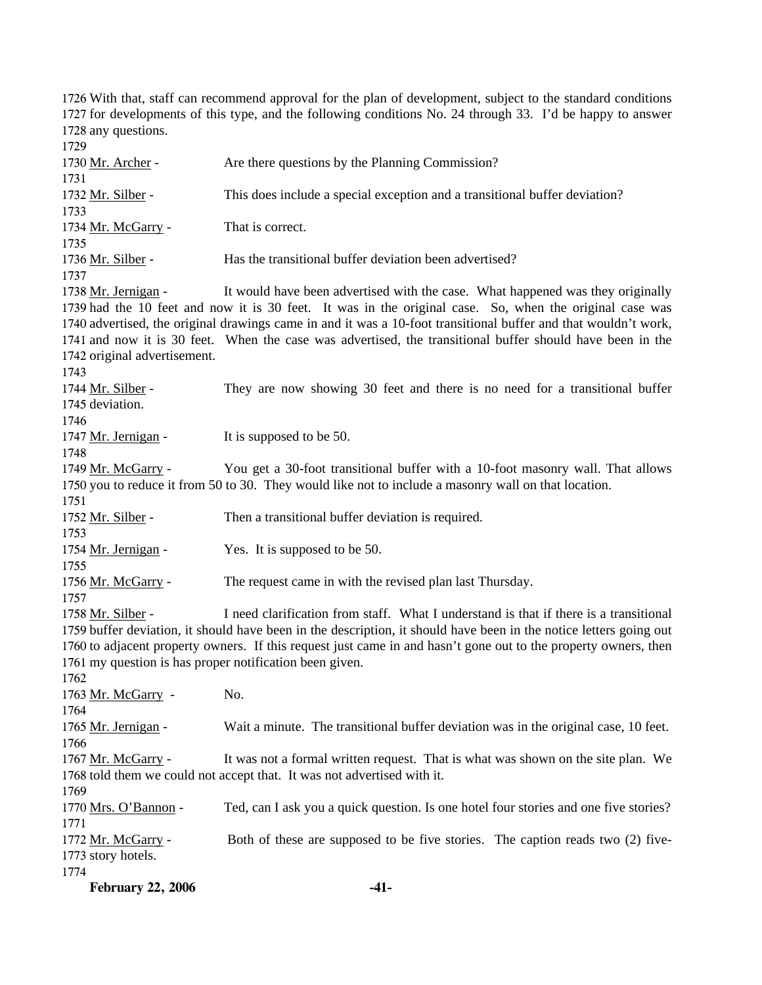**February 22, 2006 -41-** 1726 With that, staff can recommend approval for the plan of development, subject to the standard conditions 1727 for developments of this type, and the following conditions No. 24 through 33. I'd be happy to answer 1728 any questions. 1729 1730 Mr. Archer - Are there questions by the Planning Commission? 1731 1732 Mr. Silber - This does include a special exception and a transitional buffer deviation? 1733 1734 Mr. McGarry - That is correct. 1735 1736 Mr. Silber - Has the transitional buffer deviation been advertised? 1737 It would have been advertised with the case. What happened was they originally 1739 had the 10 feet and now it is 30 feet. It was in the original case. So, when the original case was 1740 advertised, the original drawings came in and it was a 10-foot transitional buffer and that wouldn't work, 1741 and now it is 30 feet. When the case was advertised, the transitional buffer should have been in the 1742 original advertisement. 1738 Mr. Jernigan -1743 They are now showing 30 feet and there is no need for a transitional buffer 1745 deviation. 1744 Mr. Silber -1746 1747 Mr. Jernigan - It is supposed to be 50. 1748 You get a 30-foot transitional buffer with a 10-foot masonry wall. That allows 1750 you to reduce it from 50 to 30. They would like not to include a masonry wall on that location. 1749 Mr. McGarry -1751 1752 Mr. Silber - Then a transitional buffer deviation is required. 1753 1754 Mr. Jernigan - Yes. It is supposed to be 50. 1755 1756 Mr. McGarry - The request came in with the revised plan last Thursday. 1757 I need clarification from staff. What I understand is that if there is a transitional 1759 buffer deviation, it should have been in the description, it should have been in the notice letters going out 1760 to adjacent property owners. If this request just came in and hasn't gone out to the property owners, then 1761 my question is has proper notification been given. 1758 Mr. Silber -1762 1763 Mr. McGarry - No. 1764 1765 Mr. Jernigan - Wait a minute. The transitional buffer deviation was in the original case, 10 feet. 1766 It was not a formal written request. That is what was shown on the site plan. We 1768 told them we could not accept that. It was not advertised with it. 1767 Mr. McGarry -1769 1770 Mrs. O'Bannon - Ted, can I ask you a quick question. Is one hotel four stories and one five stories? 1771 Both of these are supposed to be five stories. The caption reads two (2) five-1773 story hotels. 1772 Mr. McGarry -1774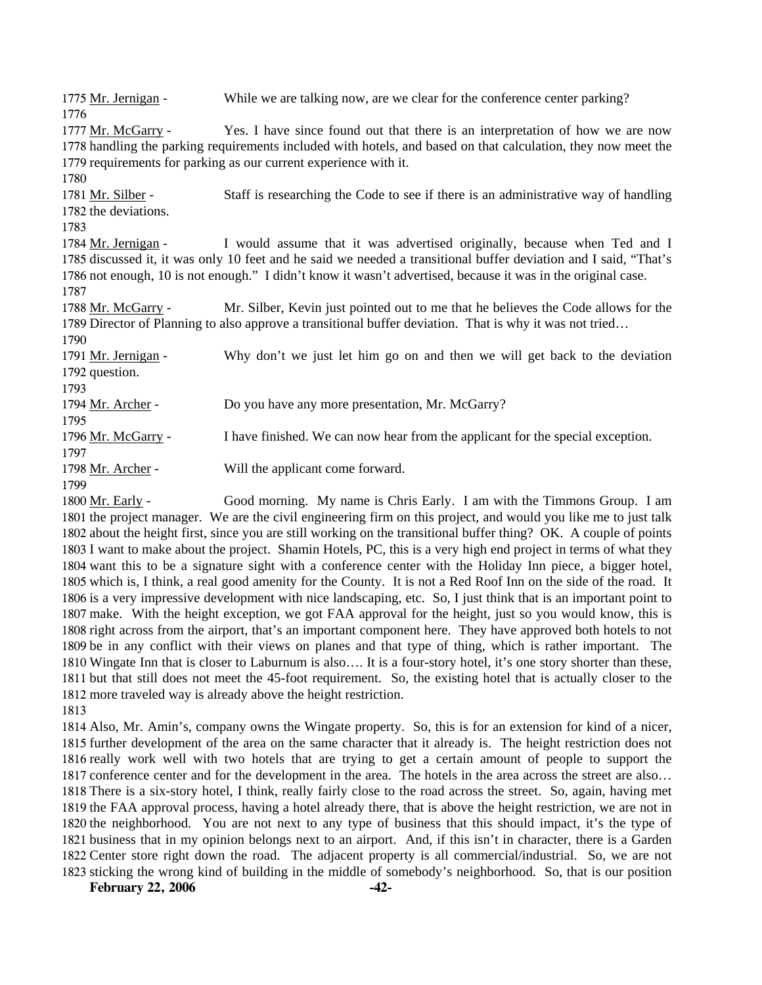1775 Mr. Jernigan - While we are talking now, are we clear for the conference center parking? 1776 Yes. I have since found out that there is an interpretation of how we are now 1778 handling the parking requirements included with hotels, and based on that calculation, they now meet the 1779 requirements for parking as our current experience with it. 1777 Mr. McGarry -1780 Staff is researching the Code to see if there is an administrative way of handling 1782 the deviations. 1781 Mr. Silber -1783 I would assume that it was advertised originally, because when Ted and I 1785 discussed it, it was only 10 feet and he said we needed a transitional buffer deviation and I said, "That's 1786 not enough, 10 is not enough." I didn't know it wasn't advertised, because it was in the original case. 1784 Mr. Jernigan -1787 Mr. Silber, Kevin just pointed out to me that he believes the Code allows for the 1789 Director of Planning to also approve a transitional buffer deviation. That is why it was not tried... 1788 Mr. McGarry -1790 Why don't we just let him go on and then we will get back to the deviation 1792 question. 1791 Mr. Jernigan -1793 1794 Mr. Archer - Do you have any more presentation, Mr. McGarry? 1795 1796 Mr. McGarry - I have finished. We can now hear from the applicant for the special exception. 1797 1798 Mr. Archer - Will the applicant come forward. 1799 Good morning. My name is Chris Early. I am with the Timmons Group. I am 1800 Mr. Early -

1801 the project manager. We are the civil engineering firm on this project, and would you like me to just talk 1802 about the height first, since you are still working on the transitional buffer thing? OK. A couple of points 1803 I want to make about the project. Shamin Hotels, PC, this is a very high end project in terms of what they 1804 want this to be a signature sight with a conference center with the Holiday Inn piece, a bigger hotel, 1805 which is, I think, a real good amenity for the County. It is not a Red Roof Inn on the side of the road. It 1806 is a very impressive development with nice landscaping, etc. So, I just think that is an important point to 1807 make. With the height exception, we got FAA approval for the height, just so you would know, this is 1808 right across from the airport, that's an important component here. They have approved both hotels to not 1809 be in any conflict with their views on planes and that type of thing, which is rather important. The 1810 Wingate Inn that is closer to Laburnum is also.... It is a four-story hotel, it's one story shorter than these, 1811 but that still does not meet the 45-foot requirement. So, the existing hotel that is actually closer to the 1812 more traveled way is already above the height restriction.

1813

 Also, Mr. Amin's, company owns the Wingate property. So, this is for an extension for kind of a nicer, further development of the area on the same character that it already is. The height restriction does not really work well with two hotels that are trying to get a certain amount of people to support the conference center and for the development in the area. The hotels in the area across the street are also… There is a six-story hotel, I think, really fairly close to the road across the street. So, again, having met the FAA approval process, having a hotel already there, that is above the height restriction, we are not in the neighborhood. You are not next to any type of business that this should impact, it's the type of business that in my opinion belongs next to an airport. And, if this isn't in character, there is a Garden Center store right down the road. The adjacent property is all commercial/industrial. So, we are not sticking the wrong kind of building in the middle of somebody's neighborhood. So, that is our position

**February 22, 2006** -42-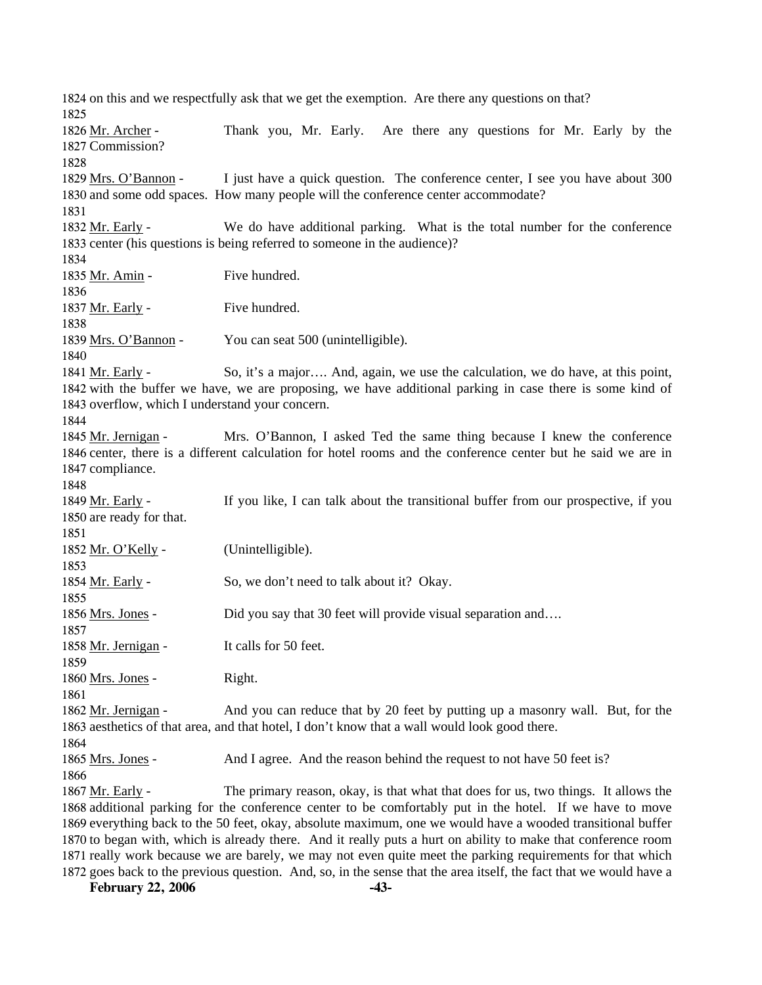1824 on this and we respectfully ask that we get the exemption. Are there any questions on that? 1825 Thank you, Mr. Early. Are there any questions for Mr. Early by the 1827 Commission? 1826 Mr. Archer -1828 I just have a quick question. The conference center, I see you have about 300 1830 and some odd spaces. How many people will the conference center accommodate? 1829 Mrs. O'Bannon -1831 We do have additional parking. What is the total number for the conference 1833 center (his questions is being referred to someone in the audience)? 1832 Mr. Early -1834 1835 Mr. Amin - Five hundred. 1836 1837 Mr. Early - Five hundred. 1838 1839 Mrs. O'Bannon - You can seat 500 (unintelligible). 1840 So, it's a major.... And, again, we use the calculation, we do have, at this point, 1842 with the buffer we have, we are proposing, we have additional parking in case there is some kind of 1843 overflow, which I understand your concern. 1841 Mr. Early -1844 Mrs. O'Bannon, I asked Ted the same thing because I knew the conference 1846 center, there is a different calculation for hotel rooms and the conference center but he said we are in 1847 compliance. 1845 Mr. Jernigan -1848 If you like, I can talk about the transitional buffer from our prospective, if you 1850 are ready for that. 1849 Mr. Early -1851 1852 Mr. O'Kelly - (Unintelligible). 1853 1854 Mr. Early - So, we don't need to talk about it? Okay. 1855 1856 Mrs. Jones - Did you say that 30 feet will provide visual separation and…. 1857 1858 Mr. Jernigan - It calls for 50 feet. 1859 1860 Mrs. Jones - Right. 1861 And you can reduce that by 20 feet by putting up a masonry wall. But, for the 1863 aesthetics of that area, and that hotel, I don't know that a wall would look good there. 1862 Mr. Jernigan -1864 1865 Mrs. Jones - And I agree. And the reason behind the request to not have 50 feet is? 1866 The primary reason, okay, is that what that does for us, two things. It allows the 1868 additional parking for the conference center to be comfortably put in the hotel. If we have to move 1869 everything back to the 50 feet, okay, absolute maximum, one we would have a wooded transitional buffer 1870 to began with, which is already there. And it really puts a hurt on ability to make that conference room 1871 really work because we are barely, we may not even quite meet the parking requirements for that which 1872 goes back to the previous question. And, so, in the sense that the area itself, the fact that we would have a 1867 Mr. Early -

**February 22, 2006 -43-**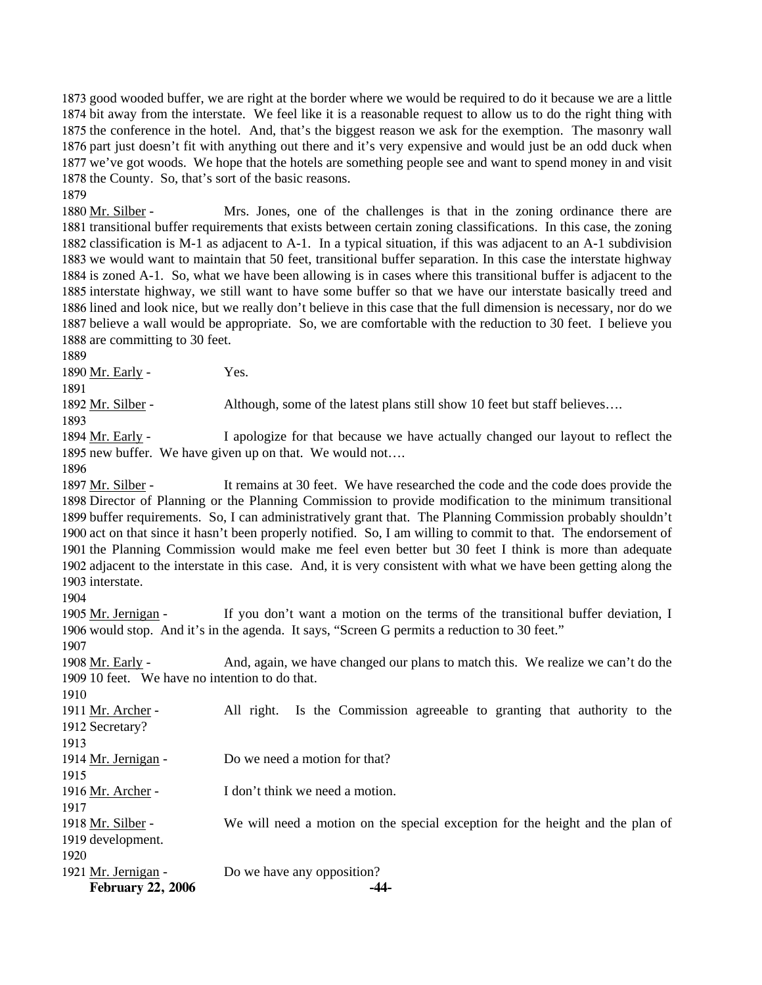good wooded buffer, we are right at the border where we would be required to do it because we are a little bit away from the interstate. We feel like it is a reasonable request to allow us to do the right thing with the conference in the hotel. And, that's the biggest reason we ask for the exemption. The masonry wall part just doesn't fit with anything out there and it's very expensive and would just be an odd duck when we've got woods. We hope that the hotels are something people see and want to spend money in and visit the County. So, that's sort of the basic reasons.

Mrs. Jones, one of the challenges is that in the zoning ordinance there are 1881 transitional buffer requirements that exists between certain zoning classifications. In this case, the zoning 1882 classification is M-1 as adjacent to A-1. In a typical situation, if this was adjacent to an A-1 subdivision 1883 we would want to maintain that 50 feet, transitional buffer separation. In this case the interstate highway 1884 is zoned A-1. So, what we have been allowing is in cases where this transitional buffer is adjacent to the 1885 interstate highway, we still want to have some buffer so that we have our interstate basically treed and 1886 lined and look nice, but we really don't believe in this case that the full dimension is necessary, nor do we 1887 believe a wall would be appropriate. So, we are comfortable with the reduction to 30 feet. I believe you 1888 are committing to 30 feet. 1880 Mr. Silber -

1889

1879

1890 Mr. Early - Yes.

1891

1892 Mr. Silber - Although, some of the latest plans still show 10 feet but staff believes….

1893

I apologize for that because we have actually changed our layout to reflect the 1895 new buffer. We have given up on that. We would not.... 1894 Mr. Early -

1896

It remains at 30 feet. We have researched the code and the code does provide the 1898 Director of Planning or the Planning Commission to provide modification to the minimum transitional 1899 buffer requirements. So, I can administratively grant that. The Planning Commission probably shouldn't 1900 act on that since it hasn't been properly notified. So, I am willing to commit to that. The endorsement of 1901 the Planning Commission would make me feel even better but 30 feet I think is more than adequate 1902 adjacent to the interstate in this case. And, it is very consistent with what we have been getting along the 1903 interstate. 1897 Mr. Silber -

1904

If you don't want a motion on the terms of the transitional buffer deviation, I 1906 would stop. And it's in the agenda. It says, "Screen G permits a reduction to 30 feet." 1905 Mr. Jernigan -

1907

And, again, we have changed our plans to match this. We realize we can't do the 1909 10 feet. We have no intention to do that. 1908 Mr. Early -1910

All right. Is the Commission agreeable to granting that authority to the 1912 Secretary? 1911 Mr. Archer -

1913

1915

1914 Mr. Jernigan - Do we need a motion for that?

1916 Mr. Archer - I don't think we need a motion.

1917

We will need a motion on the special exception for the height and the plan of 1919 development. 1918 Mr. Silber -1920

**February 22, 2006 -44-** 1921 Mr. Jernigan - Do we have any opposition?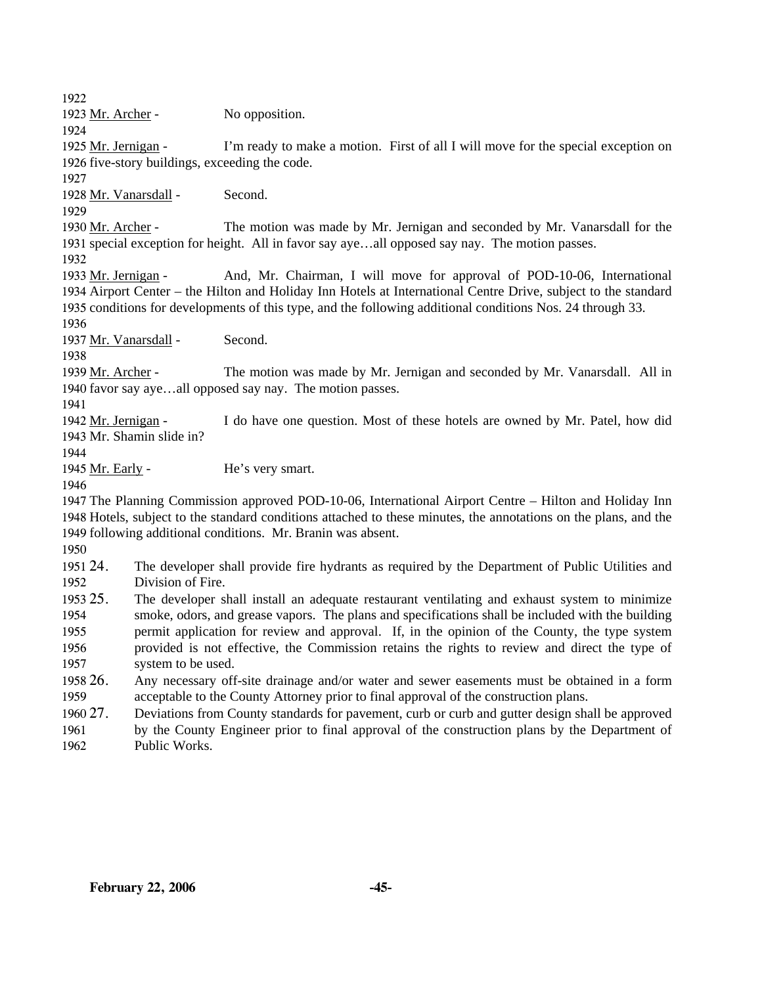1922

1923 Mr. Archer - No opposition.

1924

I'm ready to make a motion. First of all I will move for the special exception on 1926 five-story buildings, exceeding the code. 1925 Mr. Jernigan -

1927

1928 Mr. Vanarsdall - Second.

1929

The motion was made by Mr. Jernigan and seconded by Mr. Vanarsdall for the 1931 special exception for height. All in favor say aye...all opposed say nay. The motion passes. 1930 Mr. Archer -

1932

And, Mr. Chairman, I will move for approval of POD-10-06, International 1934 Airport Center – the Hilton and Holiday Inn Hotels at International Centre Drive, subject to the standard 1935 conditions for developments of this type, and the following additional conditions Nos. 24 through 33. 1933 Mr. Jernigan -

1936

1937 Mr. Vanarsdall - Second.

1938

The motion was made by Mr. Jernigan and seconded by Mr. Vanarsdall. All in 1940 favor say aye...all opposed say nay. The motion passes. 1939 Mr. Archer -

1941

I do have one question. Most of these hotels are owned by Mr. Patel, how did 1943 Mr. Shamin slide in? 1942 Mr. Jernigan -

1944

1945 Mr. Early - He's very smart.

1946

1947 The Planning Commission approved POD-10-06, International Airport Centre – Hilton and Holiday Inn 1948 Hotels, subject to the standard conditions attached to these minutes, the annotations on the plans, and the 1949 following additional conditions. Mr. Branin was absent.

1950

1951 24. 1952 24. The developer shall provide fire hydrants as required by the Department of Public Utilities and Division of Fire.

1953.25 1954 1955 1956 1957 25. The developer shall install an adequate restaurant ventilating and exhaust system to minimize smoke, odors, and grease vapors. The plans and specifications shall be included with the building permit application for review and approval. If, in the opinion of the County, the type system provided is not effective, the Commission retains the rights to review and direct the type of system to be used.

1958 26. 1959 26. Any necessary off-site drainage and/or water and sewer easements must be obtained in a form acceptable to the County Attorney prior to final approval of the construction plans.

1960 27. 27. Deviations from County standards for pavement, curb or curb and gutter design shall be approved

1961 1962 by the County Engineer prior to final approval of the construction plans by the Department of Public Works.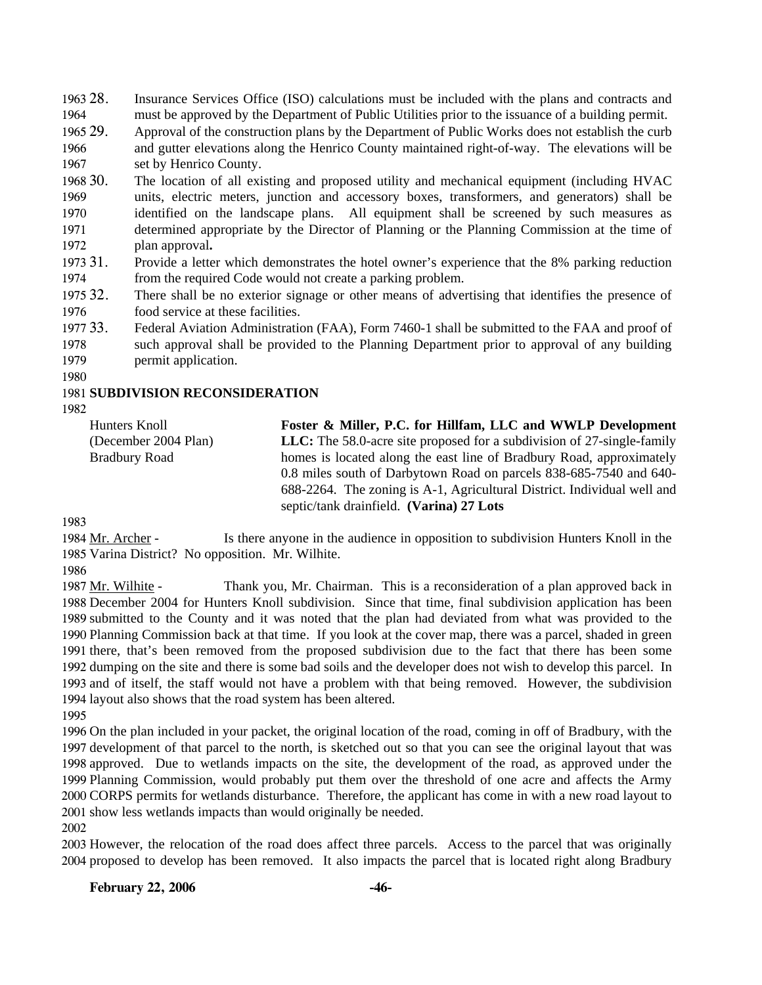1963 28. 1964 Insurance Services Office (ISO) calculations must be included with the plans and contracts and must be approved by the Department of Public Utilities prior to the issuance of a building permit.

1965 29. 1966 1967 29. Approval of the construction plans by the Department of Public Works does not establish the curb and gutter elevations along the Henrico County maintained right-of-way. The elevations will be set by Henrico County.

1968 30. 1969 1970 1971 1972 30. The location of all existing and proposed utility and mechanical equipment (including HVAC units, electric meters, junction and accessory boxes, transformers, and generators) shall be identified on the landscape plans. All equipment shall be screened by such measures as determined appropriate by the Director of Planning or the Planning Commission at the time of plan approval**.**

1973 31. 1974 Provide a letter which demonstrates the hotel owner's experience that the 8% parking reduction from the required Code would not create a parking problem.

1975 32. 1976 There shall be no exterior signage or other means of advertising that identifies the presence of food service at these facilities.

1977 33. 1978 33. Federal Aviation Administration (FAA), Form 7460-1 shall be submitted to the FAA and proof of such approval shall be provided to the Planning Department prior to approval of any building

1979 permit application.

1980

### 1981 **SUBDIVISION RECONSIDERATION**

1982

Hunters Knoll (December 2004 Plan) Bradbury Road **Foster & Miller, P.C. for Hillfam, LLC and WWLP Development LLC:** The 58.0-acre site proposed for a subdivision of 27-single-family homes is located along the east line of Bradbury Road, approximately 0.8 miles south of Darbytown Road on parcels 838-685-7540 and 640- 688-2264. The zoning is A-1, Agricultural District. Individual well and septic/tank drainfield. **(Varina) 27 Lots** 

1983

Is there anyone in the audience in opposition to subdivision Hunters Knoll in the 1985 Varina District? No opposition. Mr. Wilhite. 1984 Mr. Archer -

1986

Thank you, Mr. Chairman. This is a reconsideration of a plan approved back in 1988 December 2004 for Hunters Knoll subdivision. Since that time, final subdivision application has been 1989 submitted to the County and it was noted that the plan had deviated from what was provided to the 1990 Planning Commission back at that time. If you look at the cover map, there was a parcel, shaded in green 1991 there, that's been removed from the proposed subdivision due to the fact that there has been some 1992 dumping on the site and there is some bad soils and the developer does not wish to develop this parcel. In 1993 and of itself, the staff would not have a problem with that being removed. However, the subdivision 1994 layout also shows that the road system has been altered. 1987 Mr. Wilhite -

1995

 On the plan included in your packet, the original location of the road, coming in off of Bradbury, with the development of that parcel to the north, is sketched out so that you can see the original layout that was approved. Due to wetlands impacts on the site, the development of the road, as approved under the Planning Commission, would probably put them over the threshold of one acre and affects the Army CORPS permits for wetlands disturbance. Therefore, the applicant has come in with a new road layout to show less wetlands impacts than would originally be needed.

2002

2003 However, the relocation of the road does affect three parcels. Access to the parcel that was originally 2004 proposed to develop has been removed. It also impacts the parcel that is located right along Bradbury

### **February 22, 2006 -46-**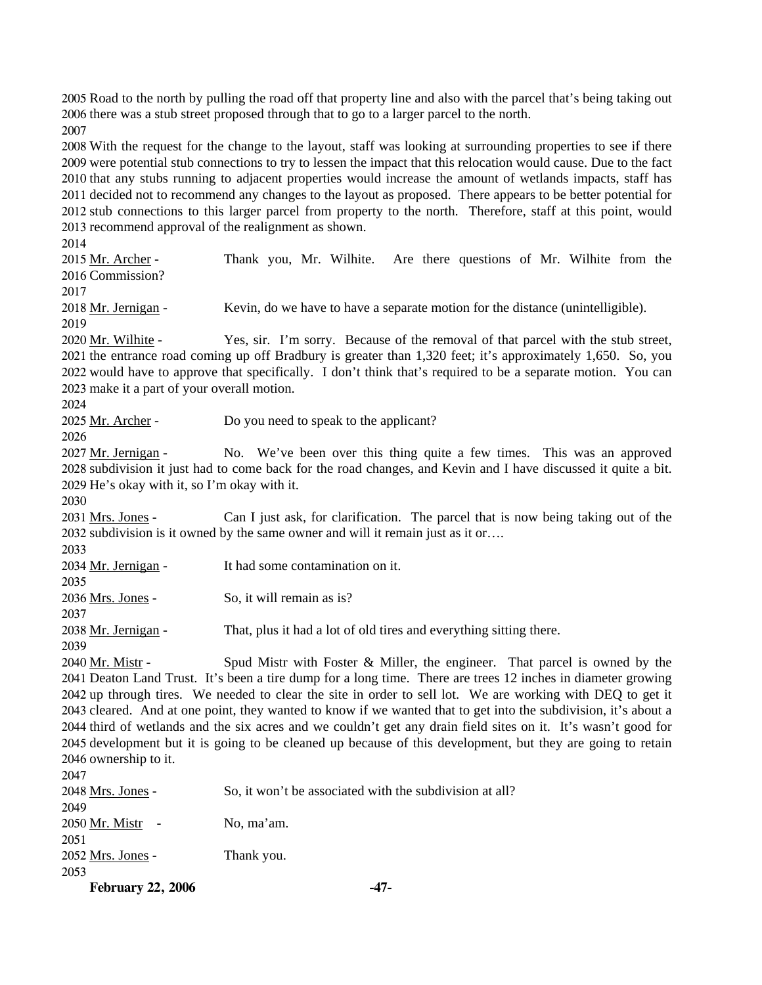2005 Road to the north by pulling the road off that property line and also with the parcel that's being taking out 2006 there was a stub street proposed through that to go to a larger parcel to the north.

2007

 With the request for the change to the layout, staff was looking at surrounding properties to see if there were potential stub connections to try to lessen the impact that this relocation would cause. Due to the fact that any stubs running to adjacent properties would increase the amount of wetlands impacts, staff has decided not to recommend any changes to the layout as proposed. There appears to be better potential for stub connections to this larger parcel from property to the north. Therefore, staff at this point, would recommend approval of the realignment as shown.

2014

Thank you, Mr. Wilhite. Are there questions of Mr. Wilhite from the 2016 Commission? 2015 Mr. Archer -

2017

2018 Mr. Jernigan - Kevin, do we have to have a separate motion for the distance (unintelligible).

2019

Yes, sir. I'm sorry. Because of the removal of that parcel with the stub street, 2021 the entrance road coming up off Bradbury is greater than 1,320 feet; it's approximately 1,650. So, you 2022 would have to approve that specifically. I don't think that's required to be a separate motion. You can 2020 Mr. Wilhite -

2023 make it a part of your overall motion.

2024

2025 Mr. Archer - Do you need to speak to the applicant?

2026

No. We've been over this thing quite a few times. This was an approved 2028 subdivision it just had to come back for the road changes, and Kevin and I have discussed it quite a bit. 2029 He's okay with it, so I'm okay with it. 2027 Mr. Jernigan -

2030

Can I just ask, for clarification. The parcel that is now being taking out of the 2032 subdivision is it owned by the same owner and will it remain just as it or…. 2031 Mrs. Jones -

2033

2034 Mr. Jernigan - It had some contamination on it. 2035

2036 Mrs. Jones - So, it will remain as is?

2038 Mr. Jernigan - That, plus it had a lot of old tires and everything sitting there.

2039

2037

Spud Mistr with Foster  $\&$  Miller, the engineer. That parcel is owned by the 2041 Deaton Land Trust. It's been a tire dump for a long time. There are trees 12 inches in diameter growing 2042 up through tires. We needed to clear the site in order to sell lot. We are working with DEQ to get it 2043 cleared. And at one point, they wanted to know if we wanted that to get into the subdivision, it's about a 2044 third of wetlands and the six acres and we couldn't get any drain field sites on it. It's wasn't good for 2045 development but it is going to be cleaned up because of this development, but they are going to retain 2046 ownership to it. 2040 Mr. Mistr - $2047$ 

| 2041              |                                                         |
|-------------------|---------------------------------------------------------|
| 2048 Mrs. Jones - | So, it won't be associated with the subdivision at all? |
| 2049              |                                                         |
| 2050 Mr. Mistr    | No, ma'am.                                              |
| 2051              |                                                         |
| 2052 Mrs. Jones - | Thank you.                                              |
| 2053              |                                                         |
|                   |                                                         |

**February 22, 2006 -47-**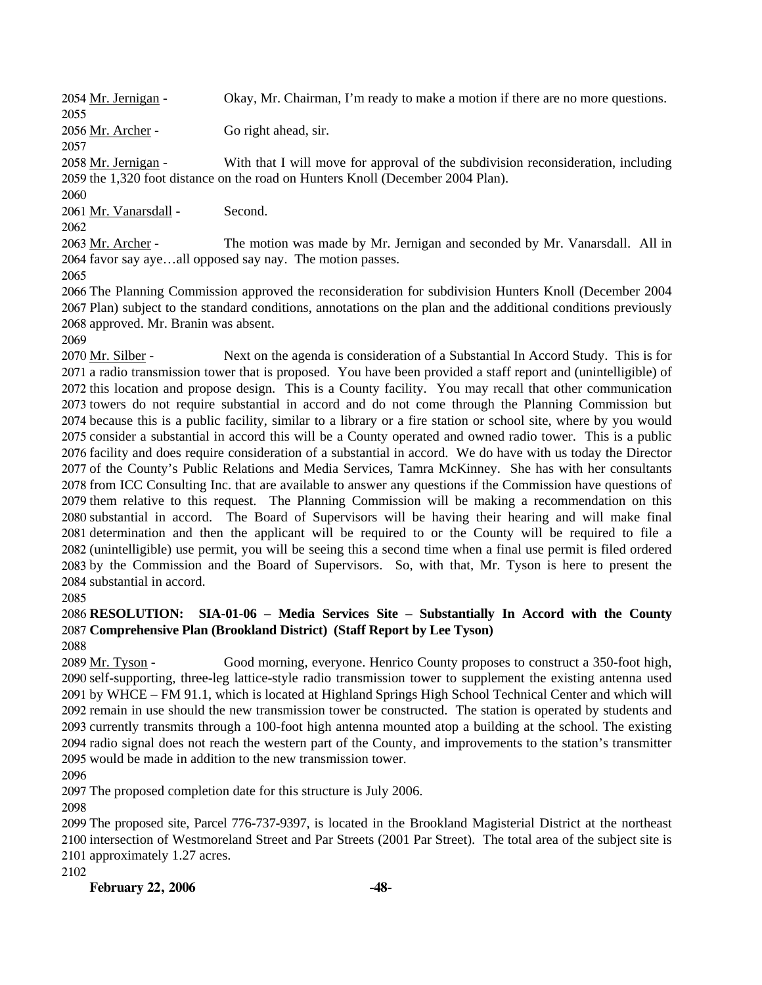2054 Mr. Jernigan - Okay, Mr. Chairman, I'm ready to make a motion if there are no more questions. 2055 2056 Mr. Archer - Go right ahead, sir. 2057

With that I will move for approval of the subdivision reconsideration, including 2059 the 1,320 foot distance on the road on Hunters Knoll (December 2004 Plan). 2058 Mr. Jernigan -

2060

2061 Mr. Vanarsdall - Second.

2062

The motion was made by Mr. Jernigan and seconded by Mr. Vanarsdall. All in 2064 favor say aye...all opposed say nay. The motion passes. 2063 Mr. Archer -

2065

2066 The Planning Commission approved the reconsideration for subdivision Hunters Knoll (December 2004 2067 Plan) subject to the standard conditions, annotations on the plan and the additional conditions previously 2068 approved. Mr. Branin was absent.

2069

Next on the agenda is consideration of a Substantial In Accord Study. This is for 2071 a radio transmission tower that is proposed. You have been provided a staff report and (unintelligible) of 2072 this location and propose design. This is a County facility. You may recall that other communication 2073 towers do not require substantial in accord and do not come through the Planning Commission but 2074 because this is a public facility, similar to a library or a fire station or school site, where by you would 2075 consider a substantial in accord this will be a County operated and owned radio tower. This is a public 2076 facility and does require consideration of a substantial in accord. We do have with us today the Director 2077 of the County's Public Relations and Media Services, Tamra McKinney. She has with her consultants 2078 from ICC Consulting Inc. that are available to answer any questions if the Commission have questions of 2079 them relative to this request. The Planning Commission will be making a recommendation on this 2080 substantial in accord. The Board of Supervisors will be having their hearing and will make final 2081 determination and then the applicant will be required to or the County will be required to file a 2082 (unintelligible) use permit, you will be seeing this a second time when a final use permit is filed ordered 2083 by the Commission and the Board of Supervisors. So, with that, Mr. Tyson is here to present the 2084 substantial in accord. 2070 Mr. Silber -

2085

# 2086 **RESOLUTION: SIA-01-06 – Media Services Site – Substantially In Accord with the County**  2087 **Comprehensive Plan (Brookland District) (Staff Report by Lee Tyson)**

2088

Good morning, everyone. Henrico County proposes to construct a 350-foot high, 2090 self-supporting, three-leg lattice-style radio transmission tower to supplement the existing antenna used 2091 by WHCE – FM 91.1, which is located at Highland Springs High School Technical Center and which will 2092 remain in use should the new transmission tower be constructed. The station is operated by students and 2093 currently transmits through a 100-foot high antenna mounted atop a building at the school. The existing 2094 radio signal does not reach the western part of the County, and improvements to the station's transmitter 2095 would be made in addition to the new transmission tower. 2089 Mr. Tyson -

2096

2097 The proposed completion date for this structure is July 2006.

2098

2099 The proposed site, Parcel 776-737-9397, is located in the Brookland Magisterial District at the northeast 2100 intersection of Westmoreland Street and Par Streets (2001 Par Street). The total area of the subject site is 2101 approximately 1.27 acres.

2102

**February 22, 2006 -48-**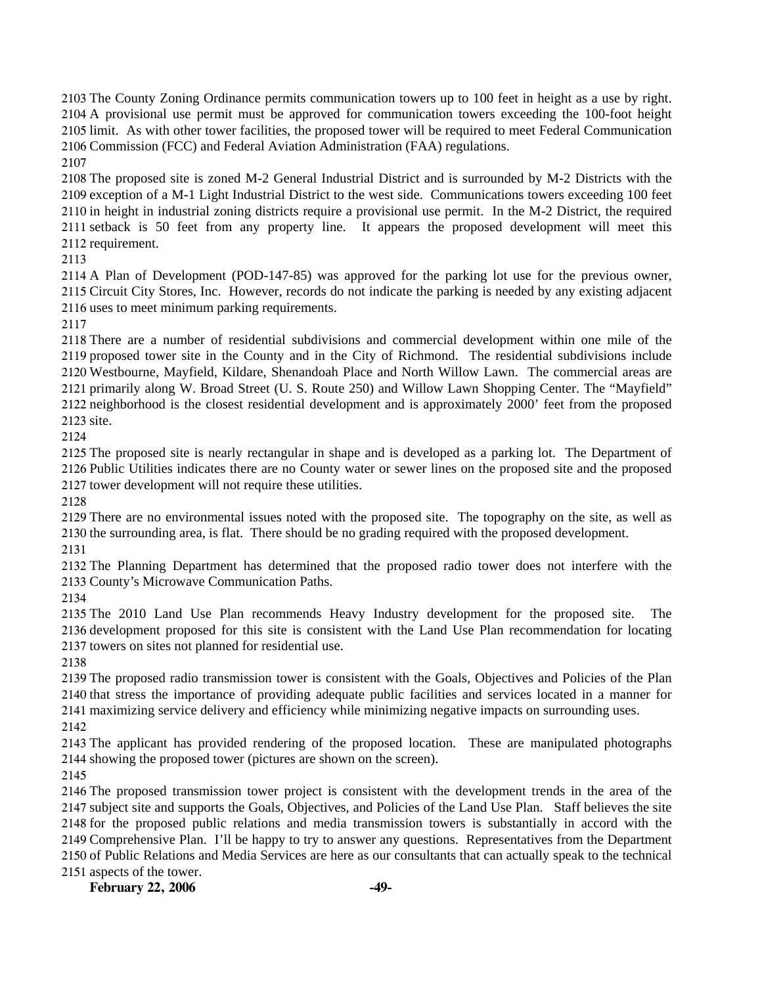The County Zoning Ordinance permits communication towers up to 100 feet in height as a use by right. A provisional use permit must be approved for communication towers exceeding the 100-foot height limit. As with other tower facilities, the proposed tower will be required to meet Federal Communication Commission (FCC) and Federal Aviation Administration (FAA) regulations.

 The proposed site is zoned M-2 General Industrial District and is surrounded by M-2 Districts with the exception of a M-1 Light Industrial District to the west side. Communications towers exceeding 100 feet in height in industrial zoning districts require a provisional use permit. In the M-2 District, the required setback is 50 feet from any property line. It appears the proposed development will meet this requirement.

 A Plan of Development (POD-147-85) was approved for the parking lot use for the previous owner, Circuit City Stores, Inc. However, records do not indicate the parking is needed by any existing adjacent uses to meet minimum parking requirements.

 There are a number of residential subdivisions and commercial development within one mile of the proposed tower site in the County and in the City of Richmond. The residential subdivisions include Westbourne, Mayfield, Kildare, Shenandoah Place and North Willow Lawn. The commercial areas are primarily along W. Broad Street (U. S. Route 250) and Willow Lawn Shopping Center. The "Mayfield" neighborhood is the closest residential development and is approximately 2000' feet from the proposed site.

 The proposed site is nearly rectangular in shape and is developed as a parking lot. The Department of Public Utilities indicates there are no County water or sewer lines on the proposed site and the proposed tower development will not require these utilities.

 There are no environmental issues noted with the proposed site. The topography on the site, as well as the surrounding area, is flat. There should be no grading required with the proposed development. 

 The Planning Department has determined that the proposed radio tower does not interfere with the County's Microwave Communication Paths.

 The 2010 Land Use Plan recommends Heavy Industry development for the proposed site. The development proposed for this site is consistent with the Land Use Plan recommendation for locating towers on sites not planned for residential use.

 The proposed radio transmission tower is consistent with the Goals, Objectives and Policies of the Plan that stress the importance of providing adequate public facilities and services located in a manner for maximizing service delivery and efficiency while minimizing negative impacts on surrounding uses.

 The applicant has provided rendering of the proposed location. These are manipulated photographs showing the proposed tower (pictures are shown on the screen).

 The proposed transmission tower project is consistent with the development trends in the area of the subject site and supports the Goals, Objectives, and Policies of the Land Use Plan. Staff believes the site for the proposed public relations and media transmission towers is substantially in accord with the Comprehensive Plan. I'll be happy to try to answer any questions. Representatives from the Department of Public Relations and Media Services are here as our consultants that can actually speak to the technical aspects of the tower.

**February 22, 2006 -49-**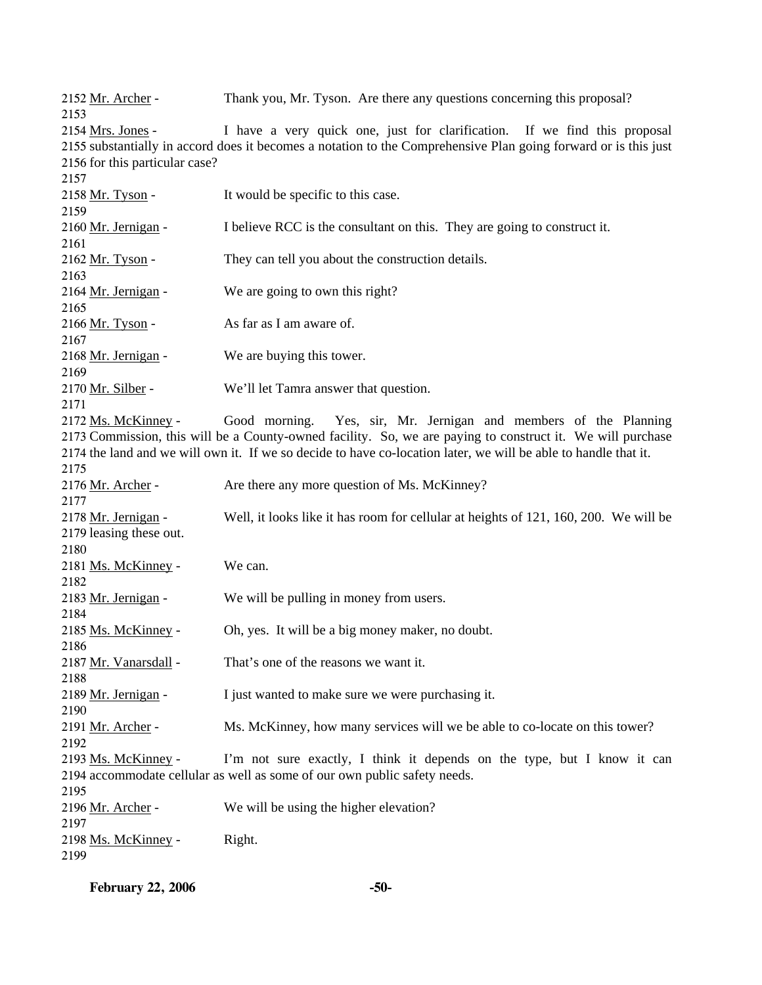2152 Mr. Archer - Thank you, Mr. Tyson. Are there any questions concerning this proposal? 2153

I have a very quick one, just for clarification. If we find this proposal 2155 substantially in accord does it becomes a notation to the Comprehensive Plan going forward or is this just 2156 for this particular case? 2154 Mrs. Jones - $2157$ 

| 2137                    |                                                                                                                 |
|-------------------------|-----------------------------------------------------------------------------------------------------------------|
| 2158 Mr. Tyson -        | It would be specific to this case.                                                                              |
| 2159                    |                                                                                                                 |
| 2160 Mr. Jernigan -     | I believe RCC is the consultant on this. They are going to construct it.                                        |
| 2161                    |                                                                                                                 |
| 2162 Mr. Tyson -        | They can tell you about the construction details.                                                               |
| 2163                    |                                                                                                                 |
| 2164 Mr. Jernigan -     | We are going to own this right?                                                                                 |
| 2165                    |                                                                                                                 |
| 2166 Mr. Tyson -        | As far as I am aware of.                                                                                        |
| 2167                    |                                                                                                                 |
| 2168 Mr. Jernigan -     | We are buying this tower.                                                                                       |
| 2169                    |                                                                                                                 |
| 2170 Mr. Silber -       | We'll let Tamra answer that question.                                                                           |
| 2171                    |                                                                                                                 |
| 2172 Ms. McKinney -     | Good morning. Yes, sir, Mr. Jernigan and members of the Planning                                                |
|                         | 2173 Commission, this will be a County-owned facility. So, we are paying to construct it. We will purchase      |
|                         | 2174 the land and we will own it. If we so decide to have co-location later, we will be able to handle that it. |
| 2175                    |                                                                                                                 |
| 2176 Mr. Archer -       | Are there any more question of Ms. McKinney?                                                                    |
| 2177                    |                                                                                                                 |
| 2178 Mr. Jernigan -     | Well, it looks like it has room for cellular at heights of 121, 160, 200. We will be                            |
| 2179 leasing these out. |                                                                                                                 |
| 2180                    |                                                                                                                 |
| 2181 Ms. McKinney -     | We can.                                                                                                         |
| 2182                    |                                                                                                                 |
| 2183 Mr. Jernigan -     | We will be pulling in money from users.                                                                         |
| 2184                    |                                                                                                                 |
| 2185 Ms. McKinney -     | Oh, yes. It will be a big money maker, no doubt.                                                                |
| 2186                    |                                                                                                                 |
| 2187 Mr. Vanarsdall -   | That's one of the reasons we want it.                                                                           |
| 2188                    |                                                                                                                 |
| 2189 Mr. Jernigan -     | I just wanted to make sure we were purchasing it.                                                               |
| 2190                    |                                                                                                                 |
| 2191 Mr. Archer -       | Ms. McKinney, how many services will we be able to co-locate on this tower?                                     |
| 2192                    |                                                                                                                 |
| 2193 Ms. McKinney -     | I'm not sure exactly, I think it depends on the type, but I know it can                                         |
|                         | 2194 accommodate cellular as well as some of our own public safety needs.                                       |
| 2195                    |                                                                                                                 |
| 2196 Mr. Archer -       | We will be using the higher elevation?                                                                          |
| 2197                    |                                                                                                                 |
| 2198 Ms. McKinney -     | Right.                                                                                                          |
| 2199                    |                                                                                                                 |
|                         |                                                                                                                 |

**February 22, 2006 -50-**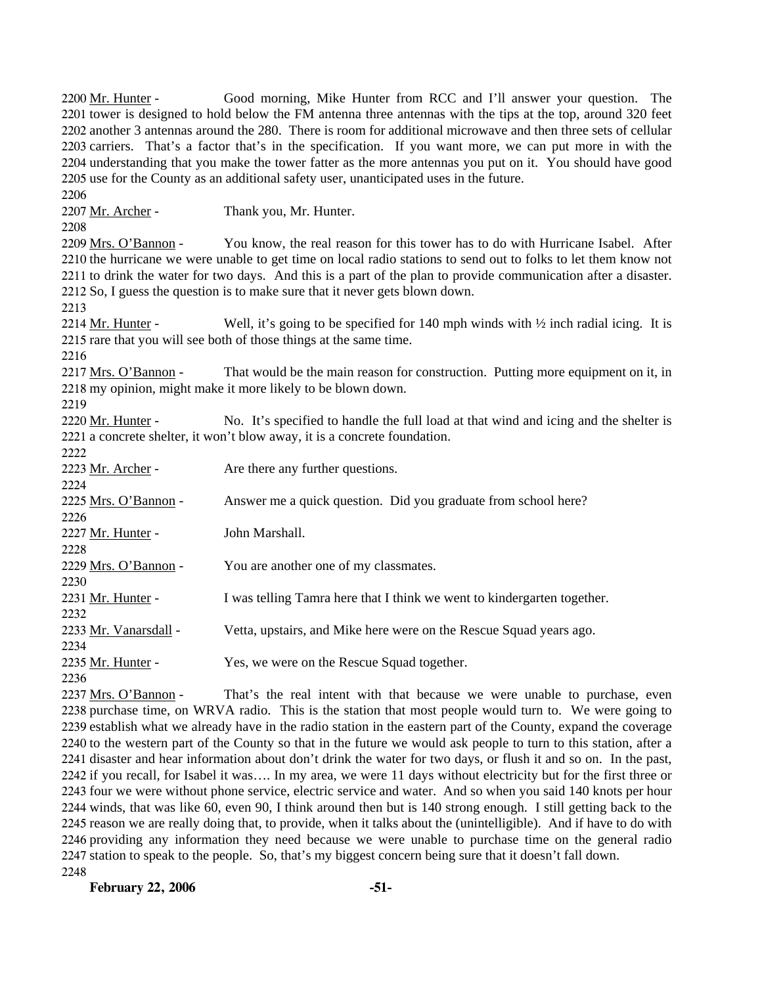Good morning, Mike Hunter from RCC and I'll answer your question. The 2201 tower is designed to hold below the FM antenna three antennas with the tips at the top, around 320 feet 2202 another 3 antennas around the 280. There is room for additional microwave and then three sets of cellular 2203 carriers. That's a factor that's in the specification. If you want more, we can put more in with the 2204 understanding that you make the tower fatter as the more antennas you put on it. You should have good 2205 use for the County as an additional safety user, unanticipated uses in the future. 2200 Mr. Hunter -2206 2207 Mr. Archer - Thank you, Mr. Hunter. 2208 You know, the real reason for this tower has to do with Hurricane Isabel. After 2210 the hurricane we were unable to get time on local radio stations to send out to folks to let them know not 2211 to drink the water for two days. And this is a part of the plan to provide communication after a disaster. 2212 So, I guess the question is to make sure that it never gets blown down. 2209 Mrs. O'Bannon -2213 Well, it's going to be specified for 140 mph winds with  $\frac{1}{2}$  inch radial icing. It is 2215 rare that you will see both of those things at the same time. 2214 Mr. Hunter -2216 That would be the main reason for construction. Putting more equipment on it, in 2218 my opinion, might make it more likely to be blown down. 2217 Mrs. O'Bannon -2219 No. It's specified to handle the full load at that wind and icing and the shelter is 2221 a concrete shelter, it won't blow away, it is a concrete foundation. 2220 Mr. Hunter -2222 2223 Mr. Archer - Are there any further questions. 2224 2225 Mrs. O'Bannon - Answer me a quick question. Did you graduate from school here? 2226 2227 Mr. Hunter - John Marshall. 2228 2229 Mrs. O'Bannon - You are another one of my classmates. 2230 2231 Mr. Hunter - I was telling Tamra here that I think we went to kindergarten together. 2232 2233 Mr. Vanarsdall - Vetta, upstairs, and Mike here were on the Rescue Squad years ago. 2234 2235 Mr. Hunter - Yes, we were on the Rescue Squad together. 2236 That's the real intent with that because we were unable to purchase, even 2238 purchase time, on WRVA radio. This is the station that most people would turn to. We were going to 2237 Mrs. O'Bannon -

2239 establish what we already have in the radio station in the eastern part of the County, expand the coverage 2240 to the western part of the County so that in the future we would ask people to turn to this station, after a 2241 disaster and hear information about don't drink the water for two days, or flush it and so on. In the past, 2242 if you recall, for Isabel it was.... In my area, we were 11 days without electricity but for the first three or 2243 four we were without phone service, electric service and water. And so when you said 140 knots per hour 2244 winds, that was like 60, even 90, I think around then but is 140 strong enough. I still getting back to the 2245 reason we are really doing that, to provide, when it talks about the (unintelligible). And if have to do with 2246 providing any information they need because we were unable to purchase time on the general radio 2247 station to speak to the people. So, that's my biggest concern being sure that it doesn't fall down. 2248

**February 22, 2006 -51-**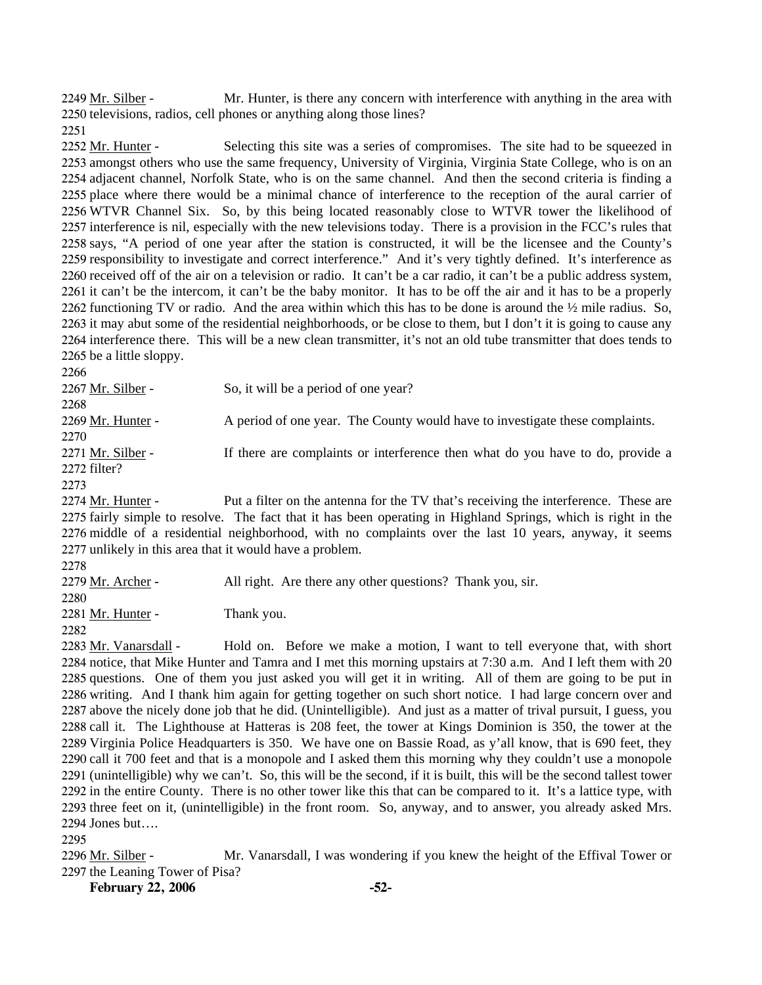Mr. Hunter, is there any concern with interference with anything in the area with 2250 televisions, radios, cell phones or anything along those lines? 2249 Mr. Silber -

2251

Selecting this site was a series of compromises. The site had to be squeezed in 2253 amongst others who use the same frequency, University of Virginia, Virginia State College, who is on an 2254 adjacent channel, Norfolk State, who is on the same channel. And then the second criteria is finding a 2255 place where there would be a minimal chance of interference to the reception of the aural carrier of 2256 WTVR Channel Six. So, by this being located reasonably close to WTVR tower the likelihood of 2257 interference is nil, especially with the new televisions today. There is a provision in the FCC's rules that 2258 says, "A period of one year after the station is constructed, it will be the licensee and the County's 2259 responsibility to investigate and correct interference." And it's very tightly defined. It's interference as 2260 received off of the air on a television or radio. It can't be a car radio, it can't be a public address system, 2261 it can't be the intercom, it can't be the baby monitor. It has to be off the air and it has to be a properly 2262 functioning TV or radio. And the area within which this has to be done is around the  $\frac{1}{2}$  mile radius. So, 2263 it may abut some of the residential neighborhoods, or be close to them, but I don't it is going to cause any 2264 interference there. This will be a new clean transmitter, it's not an old tube transmitter that does tends to 2265 be a little sloppy. 2252 Mr. Hunter -

| 2266              |                                                                                     |
|-------------------|-------------------------------------------------------------------------------------|
| 2267 Mr. Silber - | So, it will be a period of one year?                                                |
| 2268              |                                                                                     |
| 2269 Mr. Hunter - | A period of one year. The County would have to investigate these complaints.        |
| 2270              |                                                                                     |
| 2271 Mr. Silber - | If there are complaints or interference then what do you have to do, provide a      |
| 2272 filter?      |                                                                                     |
| 2273              |                                                                                     |
| 2274 Mr. Hunter - | Put a filter on the antenna for the TV that's receiving the interference. These are |

fairly simple to resolve. The fact that it has been operating in Highland Springs, which is right in the 2276 middle of a residential neighborhood, with no complaints over the last 10 years, anyway, it seems 2277 unlikely in this area that it would have a problem. 2274 2275

2278

2279 Mr. Archer - All right. Are there any other questions? Thank you, sir.

2280

2281 Mr. Hunter - Thank you.

2282

Hold on. Before we make a motion, I want to tell everyone that, with short 2284 notice, that Mike Hunter and Tamra and I met this morning upstairs at 7:30 a.m. And I left them with 20 2285 questions. One of them you just asked you will get it in writing. All of them are going to be put in 2286 writing. And I thank him again for getting together on such short notice. I had large concern over and 2287 above the nicely done job that he did. (Unintelligible). And just as a matter of trival pursuit, I guess, you 2288 call it. The Lighthouse at Hatteras is 208 feet, the tower at Kings Dominion is 350, the tower at the 2289 Virginia Police Headquarters is 350. We have one on Bassie Road, as y'all know, that is 690 feet, they 2290 call it 700 feet and that is a monopole and I asked them this morning why they couldn't use a monopole 2291 (unintelligible) why we can't. So, this will be the second, if it is built, this will be the second tallest tower 2292 in the entire County. There is no other tower like this that can be compared to it. It's a lattice type, with 2293 three feet on it, (unintelligible) in the front room. So, anyway, and to answer, you already asked Mrs. 2294 Jones but.... 2283 Mr. Vanarsdall -

2295

Mr. Vanarsdall, I was wondering if you knew the height of the Effival Tower or 2297 the Leaning Tower of Pisa? 2296 Mr. Silber -

**February 22, 2006 -52-**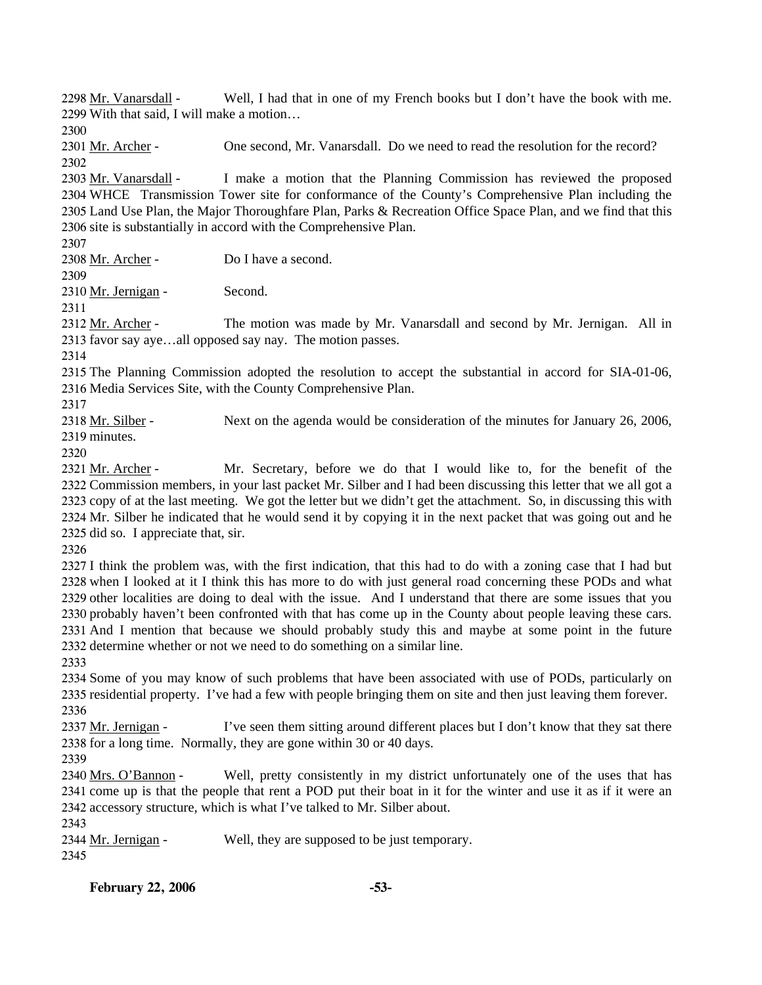Well, I had that in one of my French books but I don't have the book with me. With that said, I will make a motion… 2299 2298 Mr. Vanarsdall -

2300

2301 Mr. Archer - One second, Mr. Vanarsdall. Do we need to read the resolution for the record? 2302

I make a motion that the Planning Commission has reviewed the proposed 2304 WHCE Transmission Tower site for conformance of the County's Comprehensive Plan including the 2305 Land Use Plan, the Major Thoroughfare Plan, Parks & Recreation Office Space Plan, and we find that this 2306 site is substantially in accord with the Comprehensive Plan. 2303 Mr. Vanarsdall -

2307

2308 Mr. Archer - Do I have a second.

2309

2310 Mr. Jernigan - Second.

2311

The motion was made by Mr. Vanarsdall and second by Mr. Jernigan. All in 2313 favor say aye...all opposed say nay. The motion passes. 2312 Mr. Archer -

2314

2315 The Planning Commission adopted the resolution to accept the substantial in accord for SIA-01-06, 2316 Media Services Site, with the County Comprehensive Plan.

2317

Next on the agenda would be consideration of the minutes for January 26, 2006, 2319 minutes. 2318 Mr. Silber -

2320

Mr. Secretary, before we do that I would like to, for the benefit of the 2322 Commission members, in your last packet Mr. Silber and I had been discussing this letter that we all got a 2323 copy of at the last meeting. We got the letter but we didn't get the attachment. So, in discussing this with 2324 Mr. Silber he indicated that he would send it by copying it in the next packet that was going out and he 2325 did so. I appreciate that, sir. 2321 Mr. Archer -

2326

 I think the problem was, with the first indication, that this had to do with a zoning case that I had but when I looked at it I think this has more to do with just general road concerning these PODs and what other localities are doing to deal with the issue. And I understand that there are some issues that you probably haven't been confronted with that has come up in the County about people leaving these cars. And I mention that because we should probably study this and maybe at some point in the future determine whether or not we need to do something on a similar line.

2333

2334 Some of you may know of such problems that have been associated with use of PODs, particularly on 2335 residential property. I've had a few with people bringing them on site and then just leaving them forever. 2336

I've seen them sitting around different places but I don't know that they sat there 2338 for a long time. Normally, they are gone within 30 or 40 days. 2337 Mr. Jernigan -

2339

Well, pretty consistently in my district unfortunately one of the uses that has 2341 come up is that the people that rent a POD put their boat in it for the winter and use it as if it were an 2342 accessory structure, which is what I've talked to Mr. Silber about. 2340 Mrs. O'Bannon -

2343

2344 Mr. Jernigan - Well, they are supposed to be just temporary.

2345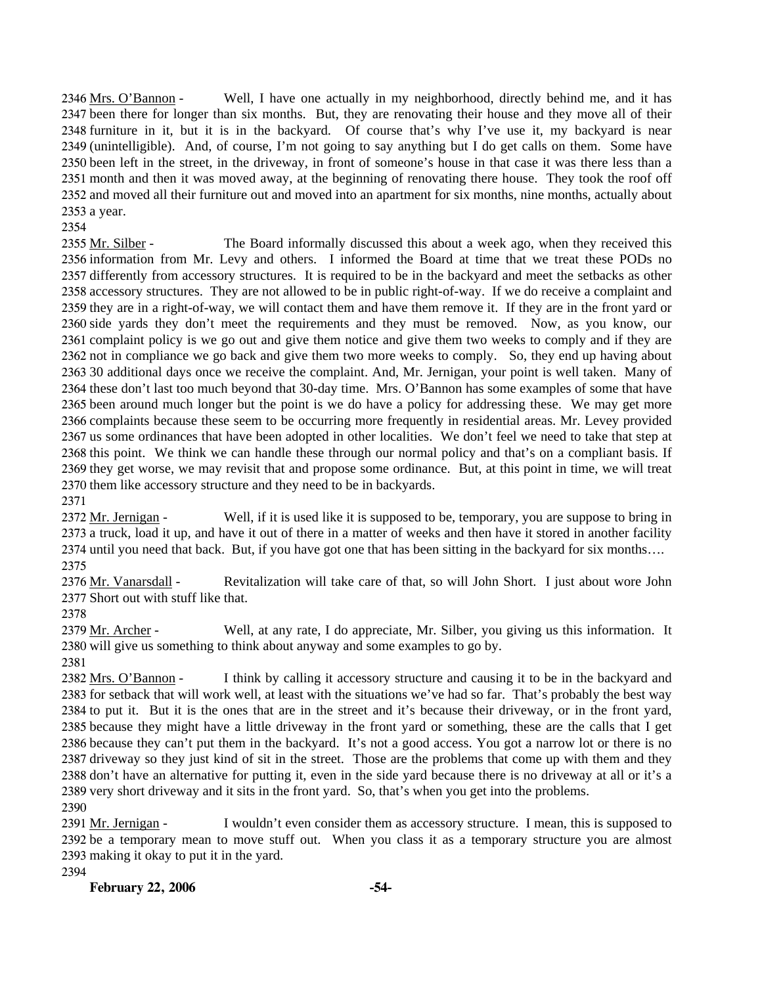Well, I have one actually in my neighborhood, directly behind me, and it has 2347 been there for longer than six months. But, they are renovating their house and they move all of their 2348 furniture in it, but it is in the backyard. Of course that's why I've use it, my backyard is near 2349 (unintelligible). And, of course, I'm not going to say anything but I do get calls on them. Some have 2350 been left in the street, in the driveway, in front of someone's house in that case it was there less than a 2351 month and then it was moved away, at the beginning of renovating there house. They took the roof off 2352 and moved all their furniture out and moved into an apartment for six months, nine months, actually about 2353 a year. 2346 Mrs. O'Bannon -

2354

The Board informally discussed this about a week ago, when they received this 2356 information from Mr. Levy and others. I informed the Board at time that we treat these PODs no 2357 differently from accessory structures. It is required to be in the backyard and meet the setbacks as other 2358 accessory structures. They are not allowed to be in public right-of-way. If we do receive a complaint and 2359 they are in a right-of-way, we will contact them and have them remove it. If they are in the front yard or 2360 side yards they don't meet the requirements and they must be removed. Now, as you know, our 2361 complaint policy is we go out and give them notice and give them two weeks to comply and if they are 2362 not in compliance we go back and give them two more weeks to comply. So, they end up having about 2363 30 additional days once we receive the complaint. And, Mr. Jernigan, your point is well taken. Many of 2364 these don't last too much beyond that 30-day time. Mrs. O'Bannon has some examples of some that have 2365 been around much longer but the point is we do have a policy for addressing these. We may get more 2366 complaints because these seem to be occurring more frequently in residential areas. Mr. Levey provided 2367 us some ordinances that have been adopted in other localities. We don't feel we need to take that step at 2368 this point. We think we can handle these through our normal policy and that's on a compliant basis. If 2369 they get worse, we may revisit that and propose some ordinance. But, at this point in time, we will treat 2370 them like accessory structure and they need to be in backyards. 2355 Mr. Silber -2371

Well, if it is used like it is supposed to be, temporary, you are suppose to bring in 2373 a truck, load it up, and have it out of there in a matter of weeks and then have it stored in another facility 2374 until you need that back. But, if you have got one that has been sitting in the backyard for six months.... 2372 Mr. Jernigan -2375

Revitalization will take care of that, so will John Short. I just about wore John 2377 Short out with stuff like that. 2376 Mr. Vanarsdall -

2378

Well, at any rate, I do appreciate, Mr. Silber, you giving us this information. It 2380 will give us something to think about anyway and some examples to go by. 2379 Mr. Archer -

2381

I think by calling it accessory structure and causing it to be in the backyard and 2383 for setback that will work well, at least with the situations we've had so far. That's probably the best way 2384 to put it. But it is the ones that are in the street and it's because their driveway, or in the front yard, 2385 because they might have a little driveway in the front yard or something, these are the calls that I get 2386 because they can't put them in the backyard. It's not a good access. You got a narrow lot or there is no 2387 driveway so they just kind of sit in the street. Those are the problems that come up with them and they 2388 don't have an alternative for putting it, even in the side yard because there is no driveway at all or it's a 2389 very short driveway and it sits in the front yard. So, that's when you get into the problems. 2382 Mrs. O'Bannon -

2390

I wouldn't even consider them as accessory structure. I mean, this is supposed to 2392 be a temporary mean to move stuff out. When you class it as a temporary structure you are almost 2393 making it okay to put it in the yard. 2391 Mr. Jernigan -

2394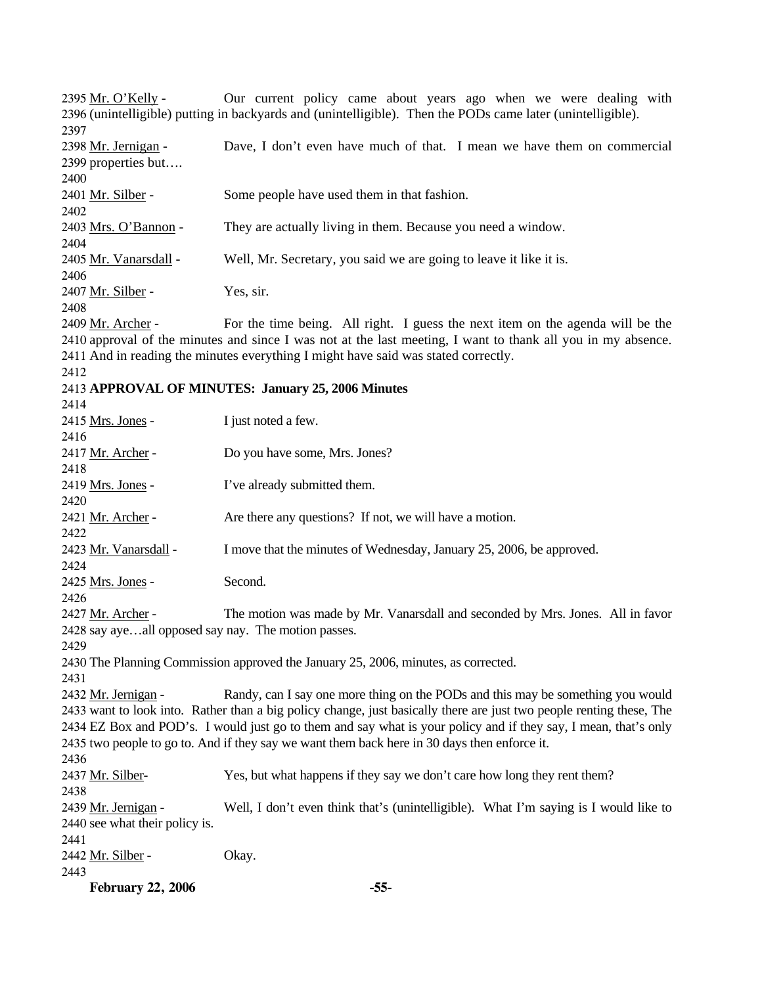**February 22, 2006 -55-** Our current policy came about years ago when we were dealing with 2396 (unintelligible) putting in backyards and (unintelligible). Then the PODs came later (unintelligible). 2395 Mr. O'Kelly -2397 Dave, I don't even have much of that. I mean we have them on commercial 2399 properties but.... 2398 Mr. Jernigan -2400 2401 Mr. Silber - Some people have used them in that fashion. 2402 2403 Mrs. O'Bannon - They are actually living in them. Because you need a window. 2404 2405 Mr. Vanarsdall - Well, Mr. Secretary, you said we are going to leave it like it is. 2406 2407 Mr. Silber - Yes, sir. 2408 For the time being. All right. I guess the next item on the agenda will be the 2410 approval of the minutes and since I was not at the last meeting, I want to thank all you in my absence. 2411 And in reading the minutes everything I might have said was stated correctly. 2409 Mr. Archer -2412 2413 **APPROVAL OF MINUTES: January 25, 2006 Minutes**  2414 2415 Mrs. Jones - I just noted a few. 2416 2417 Mr. Archer - Do you have some, Mrs. Jones? 2418 2419 Mrs. Jones - I've already submitted them. 2420 2421 Mr. Archer - Are there any questions? If not, we will have a motion. 2422 2423 Mr. Vanarsdall - I move that the minutes of Wednesday, January 25, 2006, be approved. 2424 2425 Mrs. Jones - Second. 2426 The motion was made by Mr. Vanarsdall and seconded by Mrs. Jones. All in favor 2428 say aye...all opposed say nay. The motion passes. 2427 Mr. Archer -2429 2430 The Planning Commission approved the January 25, 2006, minutes, as corrected. 2431 Randy, can I say one more thing on the PODs and this may be something you would 2433 want to look into. Rather than a big policy change, just basically there are just two people renting these, The 2434 EZ Box and POD's. I would just go to them and say what is your policy and if they say, I mean, that's only 2435 two people to go to. And if they say we want them back here in 30 days then enforce it. 2432 Mr. Jernigan -2436 2437 Mr. Silber- Yes, but what happens if they say we don't care how long they rent them? 2438 Well, I don't even think that's (unintelligible). What I'm saying is I would like to 2440 see what their policy is. 2439 Mr. Jernigan -2441 2442 Mr. Silber - Okay. 2443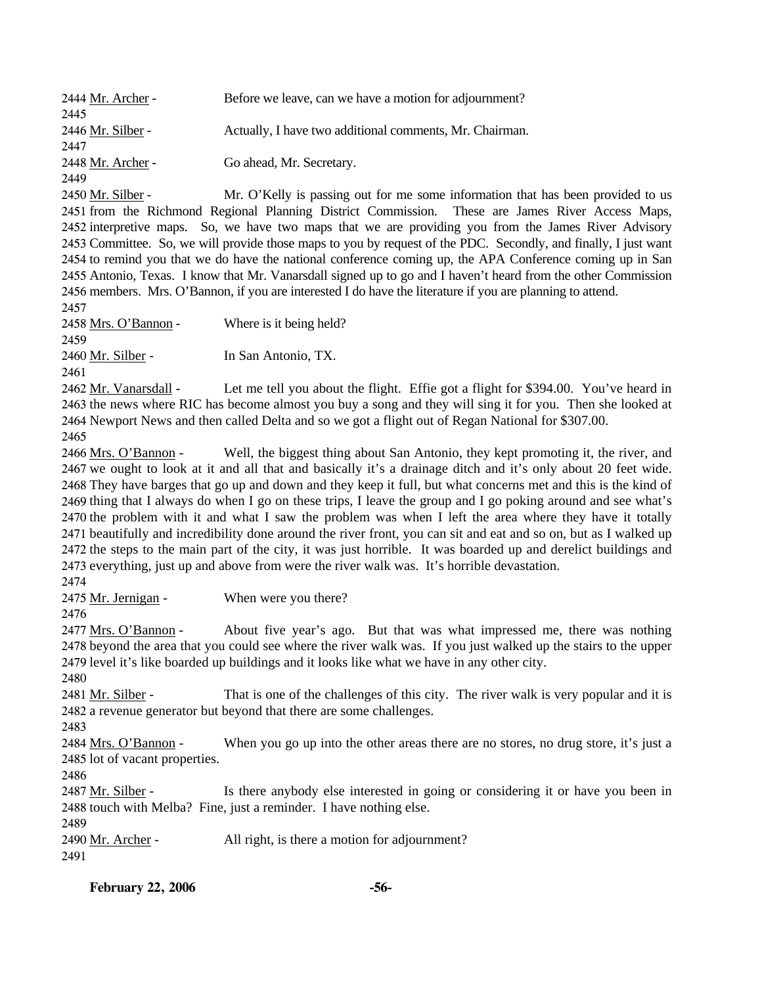| <b>February 22, 2006</b>                                                                                                                                                                                       | $-56-$                                                                                                        |  |  |  |  |
|----------------------------------------------------------------------------------------------------------------------------------------------------------------------------------------------------------------|---------------------------------------------------------------------------------------------------------------|--|--|--|--|
| 2491                                                                                                                                                                                                           |                                                                                                               |  |  |  |  |
| 2489<br>2490 Mr. Archer -                                                                                                                                                                                      | All right, is there a motion for adjournment?                                                                 |  |  |  |  |
| 2488 touch with Melba? Fine, just a reminder. I have nothing else.                                                                                                                                             |                                                                                                               |  |  |  |  |
| 2487 Mr. Silber -                                                                                                                                                                                              | Is there anybody else interested in going or considering it or have you been in                               |  |  |  |  |
| 2486                                                                                                                                                                                                           |                                                                                                               |  |  |  |  |
| 2485 lot of vacant properties.                                                                                                                                                                                 |                                                                                                               |  |  |  |  |
| 2484 Mrs. O'Bannon -                                                                                                                                                                                           | When you go up into the other areas there are no stores, no drug store, it's just a                           |  |  |  |  |
| 2483                                                                                                                                                                                                           |                                                                                                               |  |  |  |  |
|                                                                                                                                                                                                                | 2482 a revenue generator but beyond that there are some challenges.                                           |  |  |  |  |
| 2481 Mr. Silber -                                                                                                                                                                                              | That is one of the challenges of this city. The river walk is very popular and it is                          |  |  |  |  |
| 2480                                                                                                                                                                                                           |                                                                                                               |  |  |  |  |
| 2478 beyond the area that you could see where the river walk was. If you just walked up the stairs to the upper<br>2479 level it's like boarded up buildings and it looks like what we have in any other city. |                                                                                                               |  |  |  |  |
| 2477 Mrs. O'Bannon -                                                                                                                                                                                           | About five year's ago. But that was what impressed me, there was nothing                                      |  |  |  |  |
| 2476                                                                                                                                                                                                           |                                                                                                               |  |  |  |  |
| 2475 Mr. Jernigan -                                                                                                                                                                                            | When were you there?                                                                                          |  |  |  |  |
| 2474                                                                                                                                                                                                           |                                                                                                               |  |  |  |  |
|                                                                                                                                                                                                                | 2473 everything, just up and above from were the river walk was. It's horrible devastation.                   |  |  |  |  |
| 2472 the steps to the main part of the city, it was just horrible. It was boarded up and derelict buildings and                                                                                                |                                                                                                               |  |  |  |  |
| 2471 beautifully and incredibility done around the river front, you can sit and eat and so on, but as I walked up                                                                                              |                                                                                                               |  |  |  |  |
| 2470 the problem with it and what I saw the problem was when I left the area where they have it totally                                                                                                        |                                                                                                               |  |  |  |  |
| 2469 thing that I always do when I go on these trips, I leave the group and I go poking around and see what's                                                                                                  |                                                                                                               |  |  |  |  |
| 2468 They have barges that go up and down and they keep it full, but what concerns met and this is the kind of                                                                                                 |                                                                                                               |  |  |  |  |
| 2467 we ought to look at it and all that and basically it's a drainage ditch and it's only about 20 feet wide.                                                                                                 |                                                                                                               |  |  |  |  |
| 2466 Mrs. O'Bannon -                                                                                                                                                                                           | Well, the biggest thing about San Antonio, they kept promoting it, the river, and                             |  |  |  |  |
| 2465                                                                                                                                                                                                           |                                                                                                               |  |  |  |  |
|                                                                                                                                                                                                                | 2464 Newport News and then called Delta and so we got a flight out of Regan National for \$307.00.            |  |  |  |  |
| 2463 the news where RIC has become almost you buy a song and they will sing it for you. Then she looked at                                                                                                     |                                                                                                               |  |  |  |  |
| 2462 Mr. Vanarsdall -                                                                                                                                                                                          | Let me tell you about the flight. Effie got a flight for \$394.00. You've heard in                            |  |  |  |  |
| 2461                                                                                                                                                                                                           |                                                                                                               |  |  |  |  |
| 2460 Mr. Silber -                                                                                                                                                                                              | In San Antonio, TX.                                                                                           |  |  |  |  |
| 2459                                                                                                                                                                                                           |                                                                                                               |  |  |  |  |
| 2458 Mrs. O'Bannon -                                                                                                                                                                                           | Where is it being held?                                                                                       |  |  |  |  |
| 2457                                                                                                                                                                                                           |                                                                                                               |  |  |  |  |
|                                                                                                                                                                                                                | 2456 members. Mrs. O'Bannon, if you are interested I do have the literature if you are planning to attend.    |  |  |  |  |
|                                                                                                                                                                                                                | 2455 Antonio, Texas. I know that Mr. Vanarsdall signed up to go and I haven't heard from the other Commission |  |  |  |  |
|                                                                                                                                                                                                                | 2454 to remind you that we do have the national conference coming up, the APA Conference coming up in San     |  |  |  |  |
| 2453 Committee. So, we will provide those maps to you by request of the PDC. Secondly, and finally, I just want                                                                                                |                                                                                                               |  |  |  |  |
| 2452 interpretive maps. So, we have two maps that we are providing you from the James River Advisory                                                                                                           |                                                                                                               |  |  |  |  |
|                                                                                                                                                                                                                | 2451 from the Richmond Regional Planning District Commission. These are James River Access Maps,              |  |  |  |  |
| 2450 Mr. Silber -                                                                                                                                                                                              | Mr. O'Kelly is passing out for me some information that has been provided to us                               |  |  |  |  |
| 2449                                                                                                                                                                                                           |                                                                                                               |  |  |  |  |
| 2448 Mr. Archer -                                                                                                                                                                                              | Go ahead, Mr. Secretary.                                                                                      |  |  |  |  |
| 2447                                                                                                                                                                                                           |                                                                                                               |  |  |  |  |
| 2446 Mr. Silber -                                                                                                                                                                                              | Actually, I have two additional comments, Mr. Chairman.                                                       |  |  |  |  |
| 2445                                                                                                                                                                                                           |                                                                                                               |  |  |  |  |
| 2444 Mr. Archer -                                                                                                                                                                                              | Before we leave, can we have a motion for adjournment?                                                        |  |  |  |  |
|                                                                                                                                                                                                                |                                                                                                               |  |  |  |  |